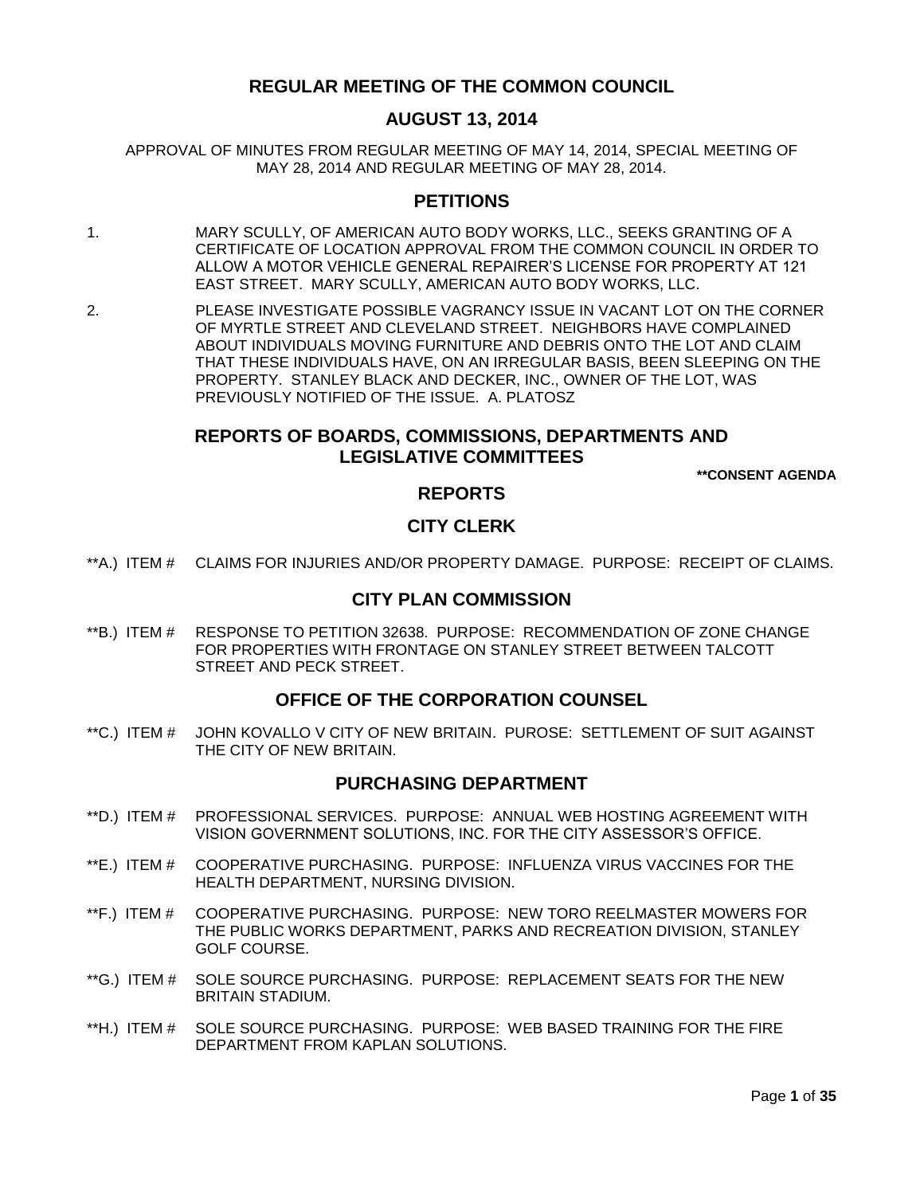# **REGULAR MEETING OF THE COMMON COUNCIL**

# **AUGUST 13, 2014**

APPROVAL OF MINUTES FROM REGULAR MEETING OF MAY 14, 2014, SPECIAL MEETING OF MAY 28, 2014 AND REGULAR MEETING OF MAY 28, 2014.

# **PETITIONS**

- 1. MARY SCULLY, OF AMERICAN AUTO BODY WORKS, LLC., SEEKS GRANTING OF A CERTIFICATE OF LOCATION APPROVAL FROM THE COMMON COUNCIL IN ORDER TO ALLOW A MOTOR VEHICLE GENERAL REPAIRER"S LICENSE FOR PROPERTY AT 121 EAST STREET. MARY SCULLY, AMERICAN AUTO BODY WORKS, LLC.
- 2. PLEASE INVESTIGATE POSSIBLE VAGRANCY ISSUE IN VACANT LOT ON THE CORNER OF MYRTLE STREET AND CLEVELAND STREET. NEIGHBORS HAVE COMPLAINED ABOUT INDIVIDUALS MOVING FURNITURE AND DEBRIS ONTO THE LOT AND CLAIM THAT THESE INDIVIDUALS HAVE, ON AN IRREGULAR BASIS, BEEN SLEEPING ON THE PROPERTY. STANLEY BLACK AND DECKER, INC., OWNER OF THE LOT, WAS PREVIOUSLY NOTIFIED OF THE ISSUE. A. PLATOSZ

# **REPORTS OF BOARDS, COMMISSIONS, DEPARTMENTS AND LEGISLATIVE COMMITTEES**

**\*\*CONSENT AGENDA**

## **REPORTS**

# **CITY CLERK**

\*\*A.) ITEM # [CLAIMS FOR INJURIES AND/OR PROPERTY DAMAGE. PURPOSE: RECEIPT OF CLAIMS.](#page-4-0)

## **CITY PLAN COMMISSION**

\*\*B.) ITEM # [RESPONSE TO PETITION 32638. PURPOSE: RECOMMENDATION OF ZONE CHANGE](#page-5-0)  [FOR PROPERTIES WITH FRONTAGE ON STANLEY STREET BETWEEN TALCOTT](#page-5-0)  [STREET AND PECK STREET.](#page-5-0)

# **OFFICE OF THE CORPORATION COUNSEL**

\*\*C.) ITEM # [JOHN KOVALLO V CITY OF NEW BRITAIN. PUROSE: SETTLEMENT OF SUIT AGAINST](#page-6-0)  [THE CITY OF NEW BRITAIN.](#page-6-0)

## **PURCHASING DEPARTMENT**

- \*\*D.) ITEM # [PROFESSIONAL SERVICES. PURPOSE: ANNUAL WEB HOSTING AGREEMENT WITH](#page-6-1)  [VISION GOVERNMENT SOLUTIONS, INC. FOR THE CITY ASSESSOR"S OFFICE.](#page-6-1)
- \*\*E.) ITEM # [COOPERATIVE PURCHASING. PURPOSE: INFLUENZA VIRUS VACCINES FOR THE](#page-7-0)  [HEALTH DEPARTMENT, NURSING DIVISION.](#page-7-0)
- \*\*F.) ITEM # [COOPERATIVE PURCHASING. PURPOSE: NEW TORO REELMASTER MOWERS FOR](#page-8-0)  [THE PUBLIC WORKS DEPARTMENT, PARKS AND RECREATION DIVISION, STANLEY](#page-8-0)  [GOLF COURSE.](#page-8-0)
- \*\*G.) ITEM # [SOLE SOURCE PURCHASING. PURPOSE: REPLACEMENT SEATS FOR THE NEW](#page-8-1)  [BRITAIN STADIUM.](#page-8-1)
- \*\*H.) ITEM # [SOLE SOURCE PURCHASING. PURPOSE: WEB BASED TRAINING FOR THE FIRE](#page-9-0)  [DEPARTMENT FROM KAPLAN SOLUTIONS.](#page-9-0)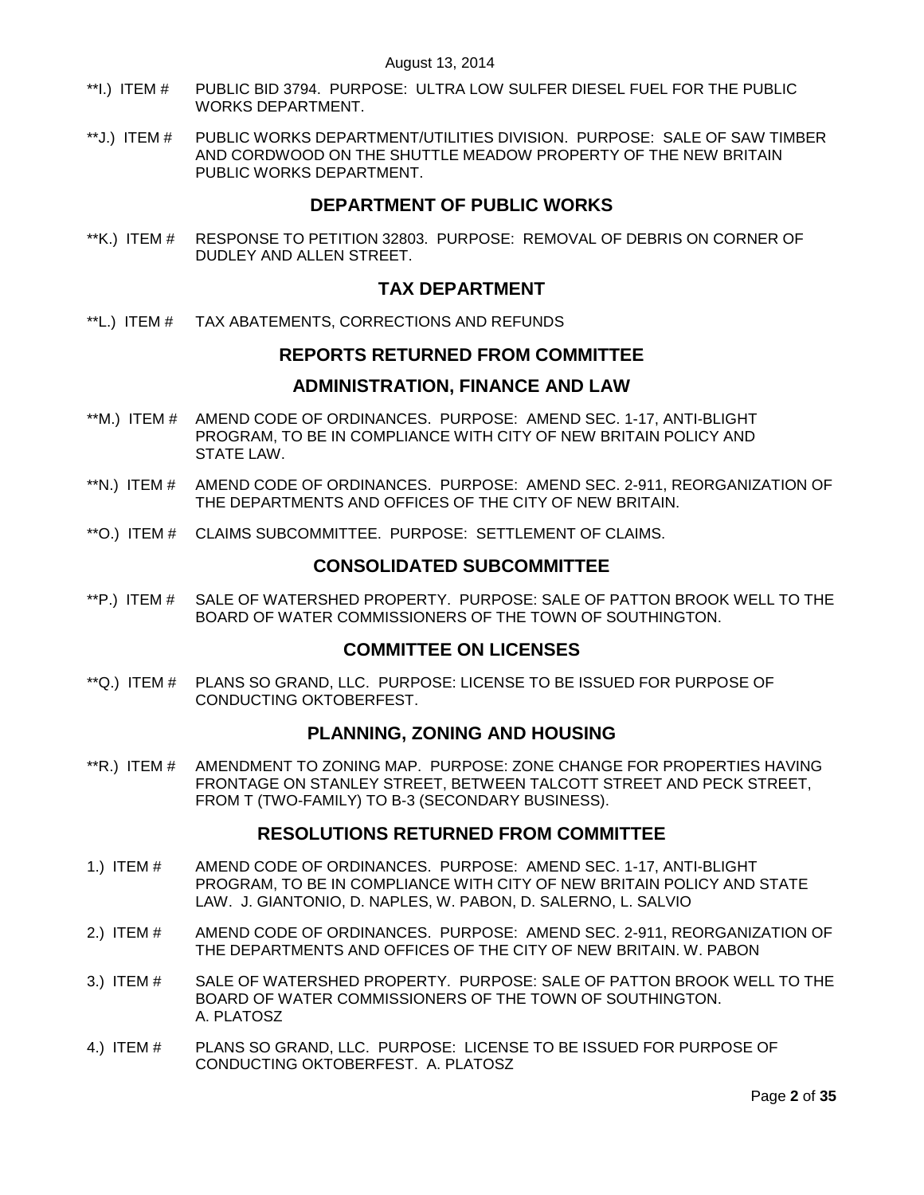- \*\*I.) ITEM # [PUBLIC BID 3794. PURPOSE: ULTRA LOW SULFER DIESEL FUEL FOR THE PUBLIC](#page-10-0)  [WORKS DEPARTMENT.](#page-10-0)
- \*\*J.) ITEM # [PUBLIC WORKS DEPARTMENT/UTILITIES DIVISION. PURPOSE: SALE OF SAW TIMBER](#page-10-1)  [AND CORDWOOD ON THE SHUTTLE MEADOW PROPERTY OF THE NEW BRITAIN](#page-10-1)  [PUBLIC WORKS DEPARTMENT.](#page-10-1)

# **DEPARTMENT OF PUBLIC WORKS**

\*\*K.) ITEM # [RESPONSE TO PETITION 32803. PURPOSE: REMOVAL OF DEBRIS ON CORNER OF](#page-11-0)  [DUDLEY AND ALLEN STREET.](#page-11-0)

# **TAX DEPARTMENT**

\*\*L.) ITEM # [TAX ABATEMENTS, CORRECTIONS AND REFUNDS](#page-11-1)

## **REPORTS RETURNED FROM COMMITTEE**

## **ADMINISTRATION, FINANCE AND LAW**

- \*\*M.) ITEM # [AMEND CODE OF ORDINANCES. PURPOSE: AMEND SEC. 1-17,](#page-11-2) ANTI-BLIGHT [PROGRAM, TO BE IN COMPLIANCE WITH CITY OF NEW BRITAIN POLICY AND](#page-11-2)  [STATE LAW.](#page-11-2)
- \*\*N.) ITEM # [AMEND CODE OF ORDINANCES. PURPOSE: AMEND SEC. 2-911, REORGANIZATION OF](#page-12-0)  [THE DEPARTMENTS AND OFFICES OF THE CITY OF NEW BRITAIN.](#page-12-0)
- \*\*O.) ITEM # [CLAIMS SUBCOMMITTEE. PURPOSE: SETTLEMENT OF CLAIMS.](#page-12-1)

# **CONSOLIDATED SUBCOMMITTEE**

\*\*P.) ITEM # [SALE OF WATERSHED PROPERTY. PURPOSE: SALE OF PATTON BROOK WELL TO THE](#page-13-0)  [BOARD OF WATER COMMISSIONERS OF THE TOWN OF SOUTHINGTON.](#page-13-0) 

# **COMMITTEE ON LICENSES**

\*\*Q.) ITEM # [PLANS SO GRAND, LLC. PURPOSE: LICENSE TO BE ISSUED FOR PURPOSE OF](#page-13-1)  [CONDUCTING OKTOBERFEST.](#page-13-1)

# **PLANNING, ZONING AND HOUSING**

\*\*R.) ITEM # [AMENDMENT TO ZONING MAP. PURPOSE: ZONE CHANGE FOR PROPERTIES HAVING](#page-13-2)  [FRONTAGE ON STANLEY STREET, BETWEEN TALCOTT STREET AND PECK STREET,](#page-13-2)  [FROM T \(TWO-FAMILY\) TO B-3 \(SECONDARY BUSINESS\).](#page-13-2)

# **RESOLUTIONS RETURNED FROM COMMITTEE**

- 1.) ITEM # [AMEND CODE OF ORDINANCES. PURPOSE: AMEND SEC. 1-17, ANTI-BLIGHT](#page-14-0)  [PROGRAM, TO BE IN COMPLIANCE WITH CITY OF NEW BRITAIN POLICY AND STATE](#page-14-0)  [LAW. J. GIANTONIO, D. NAPLES, W. PABON, D. SALERNO, L. SALVIO](#page-14-0)
- 2.) ITEM # [AMEND CODE OF ORDINANCES. PURPOSE: AMEND SEC. 2-911, REORGANIZATION OF](#page-16-0)  [THE DEPARTMENTS AND OFFICES OF THE CITY OF NEW BRITAIN. W. PABON](#page-16-0)
- 3.) ITEM # [SALE OF WATERSHED PROPERTY. PURPOSE: SALE OF PATTON BROOK WELL TO THE](#page-18-0)  [BOARD OF WATER COMMISSIONERS OF THE TOWN OF SOUTHINGTON.](#page-18-0)  [A. PLATOSZ](#page-18-0)
- 4.) ITEM # [PLANS SO GRAND, LLC. PURPOSE: LICENSE TO BE ISSUED FOR PURPOSE OF](#page-19-0)  [CONDUCTING OKTOBERFEST. A. PLATOSZ](#page-19-0)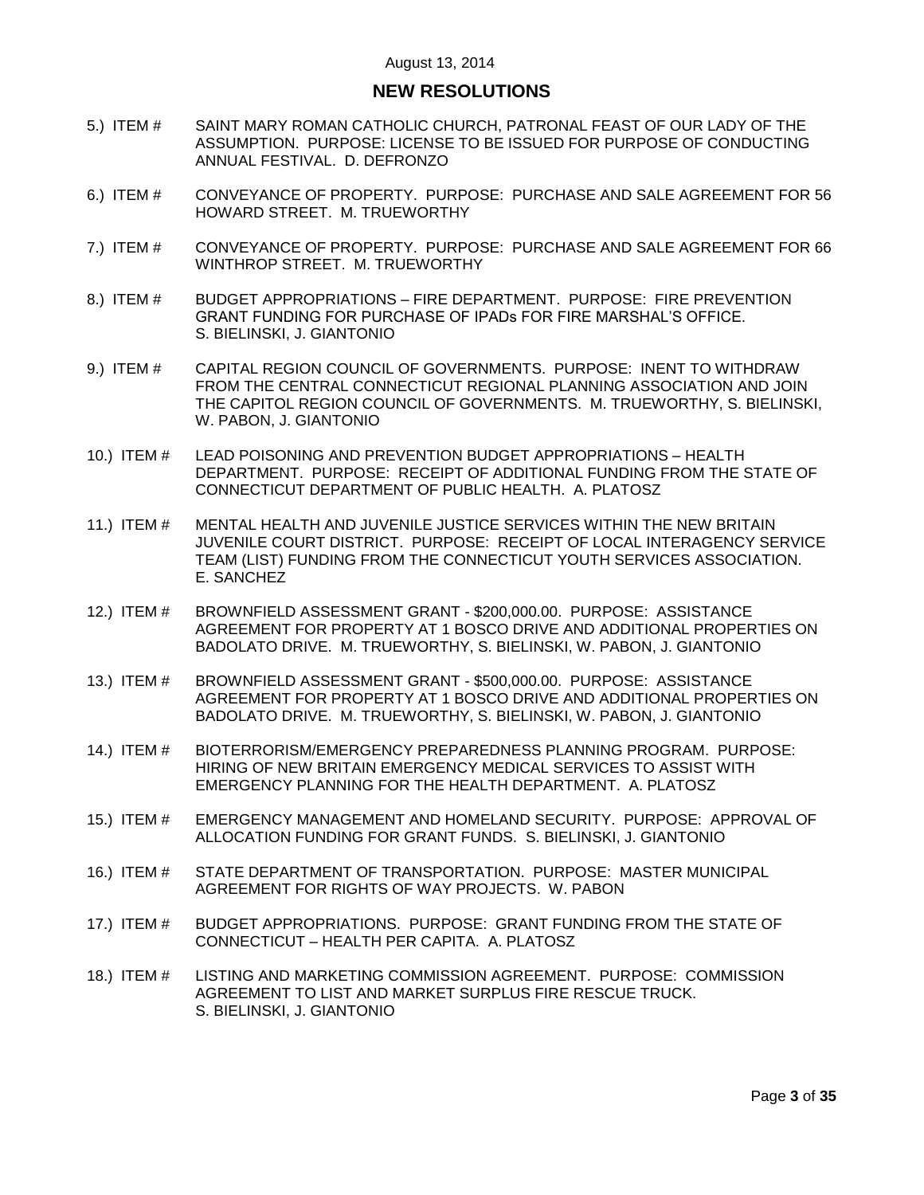# **NEW RESOLUTIONS**

- 5.) ITEM # [SAINT MARY ROMAN CATHOLIC CHURCH, PATRONAL FEAST OF OUR LADY OF THE](#page-19-1)  [ASSUMPTION. PURPOSE: LICENSE TO BE ISSUED FOR PURPOSE OF CONDUCTING](#page-19-1)  [ANNUAL FESTIVAL. D. DEFRONZO](#page-19-1)
- 6.) ITEM # [CONVEYANCE OF PROPERTY. PURPOSE: PURCHASE AND SALE AGREEMENT FOR 56](#page-20-0)  [HOWARD STREET. M. TRUEWORTHY](#page-20-0)
- 7.) ITEM # [CONVEYANCE OF PROPERTY. PURPOSE: PURCHASE AND SALE AGREEMENT FOR 66](#page-20-1)  [WINTHROP STREET. M. TRUEWORTHY](#page-20-1)
- 8.) ITEM # BUDGET APPROPRIATIONS [FIRE DEPARTMENT. PURPOSE: FIRE PREVENTION](#page-21-0)  [GRANT FUNDING FOR PURCHASE OF IPADs FOR FIRE MARSHAL"S OFFICE.](#page-21-0) [S. BIELINSKI, J. GIANTONIO](#page-21-0)
- 9.) ITEM # [CAPITAL REGION COUNCIL OF GOVERNMENTS. PURPOSE: INENT TO WITHDRAW](#page-21-1)  [FROM THE CENTRAL CONNECTICUT REGIONAL PLANNING ASSOCIATION AND JOIN](#page-21-1)  [THE CAPITOL REGION COUNCIL OF GOVERNMENTS. M. TRUEWORTHY, S. BIELINSKI,](#page-21-1)  [W. PABON, J. GIANTONIO](#page-21-1)
- 10.) ITEM # [LEAD POISONING AND PREVENTION BUDGET APPROPRIATIONS –](#page-22-0) HEALTH [DEPARTMENT. PURPOSE: RECEIPT OF ADDITIONAL FUNDING FROM THE STATE OF](#page-22-0)  [CONNECTICUT DEPARTMENT OF PUBLIC HEALTH. A. PLATOSZ](#page-22-0)
- 11.) ITEM # [MENTAL HEALTH AND JUVENILE JUSTICE SERVICES](#page-23-0) WITHIN THE NEW BRITAIN [JUVENILE COURT DISTRICT. PURPOSE: RECEIPT OF LOCAL INTERAGENCY SERVICE](#page-23-0)  [TEAM \(LIST\) FUNDING FROM THE CONNECTICUT YOUTH SERVICES ASSOCIATION.](#page-23-0) [E. SANCHEZ](#page-23-0)
- 12.) ITEM # BROWNFIELD ASSESSMENT GRANT [\\$200,000.00. PURPOSE: ASSISTANCE](#page-24-0)  [AGREEMENT FOR PROPERTY AT 1 BOSCO DRIVE AND ADDITIONAL PROPERTIES ON](#page-24-0)  [BADOLATO DRIVE. M. TRUEWORTHY, S. BIELINSKI, W. PABON, J. GIANTONIO](#page-24-0)
- 13.) ITEM # BROWNFIELD ASSESSMENT GRANT [\\$500,000.00. PURPOSE: ASSISTANCE](#page-24-1)  [AGREEMENT FOR PROPERTY AT 1 BOSCO DRIVE AND ADDITIONAL PROPERTIES ON](#page-24-1)  [BADOLATO DRIVE. M. TRUEWORTHY, S. BIELINSKI, W. PABON, J. GIANTONIO](#page-24-1)
- 14.) ITEM # [BIOTERRORISM/EMERGENCY PREPAREDNESS PLANNING PROGRAM. PURPOSE:](#page-25-0)  [HIRING OF NEW BRITAIN EMERGENCY MEDICAL SERVICES TO ASSIST WITH](#page-25-0)  [EMERGENCY PLANNING FOR THE HEALTH DEPARTMENT. A. PLATOSZ](#page-25-0)
- 15.) ITEM # [EMERGENCY MANAGEMENT AND HOMELAND SECURITY. PURPOSE: APPROVAL OF](#page-26-0)  [ALLOCATION FUNDING FOR GRANT FUNDS. S. BIELINSKI, J. GIANTONIO](#page-26-0)
- 16.) ITEM # [STATE DEPARTMENT OF TRANSPORTATION. PURPOSE: MASTER MUNICIPAL](#page-27-0)  [AGREEMENT FOR RIGHTS OF WAY PROJECTS. W. PABON](#page-27-0)
- 17.) ITEM # [BUDGET APPROPRIATIONS. PURPOSE: GRANT FUNDING FROM THE STATE OF](#page-27-1)  CONNECTICUT – [HEALTH PER CAPITA. A. PLATOSZ](#page-27-1)
- 18.) ITEM # [LISTING AND MARKETING COMMISSION AGREEMENT. PURPOSE: COMMISSION](#page-28-0)  [AGREEMENT TO LIST AND MARKET SURPLUS FIRE RESCUE TRUCK.](#page-28-0)  [S. BIELINSKI, J. GIANTONIO](#page-28-0)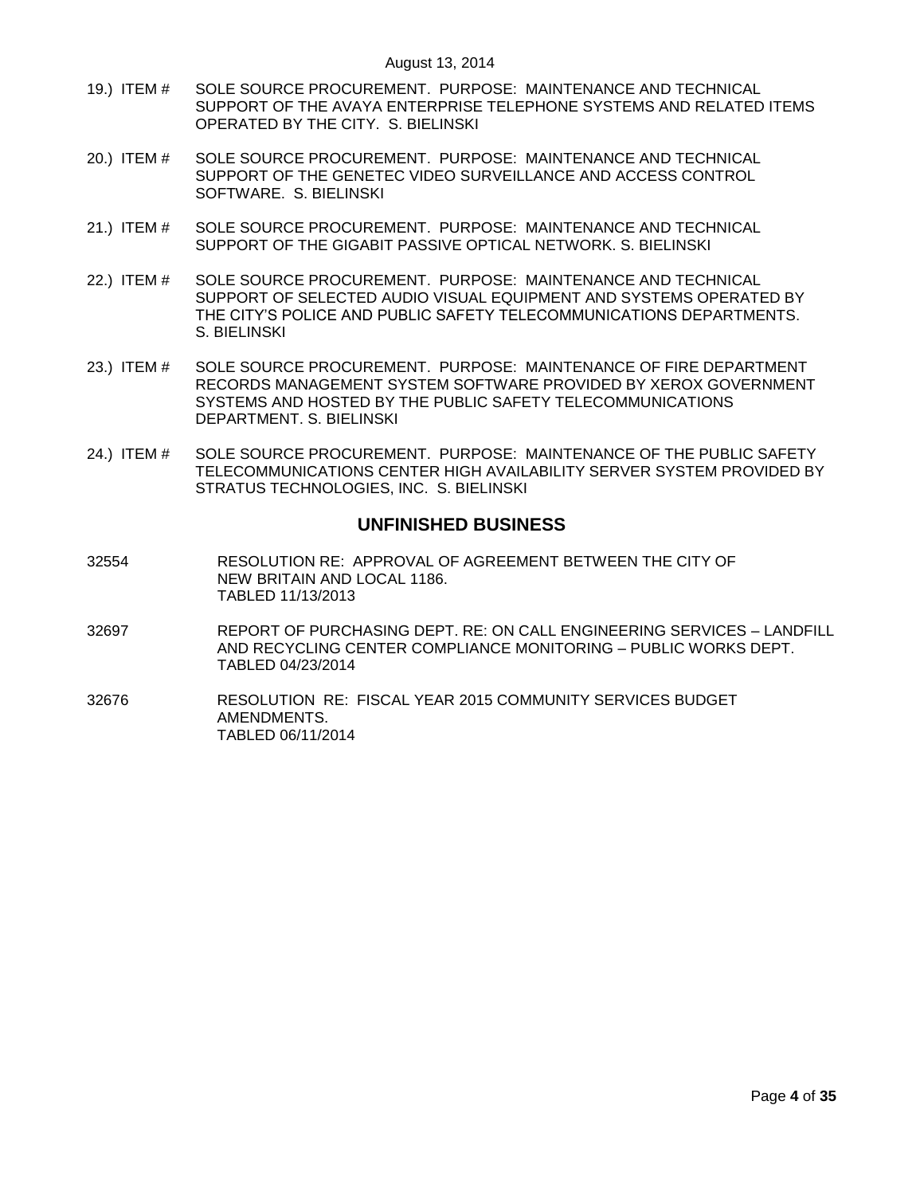- 19.) ITEM # [SOLE SOURCE PROCUREMENT. PURPOSE: MAINTENANCE AND TECHNICAL](#page-29-0)  SUPPORT OF THE AVAYA [ENTERPRISE TELEPHONE SYSTEMS AND RELATED ITEMS](#page-29-0)  [OPERATED BY THE CITY. S. BIELINSKI](#page-29-0)
- 20.) ITEM # [SOLE SOURCE PROCUREMENT. PURPOSE: MAINTENANCE AND TECHNICAL](#page-30-0)  [SUPPORT OF THE GENETEC VIDEO SURVEILLANCE AND ACCESS CONTROL](#page-30-0)  [SOFTWARE. S. BIELINSKI](#page-30-0)
- 21.) ITEM # [SOLE SOURCE PROCUREMENT. PURPOSE: MAINTENANCE AND TECHNICAL](#page-31-0)  [SUPPORT OF THE GIGABIT PASSIVE OPTICAL NETWORK. S. BIELINSKI](#page-31-0)
- 22.) ITEM # [SOLE SOURCE PROCUREMENT. PURPOSE: MAINTENANCE AND TECHNICAL](#page-32-0)  [SUPPORT OF SELECTED AUDIO VISUAL EQUIPMENT AND SYSTEMS OPERATED BY](#page-32-0)  [THE CITY"S POLICE AND PUBLIC SAFETY TELECOMMUNICATIONS DEPARTMENTS.](#page-32-0) [S. BIELINSKI](#page-32-0)
- 23.) ITEM # [SOLE SOURCE PROCUREMENT. PURPOSE: MAINTENANCE OF FIRE DEPARTMENT](#page-33-0)  [RECORDS MANAGEMENT SYSTEM SOFTWARE PROVIDED BY XEROX GOVERNMENT](#page-33-0)  [SYSTEMS AND HOSTED BY THE PUBLIC SAFETY TELECOMMUNICATIONS](#page-33-0)  [DEPARTMENT. S. BIELINSKI](#page-33-0)
- 24.) ITEM # [SOLE SOURCE PROCUREMENT. PURPOSE: MAINTENANCE OF THE PUBLIC SAFETY](#page-33-1)  [TELECOMMUNICATIONS CENTER HIGH AVAILABILITY SERVER SYSTEM PROVIDED BY](#page-33-1)  [STRATUS TECHNOLOGIES, INC. S. BIELINSKI](#page-33-1)

## **UNFINISHED BUSINESS**

- 32554 RESOLUTION RE: APPROVAL OF AGREEMENT BETWEEN THE CITY OF NEW BRITAIN AND LOCAL 1186. TABLED 11/13/2013
- 32697 REPORT OF PURCHASING DEPT. RE: ON CALL ENGINEERING SERVICES LANDFILL AND RECYCLING CENTER COMPLIANCE MONITORING – PUBLIC WORKS DEPT. TABLED 04/23/2014
- 32676 RESOLUTION RE: FISCAL YEAR 2015 COMMUNITY SERVICES BUDGET AMENDMENTS. TABLED 06/11/2014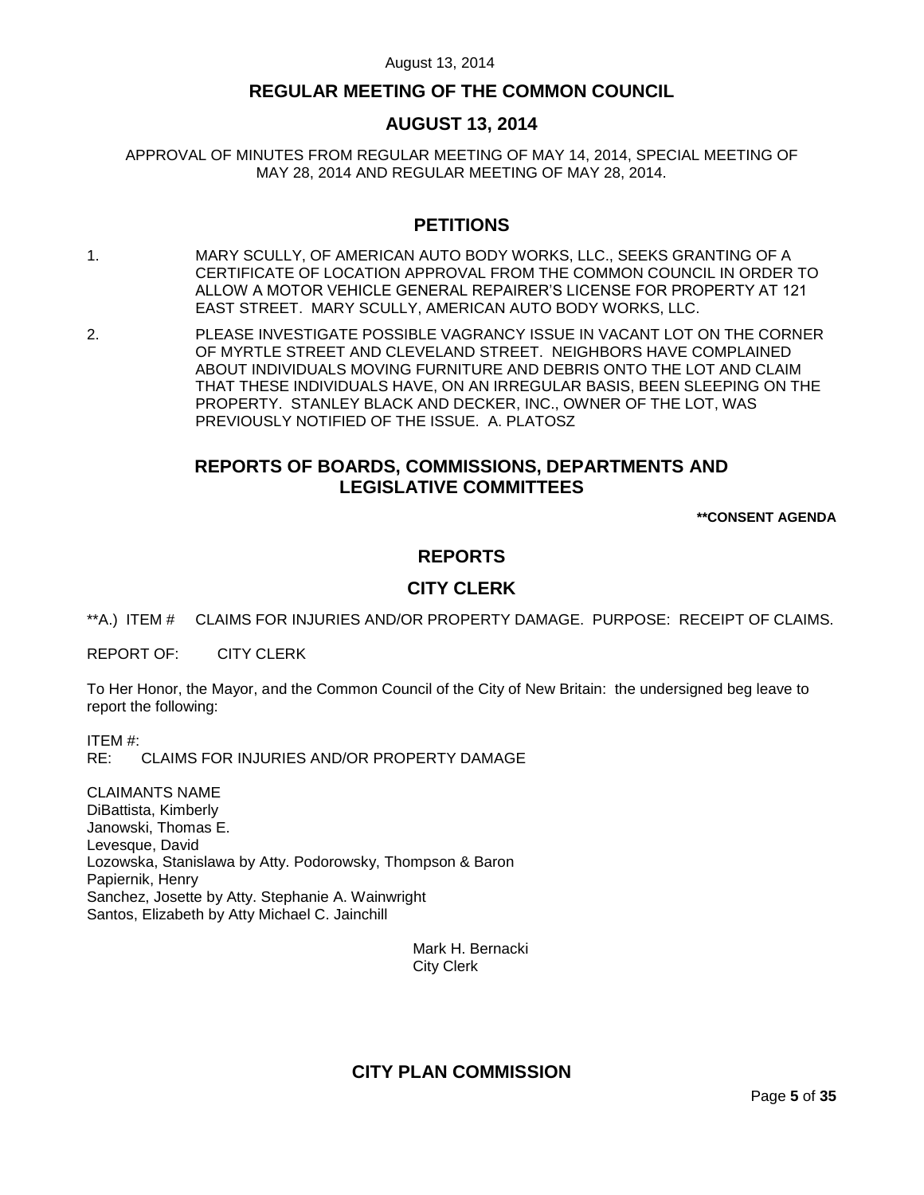# **REGULAR MEETING OF THE COMMON COUNCIL**

# **AUGUST 13, 2014**

APPROVAL OF MINUTES FROM REGULAR MEETING OF MAY 14, 2014, SPECIAL MEETING OF MAY 28, 2014 AND REGULAR MEETING OF MAY 28, 2014.

# **PETITIONS**

- 1. MARY SCULLY, OF AMERICAN AUTO BODY WORKS, LLC., SEEKS GRANTING OF A CERTIFICATE OF LOCATION APPROVAL FROM THE COMMON COUNCIL IN ORDER TO ALLOW A MOTOR VEHICLE GENERAL REPAIRER"S LICENSE FOR PROPERTY AT 121 EAST STREET. MARY SCULLY, AMERICAN AUTO BODY WORKS, LLC.
- 2. PLEASE INVESTIGATE POSSIBLE VAGRANCY ISSUE IN VACANT LOT ON THE CORNER OF MYRTLE STREET AND CLEVELAND STREET. NEIGHBORS HAVE COMPLAINED ABOUT INDIVIDUALS MOVING FURNITURE AND DEBRIS ONTO THE LOT AND CLAIM THAT THESE INDIVIDUALS HAVE, ON AN IRREGULAR BASIS, BEEN SLEEPING ON THE PROPERTY. STANLEY BLACK AND DECKER, INC., OWNER OF THE LOT, WAS PREVIOUSLY NOTIFIED OF THE ISSUE. A. PLATOSZ

# **REPORTS OF BOARDS, COMMISSIONS, DEPARTMENTS AND LEGISLATIVE COMMITTEES**

**\*\*CONSENT AGENDA**

# **REPORTS**

# **CITY CLERK**

<span id="page-4-0"></span>\*\*A.) ITEM # CLAIMS FOR INJURIES AND/OR PROPERTY DAMAGE. PURPOSE: RECEIPT OF CLAIMS.

REPORT OF: CITY CLERK

To Her Honor, the Mayor, and the Common Council of the City of New Britain: the undersigned beg leave to report the following:

ITEM #: RE: CLAIMS FOR INJURIES AND/OR PROPERTY DAMAGE

CLAIMANTS NAME DiBattista, Kimberly Janowski, Thomas E. Levesque, David Lozowska, Stanislawa by Atty. Podorowsky, Thompson & Baron Papiernik, Henry Sanchez, Josette by Atty. Stephanie A. Wainwright Santos, Elizabeth by Atty Michael C. Jainchill

> Mark H. Bernacki City Clerk

# **CITY PLAN COMMISSION**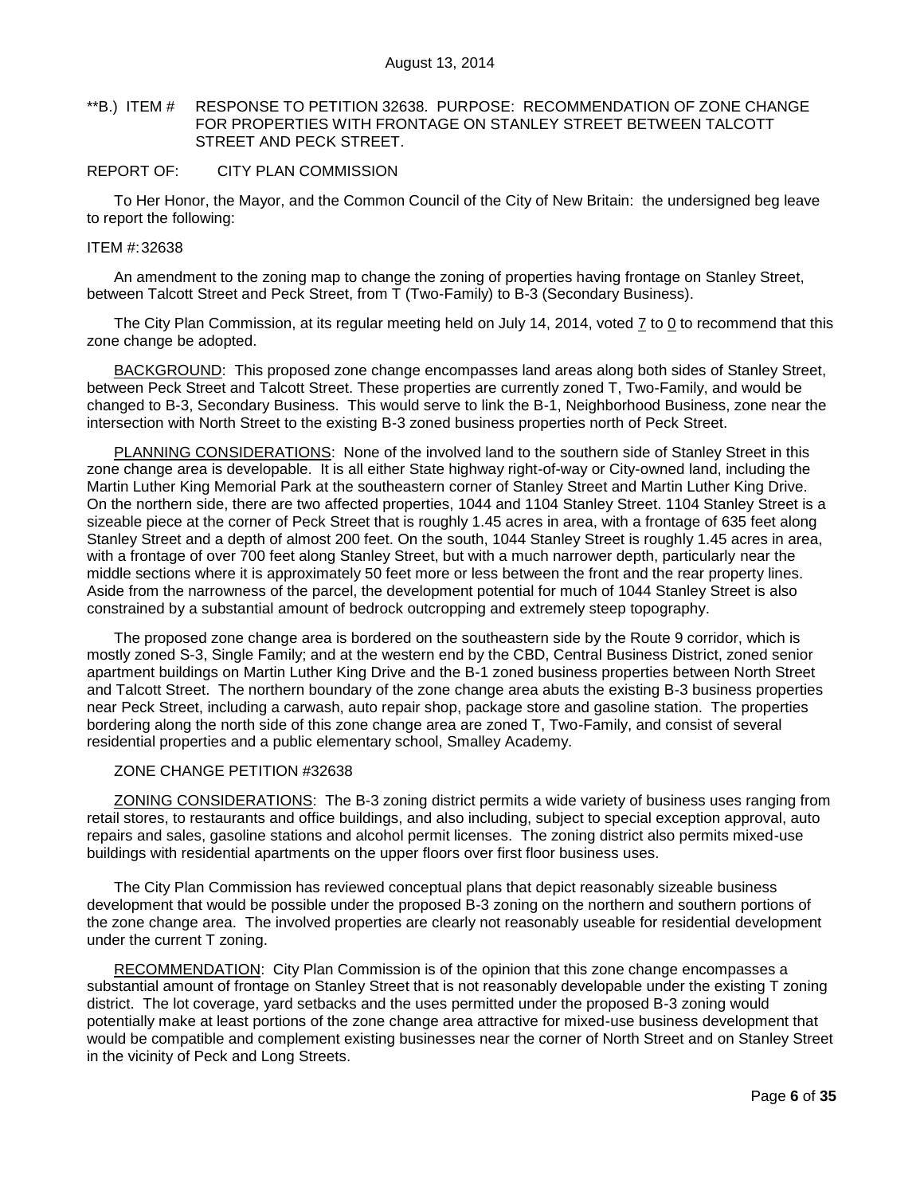### <span id="page-5-0"></span>\*\*B.) ITEM # RESPONSE TO PETITION 32638. PURPOSE: RECOMMENDATION OF ZONE CHANGE FOR PROPERTIES WITH FRONTAGE ON STANLEY STREET BETWEEN TALCOTT STREET AND PECK STREET.

### REPORT OF: CITY PLAN COMMISSION

To Her Honor, the Mayor, and the Common Council of the City of New Britain: the undersigned beg leave to report the following:

#### ITEM #:32638

An amendment to the zoning map to change the zoning of properties having frontage on Stanley Street, between Talcott Street and Peck Street, from T (Two-Family) to B-3 (Secondary Business).

The City Plan Commission, at its regular meeting held on July 14, 2014, voted  $\overline{I}$  to 0 to recommend that this zone change be adopted.

BACKGROUND: This proposed zone change encompasses land areas along both sides of Stanley Street, between Peck Street and Talcott Street. These properties are currently zoned T, Two-Family, and would be changed to B-3, Secondary Business. This would serve to link the B-1, Neighborhood Business, zone near the intersection with North Street to the existing B-3 zoned business properties north of Peck Street.

PLANNING CONSIDERATIONS: None of the involved land to the southern side of Stanley Street in this zone change area is developable. It is all either State highway right-of-way or City-owned land, including the Martin Luther King Memorial Park at the southeastern corner of Stanley Street and Martin Luther King Drive. On the northern side, there are two affected properties, 1044 and 1104 Stanley Street. 1104 Stanley Street is a sizeable piece at the corner of Peck Street that is roughly 1.45 acres in area, with a frontage of 635 feet along Stanley Street and a depth of almost 200 feet. On the south, 1044 Stanley Street is roughly 1.45 acres in area, with a frontage of over 700 feet along Stanley Street, but with a much narrower depth, particularly near the middle sections where it is approximately 50 feet more or less between the front and the rear property lines. Aside from the narrowness of the parcel, the development potential for much of 1044 Stanley Street is also constrained by a substantial amount of bedrock outcropping and extremely steep topography.

The proposed zone change area is bordered on the southeastern side by the Route 9 corridor, which is mostly zoned S-3, Single Family; and at the western end by the CBD, Central Business District, zoned senior apartment buildings on Martin Luther King Drive and the B-1 zoned business properties between North Street and Talcott Street. The northern boundary of the zone change area abuts the existing B-3 business properties near Peck Street, including a carwash, auto repair shop, package store and gasoline station. The properties bordering along the north side of this zone change area are zoned T, Two-Family, and consist of several residential properties and a public elementary school, Smalley Academy.

## ZONE CHANGE PETITION #32638

ZONING CONSIDERATIONS: The B-3 zoning district permits a wide variety of business uses ranging from retail stores, to restaurants and office buildings, and also including, subject to special exception approval, auto repairs and sales, gasoline stations and alcohol permit licenses. The zoning district also permits mixed-use buildings with residential apartments on the upper floors over first floor business uses.

The City Plan Commission has reviewed conceptual plans that depict reasonably sizeable business development that would be possible under the proposed B-3 zoning on the northern and southern portions of the zone change area. The involved properties are clearly not reasonably useable for residential development under the current T zoning.

RECOMMENDATION: City Plan Commission is of the opinion that this zone change encompasses a substantial amount of frontage on Stanley Street that is not reasonably developable under the existing T zoning district. The lot coverage, yard setbacks and the uses permitted under the proposed B-3 zoning would potentially make at least portions of the zone change area attractive for mixed-use business development that would be compatible and complement existing businesses near the corner of North Street and on Stanley Street in the vicinity of Peck and Long Streets.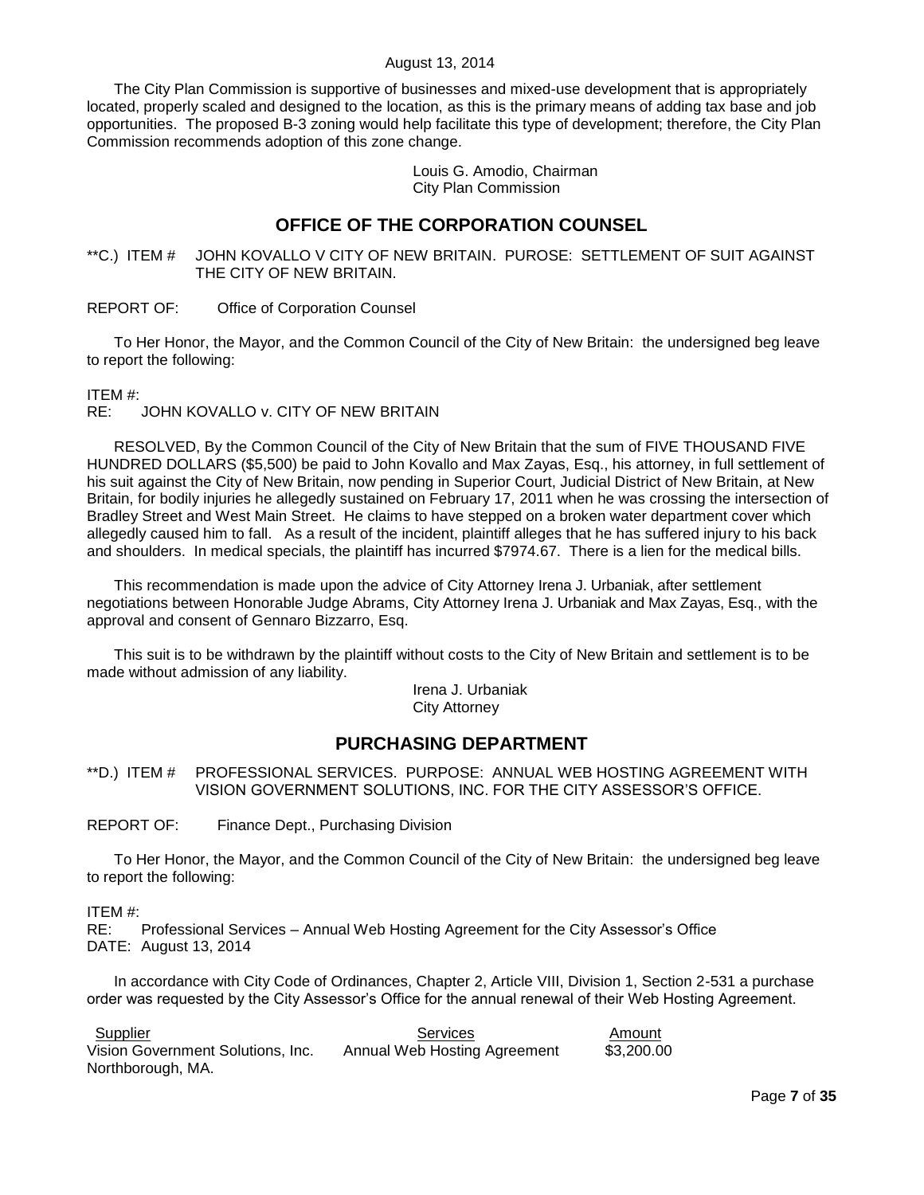The City Plan Commission is supportive of businesses and mixed-use development that is appropriately located, properly scaled and designed to the location, as this is the primary means of adding tax base and job opportunities. The proposed B-3 zoning would help facilitate this type of development; therefore, the City Plan Commission recommends adoption of this zone change.

> Louis G. Amodio, Chairman City Plan Commission

# **OFFICE OF THE CORPORATION COUNSEL**

<span id="page-6-0"></span>\*\*C.) ITEM # JOHN KOVALLO V CITY OF NEW BRITAIN. PUROSE: SETTLEMENT OF SUIT AGAINST THE CITY OF NEW BRITAIN.

REPORT OF: Office of Corporation Counsel

To Her Honor, the Mayor, and the Common Council of the City of New Britain: the undersigned beg leave to report the following:

ITEM #:

RE: JOHN KOVALLO v. CITY OF NEW BRITAIN

RESOLVED, By the Common Council of the City of New Britain that the sum of FIVE THOUSAND FIVE HUNDRED DOLLARS (\$5,500) be paid to John Kovallo and Max Zayas, Esq., his attorney, in full settlement of his suit against the City of New Britain, now pending in Superior Court, Judicial District of New Britain, at New Britain, for bodily injuries he allegedly sustained on February 17, 2011 when he was crossing the intersection of Bradley Street and West Main Street. He claims to have stepped on a broken water department cover which allegedly caused him to fall. As a result of the incident, plaintiff alleges that he has suffered injury to his back and shoulders. In medical specials, the plaintiff has incurred \$7974.67. There is a lien for the medical bills.

This recommendation is made upon the advice of City Attorney Irena J. Urbaniak, after settlement negotiations between Honorable Judge Abrams, City Attorney Irena J. Urbaniak and Max Zayas, Esq., with the approval and consent of Gennaro Bizzarro, Esq.

This suit is to be withdrawn by the plaintiff without costs to the City of New Britain and settlement is to be made without admission of any liability.

Irena J. Urbaniak City Attorney

# **PURCHASING DEPARTMENT**

<span id="page-6-1"></span>\*\*D.) ITEM # PROFESSIONAL SERVICES. PURPOSE: ANNUAL WEB HOSTING AGREEMENT WITH VISION GOVERNMENT SOLUTIONS, INC. FOR THE CITY ASSESSOR"S OFFICE.

REPORT OF: Finance Dept., Purchasing Division

To Her Honor, the Mayor, and the Common Council of the City of New Britain: the undersigned beg leave to report the following:

ITEM #:

RE: Professional Services – Annual Web Hosting Agreement for the City Assessor"s Office DATE: August 13, 2014

In accordance with City Code of Ordinances, Chapter 2, Article VIII, Division 1, Section 2-531 a purchase order was requested by the City Assessor"s Office for the annual renewal of their Web Hosting Agreement.

| Supplier                          | Services                     | Amount     |
|-----------------------------------|------------------------------|------------|
| Vision Government Solutions, Inc. | Annual Web Hosting Agreement | \$3,200.00 |
| Northborough, MA.                 |                              |            |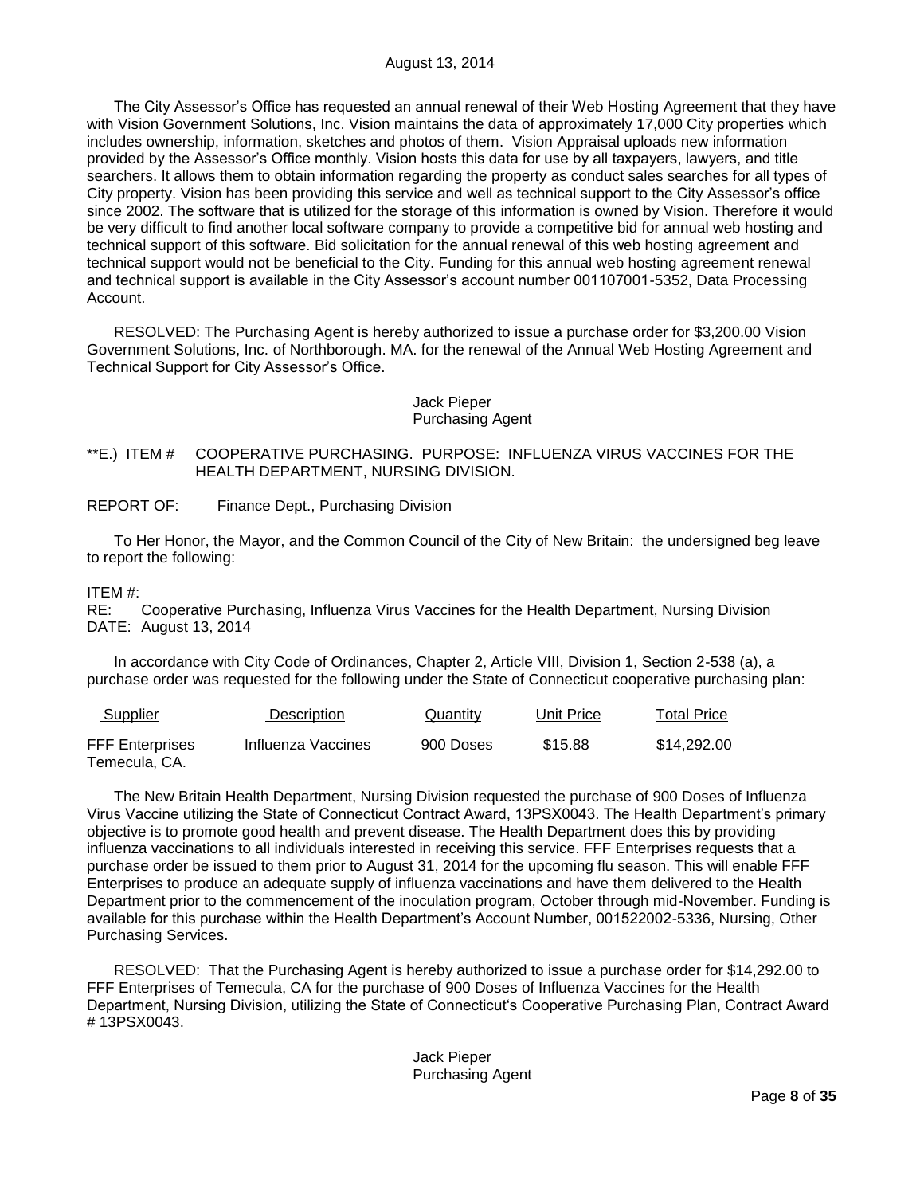The City Assessor"s Office has requested an annual renewal of their Web Hosting Agreement that they have with Vision Government Solutions, Inc. Vision maintains the data of approximately 17,000 City properties which includes ownership, information, sketches and photos of them. Vision Appraisal uploads new information provided by the Assessor"s Office monthly. Vision hosts this data for use by all taxpayers, lawyers, and title searchers. It allows them to obtain information regarding the property as conduct sales searches for all types of City property. Vision has been providing this service and well as technical support to the City Assessor"s office since 2002. The software that is utilized for the storage of this information is owned by Vision. Therefore it would be very difficult to find another local software company to provide a competitive bid for annual web hosting and technical support of this software. Bid solicitation for the annual renewal of this web hosting agreement and technical support would not be beneficial to the City. Funding for this annual web hosting agreement renewal and technical support is available in the City Assessor"s account number 001107001-5352, Data Processing Account.

RESOLVED: The Purchasing Agent is hereby authorized to issue a purchase order for \$3,200.00 Vision Government Solutions, Inc. of Northborough. MA. for the renewal of the Annual Web Hosting Agreement and Technical Support for City Assessor"s Office.

## Jack Pieper Purchasing Agent

## <span id="page-7-0"></span>\*\*E.) ITEM # COOPERATIVE PURCHASING. PURPOSE: INFLUENZA VIRUS VACCINES FOR THE HEALTH DEPARTMENT, NURSING DIVISION.

REPORT OF: Finance Dept., Purchasing Division

To Her Honor, the Mayor, and the Common Council of the City of New Britain: the undersigned beg leave to report the following:

## ITEM #:

RE: Cooperative Purchasing, Influenza Virus Vaccines for the Health Department, Nursing Division DATE: August 13, 2014

In accordance with City Code of Ordinances, Chapter 2, Article VIII, Division 1, Section 2-538 (a), a purchase order was requested for the following under the State of Connecticut cooperative purchasing plan:

| <b>Supplier</b>                         | Description        | <b>Quantity</b> | Unit Price | <b>Total Price</b> |
|-----------------------------------------|--------------------|-----------------|------------|--------------------|
| <b>FFF Enterprises</b><br>Temecula, CA. | Influenza Vaccines | 900 Doses       | \$15.88    | \$14.292.00        |

The New Britain Health Department, Nursing Division requested the purchase of 900 Doses of Influenza Virus Vaccine utilizing the State of Connecticut Contract Award, 13PSX0043. The Health Department"s primary objective is to promote good health and prevent disease. The Health Department does this by providing influenza vaccinations to all individuals interested in receiving this service. FFF Enterprises requests that a purchase order be issued to them prior to August 31, 2014 for the upcoming flu season. This will enable FFF Enterprises to produce an adequate supply of influenza vaccinations and have them delivered to the Health Department prior to the commencement of the inoculation program, October through mid-November. Funding is available for this purchase within the Health Department"s Account Number, 001522002-5336, Nursing, Other Purchasing Services.

RESOLVED: That the Purchasing Agent is hereby authorized to issue a purchase order for \$14,292.00 to FFF Enterprises of Temecula, CA for the purchase of 900 Doses of Influenza Vaccines for the Health Department, Nursing Division, utilizing the State of Connecticut"s Cooperative Purchasing Plan, Contract Award # 13PSX0043.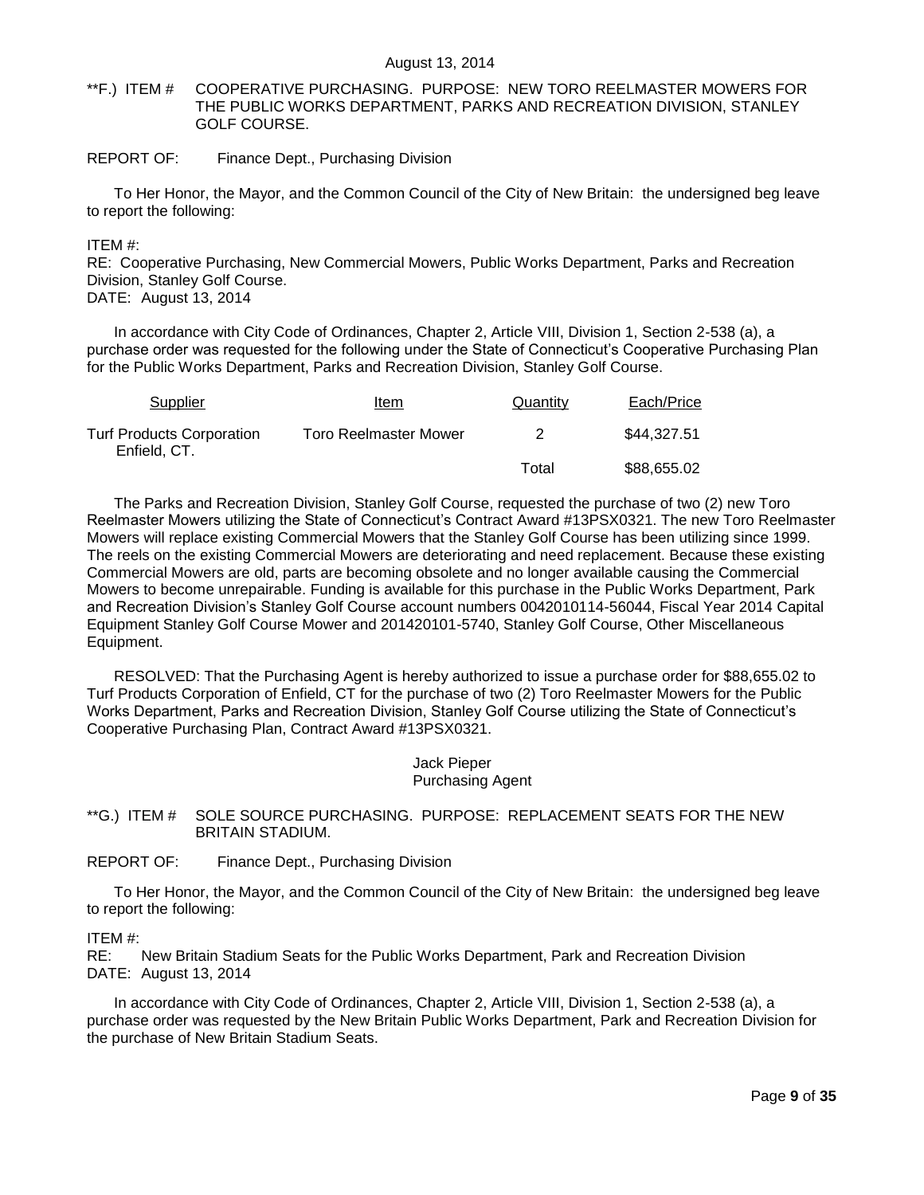<span id="page-8-0"></span>\*\*F.) ITEM # COOPERATIVE PURCHASING. PURPOSE: NEW TORO REELMASTER MOWERS FOR THE PUBLIC WORKS DEPARTMENT, PARKS AND RECREATION DIVISION, STANLEY GOLF COURSE.

## REPORT OF: Finance Dept., Purchasing Division

To Her Honor, the Mayor, and the Common Council of the City of New Britain: the undersigned beg leave to report the following:

#### ITEM #:

RE: Cooperative Purchasing, New Commercial Mowers, Public Works Department, Parks and Recreation Division, Stanley Golf Course.

DATE: August 13, 2014

In accordance with City Code of Ordinances, Chapter 2, Article VIII, Division 1, Section 2-538 (a), a purchase order was requested for the following under the State of Connecticut's Cooperative Purchasing Plan for the Public Works Department, Parks and Recreation Division, Stanley Golf Course.

| Supplier                                  | Item                         | Quantity | Each/Price  |
|-------------------------------------------|------------------------------|----------|-------------|
| Turf Products Corporation<br>Enfield, CT. | <b>Toro Reelmaster Mower</b> |          | \$44,327.51 |
|                                           |                              | Total    | \$88,655.02 |

The Parks and Recreation Division, Stanley Golf Course, requested the purchase of two (2) new Toro Reelmaster Mowers utilizing the State of Connecticut"s Contract Award #13PSX0321. The new Toro Reelmaster Mowers will replace existing Commercial Mowers that the Stanley Golf Course has been utilizing since 1999. The reels on the existing Commercial Mowers are deteriorating and need replacement. Because these existing Commercial Mowers are old, parts are becoming obsolete and no longer available causing the Commercial Mowers to become unrepairable. Funding is available for this purchase in the Public Works Department, Park and Recreation Division"s Stanley Golf Course account numbers 0042010114-56044, Fiscal Year 2014 Capital Equipment Stanley Golf Course Mower and 201420101-5740, Stanley Golf Course, Other Miscellaneous Equipment.

RESOLVED: That the Purchasing Agent is hereby authorized to issue a purchase order for \$88,655.02 to Turf Products Corporation of Enfield, CT for the purchase of two (2) Toro Reelmaster Mowers for the Public Works Department, Parks and Recreation Division, Stanley Golf Course utilizing the State of Connecticut"s Cooperative Purchasing Plan, Contract Award #13PSX0321.

## Jack Pieper Purchasing Agent

## <span id="page-8-1"></span>\*\*G.) ITEM # SOLE SOURCE PURCHASING. PURPOSE: REPLACEMENT SEATS FOR THE NEW BRITAIN STADIUM.

## REPORT OF: Finance Dept., Purchasing Division

To Her Honor, the Mayor, and the Common Council of the City of New Britain: the undersigned beg leave to report the following:

### ITEM #:

RE: New Britain Stadium Seats for the Public Works Department, Park and Recreation Division DATE: August 13, 2014

In accordance with City Code of Ordinances, Chapter 2, Article VIII, Division 1, Section 2-538 (a), a purchase order was requested by the New Britain Public Works Department, Park and Recreation Division for the purchase of New Britain Stadium Seats.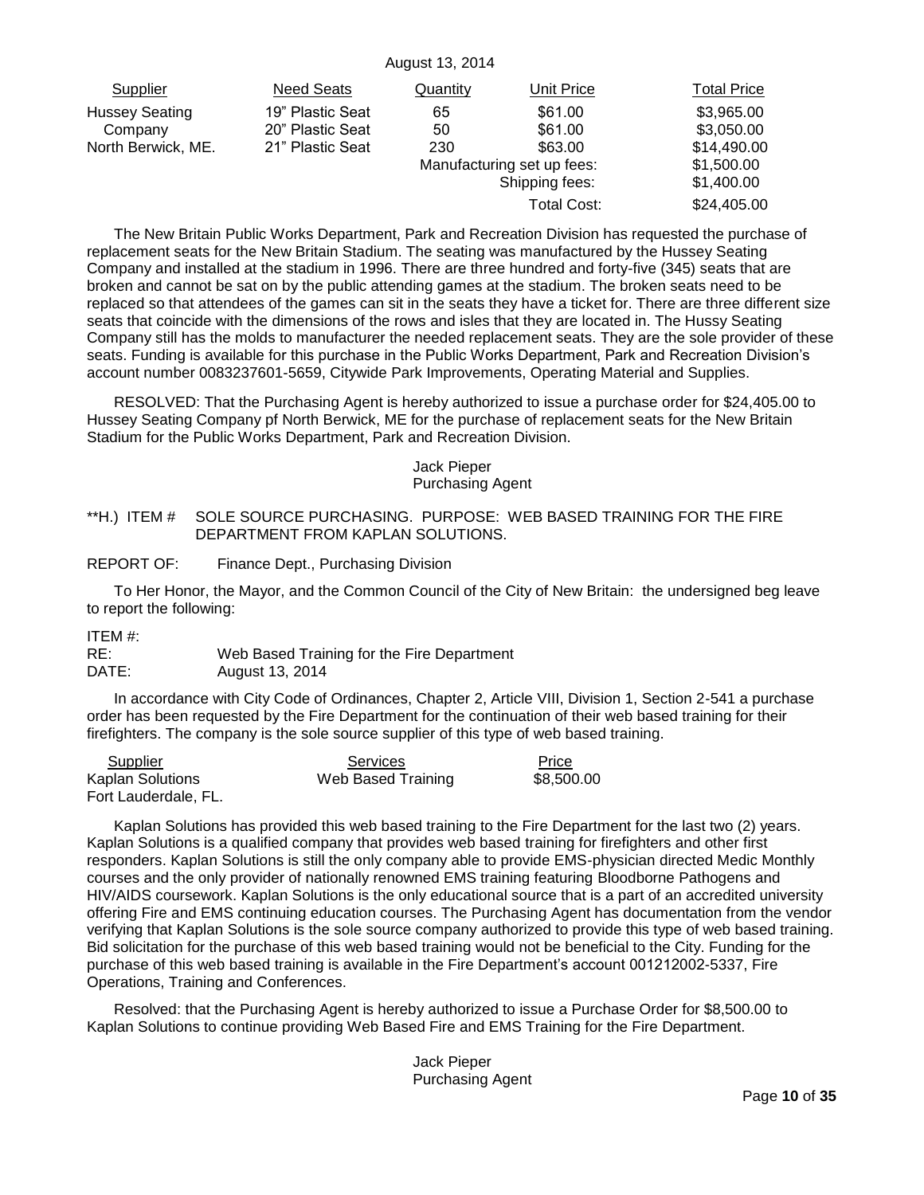| Supplier              | Need Seats       | Quantity | Unit Price                 | <b>Total Price</b> |
|-----------------------|------------------|----------|----------------------------|--------------------|
| <b>Hussey Seating</b> | 19" Plastic Seat | 65       | \$61.00                    | \$3,965.00         |
| Company               | 20" Plastic Seat | 50       | \$61.00                    | \$3,050.00         |
| North Berwick, ME.    | 21" Plastic Seat | 230      | \$63.00                    | \$14,490.00        |
|                       |                  |          | Manufacturing set up fees: | \$1,500.00         |
|                       |                  |          | Shipping fees:             | \$1,400.00         |
|                       |                  |          | Total Cost:                | \$24,405.00        |

The New Britain Public Works Department, Park and Recreation Division has requested the purchase of replacement seats for the New Britain Stadium. The seating was manufactured by the Hussey Seating Company and installed at the stadium in 1996. There are three hundred and forty-five (345) seats that are broken and cannot be sat on by the public attending games at the stadium. The broken seats need to be replaced so that attendees of the games can sit in the seats they have a ticket for. There are three different size seats that coincide with the dimensions of the rows and isles that they are located in. The Hussy Seating Company still has the molds to manufacturer the needed replacement seats. They are the sole provider of these seats. Funding is available for this purchase in the Public Works Department, Park and Recreation Division"s account number 0083237601-5659, Citywide Park Improvements, Operating Material and Supplies.

RESOLVED: That the Purchasing Agent is hereby authorized to issue a purchase order for \$24,405.00 to Hussey Seating Company pf North Berwick, ME for the purchase of replacement seats for the New Britain Stadium for the Public Works Department, Park and Recreation Division.

#### Jack Pieper Purchasing Agent

## <span id="page-9-0"></span>\*\*H.) ITEM # SOLE SOURCE PURCHASING. PURPOSE: WEB BASED TRAINING FOR THE FIRE DEPARTMENT FROM KAPLAN SOLUTIONS.

### REPORT OF: Finance Dept., Purchasing Division

To Her Honor, the Mayor, and the Common Council of the City of New Britain: the undersigned beg leave to report the following:

ITEM #:

RE: Web Based Training for the Fire Department DATE: August 13, 2014

In accordance with City Code of Ordinances, Chapter 2, Article VIII, Division 1, Section 2-541 a purchase order has been requested by the Fire Department for the continuation of their web based training for their firefighters. The company is the sole source supplier of this type of web based training.

| Supplier                | Services           | Price      |
|-------------------------|--------------------|------------|
| <b>Kaplan Solutions</b> | Web Based Training | \$8,500.00 |
| Fort Lauderdale, FL.    |                    |            |

Kaplan Solutions has provided this web based training to the Fire Department for the last two (2) years. Kaplan Solutions is a qualified company that provides web based training for firefighters and other first responders. Kaplan Solutions is still the only company able to provide EMS-physician directed Medic Monthly courses and the only provider of nationally renowned EMS training featuring Bloodborne Pathogens and HIV/AIDS coursework. Kaplan Solutions is the only educational source that is a part of an accredited university offering Fire and EMS continuing education courses. The Purchasing Agent has documentation from the vendor verifying that Kaplan Solutions is the sole source company authorized to provide this type of web based training. Bid solicitation for the purchase of this web based training would not be beneficial to the City. Funding for the purchase of this web based training is available in the Fire Department"s account 001212002-5337, Fire Operations, Training and Conferences.

Resolved: that the Purchasing Agent is hereby authorized to issue a Purchase Order for \$8,500.00 to Kaplan Solutions to continue providing Web Based Fire and EMS Training for the Fire Department.

> Jack Pieper Purchasing Agent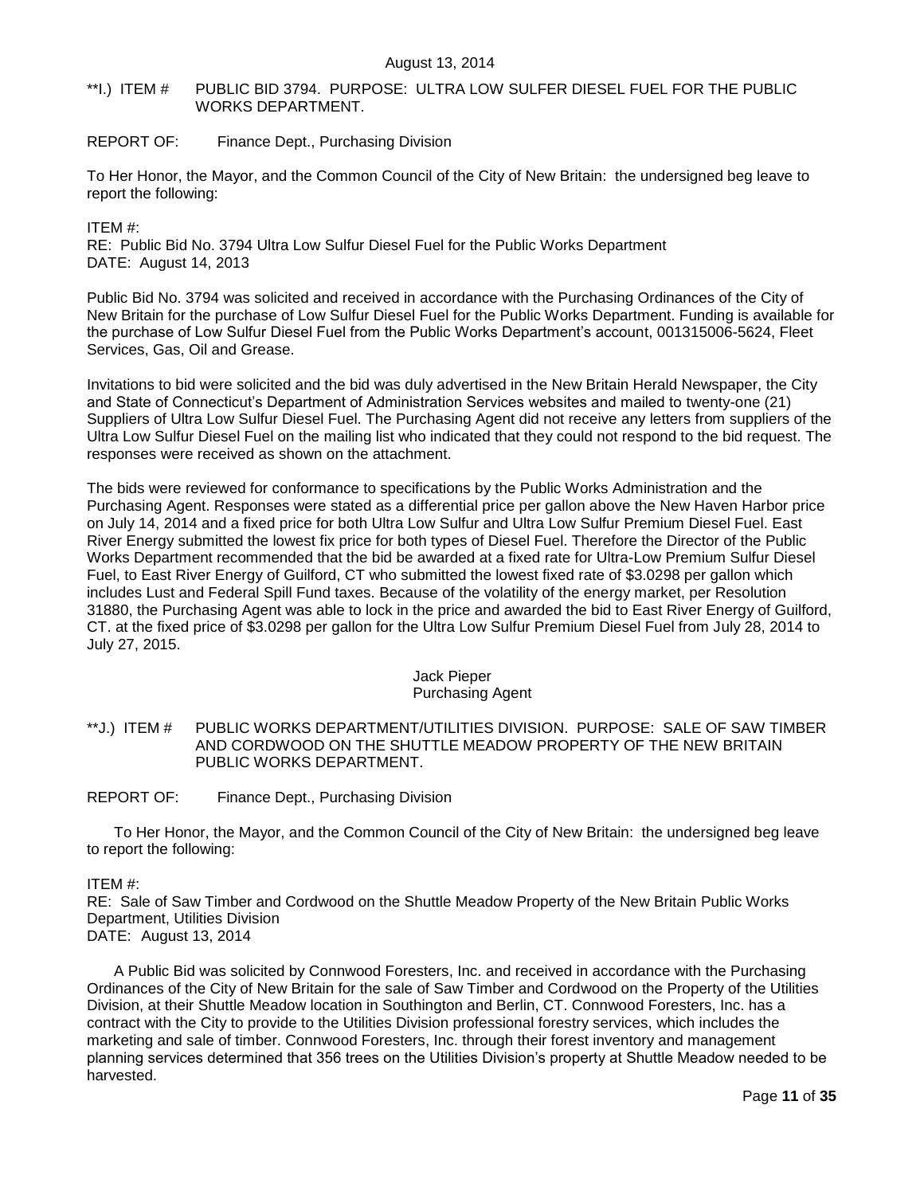## <span id="page-10-0"></span>\*\*I.) ITEM # PUBLIC BID 3794. PURPOSE: ULTRA LOW SULFER DIESEL FUEL FOR THE PUBLIC WORKS DEPARTMENT.

## REPORT OF: Finance Dept., Purchasing Division

To Her Honor, the Mayor, and the Common Council of the City of New Britain: the undersigned beg leave to report the following:

ITEM #:

RE: Public Bid No. 3794 Ultra Low Sulfur Diesel Fuel for the Public Works Department DATE: August 14, 2013

Public Bid No. 3794 was solicited and received in accordance with the Purchasing Ordinances of the City of New Britain for the purchase of Low Sulfur Diesel Fuel for the Public Works Department. Funding is available for the purchase of Low Sulfur Diesel Fuel from the Public Works Department"s account, 001315006-5624, Fleet Services, Gas, Oil and Grease.

Invitations to bid were solicited and the bid was duly advertised in the New Britain Herald Newspaper, the City and State of Connecticut"s Department of Administration Services websites and mailed to twenty-one (21) Suppliers of Ultra Low Sulfur Diesel Fuel. The Purchasing Agent did not receive any letters from suppliers of the Ultra Low Sulfur Diesel Fuel on the mailing list who indicated that they could not respond to the bid request. The responses were received as shown on the attachment.

The bids were reviewed for conformance to specifications by the Public Works Administration and the Purchasing Agent. Responses were stated as a differential price per gallon above the New Haven Harbor price on July 14, 2014 and a fixed price for both Ultra Low Sulfur and Ultra Low Sulfur Premium Diesel Fuel. East River Energy submitted the lowest fix price for both types of Diesel Fuel. Therefore the Director of the Public Works Department recommended that the bid be awarded at a fixed rate for Ultra-Low Premium Sulfur Diesel Fuel, to East River Energy of Guilford, CT who submitted the lowest fixed rate of \$3.0298 per gallon which includes Lust and Federal Spill Fund taxes. Because of the volatility of the energy market, per Resolution 31880, the Purchasing Agent was able to lock in the price and awarded the bid to East River Energy of Guilford, CT. at the fixed price of \$3.0298 per gallon for the Ultra Low Sulfur Premium Diesel Fuel from July 28, 2014 to July 27, 2015.

#### Jack Pieper Purchasing Agent

<span id="page-10-1"></span>\*\*J.) ITEM # PUBLIC WORKS DEPARTMENT/UTILITIES DIVISION. PURPOSE: SALE OF SAW TIMBER AND CORDWOOD ON THE SHUTTLE MEADOW PROPERTY OF THE NEW BRITAIN PUBLIC WORKS DEPARTMENT.

REPORT OF: Finance Dept., Purchasing Division

To Her Honor, the Mayor, and the Common Council of the City of New Britain: the undersigned beg leave to report the following:

ITEM #:

RE: Sale of Saw Timber and Cordwood on the Shuttle Meadow Property of the New Britain Public Works Department, Utilities Division DATE: August 13, 2014

A Public Bid was solicited by Connwood Foresters, Inc. and received in accordance with the Purchasing Ordinances of the City of New Britain for the sale of Saw Timber and Cordwood on the Property of the Utilities Division, at their Shuttle Meadow location in Southington and Berlin, CT. Connwood Foresters, Inc. has a contract with the City to provide to the Utilities Division professional forestry services, which includes the marketing and sale of timber. Connwood Foresters, Inc. through their forest inventory and management planning services determined that 356 trees on the Utilities Division"s property at Shuttle Meadow needed to be harvested.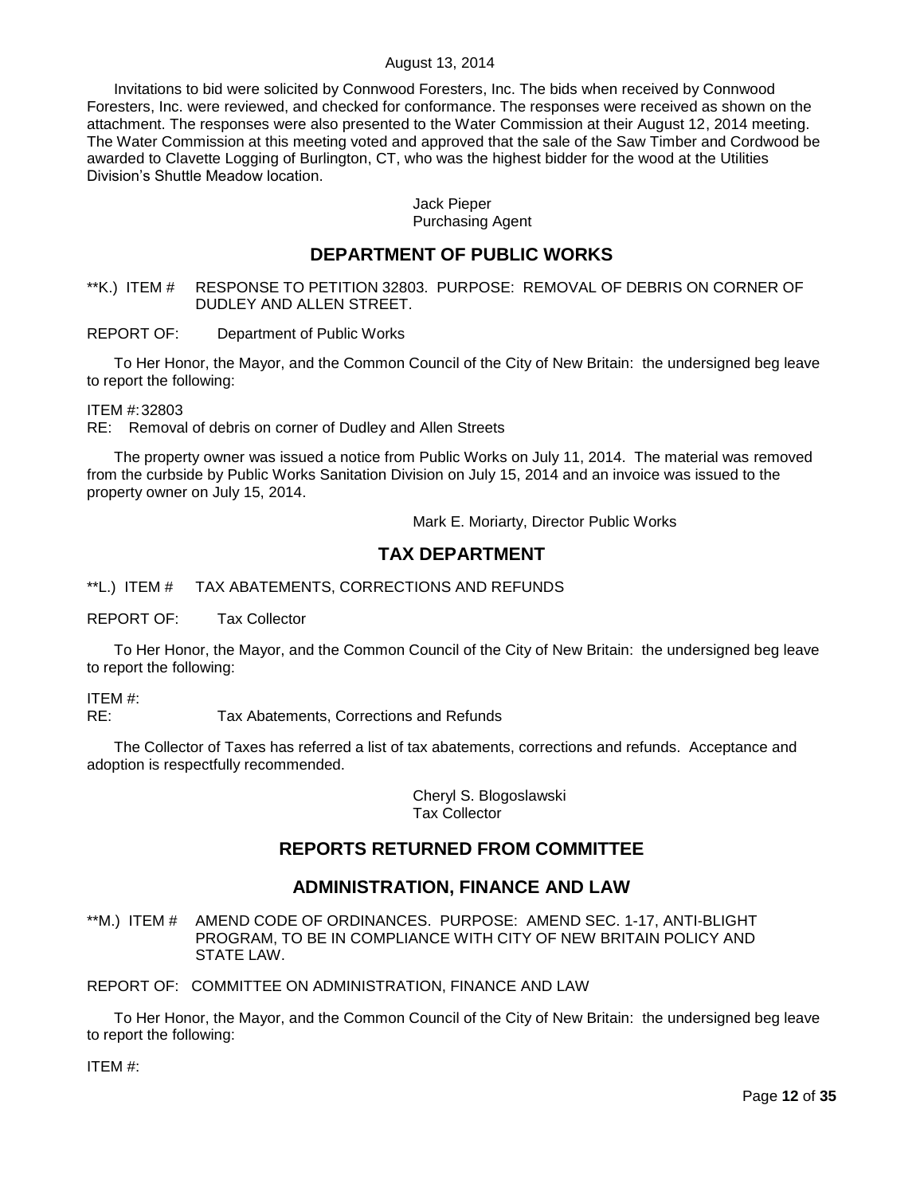Invitations to bid were solicited by Connwood Foresters, Inc. The bids when received by Connwood Foresters, Inc. were reviewed, and checked for conformance. The responses were received as shown on the attachment. The responses were also presented to the Water Commission at their August 12, 2014 meeting. The Water Commission at this meeting voted and approved that the sale of the Saw Timber and Cordwood be awarded to Clavette Logging of Burlington, CT, who was the highest bidder for the wood at the Utilities Division"s Shuttle Meadow location.

## Jack Pieper Purchasing Agent

# **DEPARTMENT OF PUBLIC WORKS**

<span id="page-11-0"></span>\*\*K.) ITEM # RESPONSE TO PETITION 32803. PURPOSE: REMOVAL OF DEBRIS ON CORNER OF DUDLEY AND ALLEN STREET.

REPORT OF: Department of Public Works

To Her Honor, the Mayor, and the Common Council of the City of New Britain: the undersigned beg leave to report the following:

ITEM #:32803

RE: Removal of debris on corner of Dudley and Allen Streets

The property owner was issued a notice from Public Works on July 11, 2014. The material was removed from the curbside by Public Works Sanitation Division on July 15, 2014 and an invoice was issued to the property owner on July 15, 2014.

Mark E. Moriarty, Director Public Works

# **TAX DEPARTMENT**

<span id="page-11-1"></span>\*\*L.) ITEM # TAX ABATEMENTS, CORRECTIONS AND REFUNDS

REPORT OF: Tax Collector

To Her Honor, the Mayor, and the Common Council of the City of New Britain: the undersigned beg leave to report the following:

ITEM #:

RE: Tax Abatements, Corrections and Refunds

The Collector of Taxes has referred a list of tax abatements, corrections and refunds. Acceptance and adoption is respectfully recommended.

> Cheryl S. Blogoslawski Tax Collector

# **REPORTS RETURNED FROM COMMITTEE**

# **ADMINISTRATION, FINANCE AND LAW**

<span id="page-11-2"></span>\*\*M.) ITEM # AMEND CODE OF ORDINANCES. PURPOSE: AMEND SEC. 1-17, ANTI-BLIGHT PROGRAM, TO BE IN COMPLIANCE WITH CITY OF NEW BRITAIN POLICY AND STATE LAW.

REPORT OF: COMMITTEE ON ADMINISTRATION, FINANCE AND LAW

To Her Honor, the Mayor, and the Common Council of the City of New Britain: the undersigned beg leave to report the following:

ITEM #: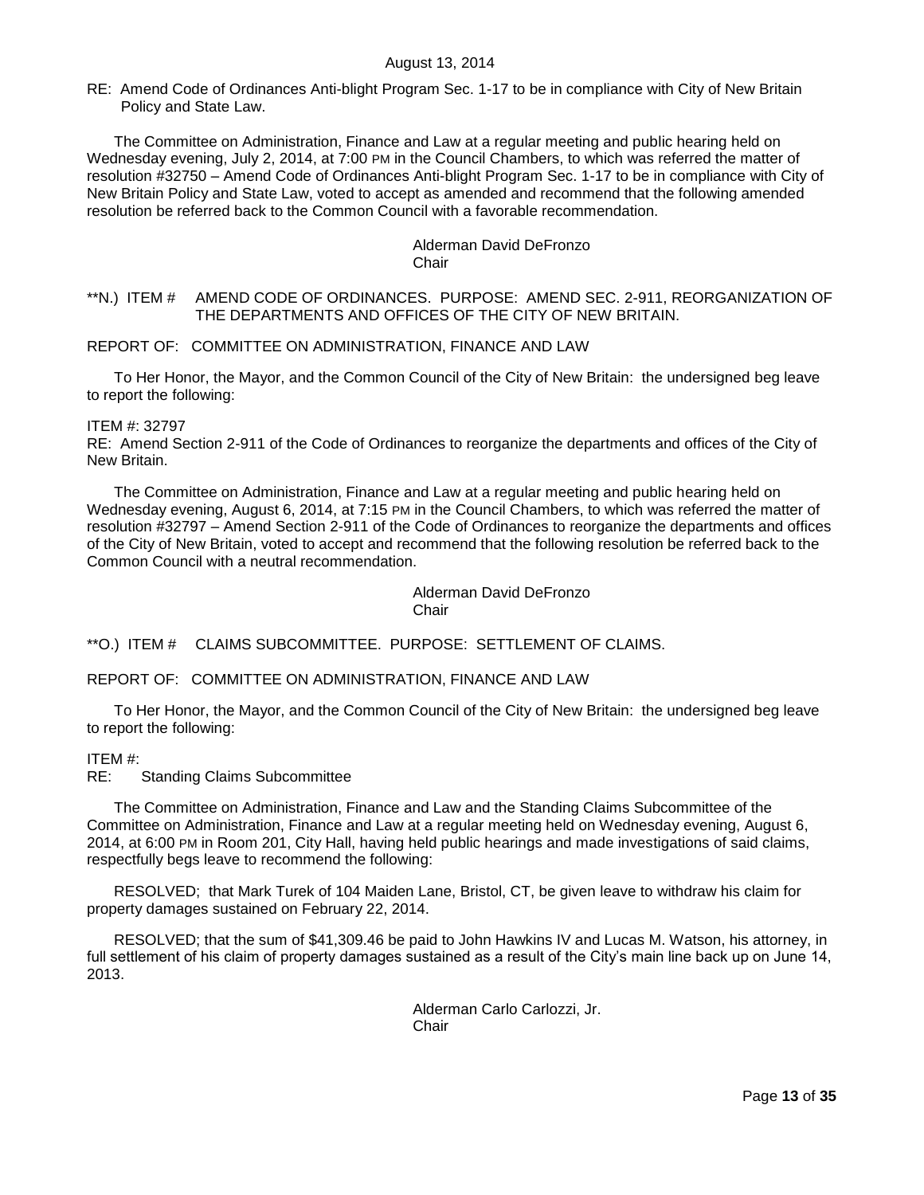RE: Amend Code of Ordinances Anti-blight Program Sec. 1-17 to be in compliance with City of New Britain Policy and State Law.

The Committee on Administration, Finance and Law at a regular meeting and public hearing held on Wednesday evening, July 2, 2014, at 7:00 PM in the Council Chambers, to which was referred the matter of resolution #32750 – Amend Code of Ordinances Anti-blight Program Sec. 1-17 to be in compliance with City of New Britain Policy and State Law, voted to accept as amended and recommend that the following amended resolution be referred back to the Common Council with a favorable recommendation.

#### Alderman David DeFronzo **Chair**

## <span id="page-12-0"></span>\*\*N.) ITEM # AMEND CODE OF ORDINANCES. PURPOSE: AMEND SEC. 2-911, REORGANIZATION OF THE DEPARTMENTS AND OFFICES OF THE CITY OF NEW BRITAIN.

## REPORT OF: COMMITTEE ON ADMINISTRATION, FINANCE AND LAW

To Her Honor, the Mayor, and the Common Council of the City of New Britain: the undersigned beg leave to report the following:

### ITEM #: 32797

RE: Amend Section 2-911 of the Code of Ordinances to reorganize the departments and offices of the City of New Britain.

The Committee on Administration, Finance and Law at a regular meeting and public hearing held on Wednesday evening, August 6, 2014, at 7:15 PM in the Council Chambers, to which was referred the matter of resolution #32797 – Amend Section 2-911 of the Code of Ordinances to reorganize the departments and offices of the City of New Britain, voted to accept and recommend that the following resolution be referred back to the Common Council with a neutral recommendation.

> Alderman David DeFronzo **Chair**

<span id="page-12-1"></span>\*\*O.) ITEM # CLAIMS SUBCOMMITTEE. PURPOSE: SETTLEMENT OF CLAIMS.

## REPORT OF: COMMITTEE ON ADMINISTRATION, FINANCE AND LAW

To Her Honor, the Mayor, and the Common Council of the City of New Britain: the undersigned beg leave to report the following:

## ITEM #:

RE: Standing Claims Subcommittee

The Committee on Administration, Finance and Law and the Standing Claims Subcommittee of the Committee on Administration, Finance and Law at a regular meeting held on Wednesday evening, August 6, 2014, at 6:00 PM in Room 201, City Hall, having held public hearings and made investigations of said claims, respectfully begs leave to recommend the following:

RESOLVED; that Mark Turek of 104 Maiden Lane, Bristol, CT, be given leave to withdraw his claim for property damages sustained on February 22, 2014.

RESOLVED; that the sum of \$41,309.46 be paid to John Hawkins IV and Lucas M. Watson, his attorney, in full settlement of his claim of property damages sustained as a result of the City's main line back up on June 14, 2013.

> Alderman Carlo Carlozzi, Jr. Chair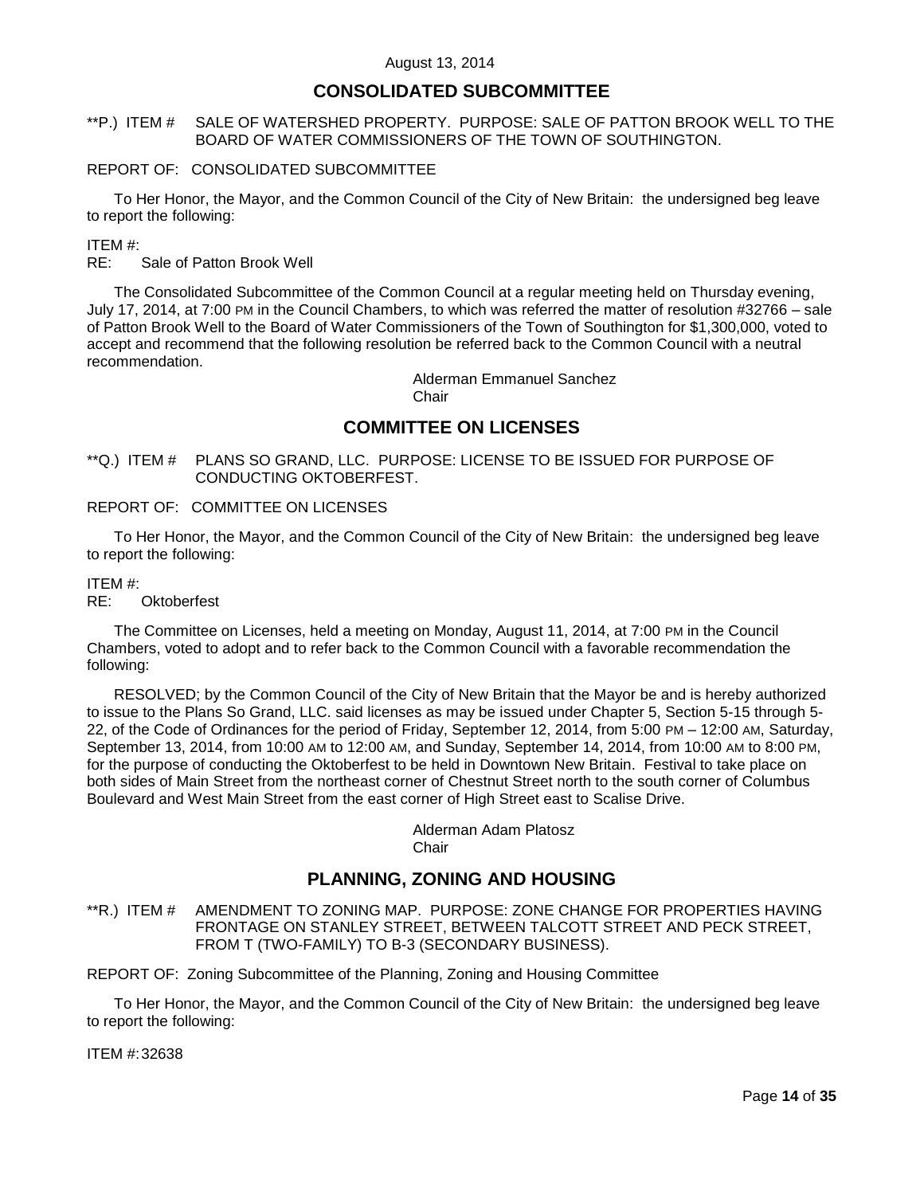# **CONSOLIDATED SUBCOMMITTEE**

## <span id="page-13-0"></span>\*\*P.) ITEM # SALE OF WATERSHED PROPERTY. PURPOSE: SALE OF PATTON BROOK WELL TO THE BOARD OF WATER COMMISSIONERS OF THE TOWN OF SOUTHINGTON.

### REPORT OF: CONSOLIDATED SUBCOMMITTEE

To Her Honor, the Mayor, and the Common Council of the City of New Britain: the undersigned beg leave to report the following:

ITEM #:

RE: Sale of Patton Brook Well

The Consolidated Subcommittee of the Common Council at a regular meeting held on Thursday evening, July 17, 2014, at 7:00 PM in the Council Chambers, to which was referred the matter of resolution #32766 – sale of Patton Brook Well to the Board of Water Commissioners of the Town of Southington for \$1,300,000, voted to accept and recommend that the following resolution be referred back to the Common Council with a neutral recommendation.

Alderman Emmanuel Sanchez

**Chair** 

# **COMMITTEE ON LICENSES**

<span id="page-13-1"></span>\*\*Q.) ITEM # PLANS SO GRAND, LLC. PURPOSE: LICENSE TO BE ISSUED FOR PURPOSE OF CONDUCTING OKTOBERFEST.

# REPORT OF: COMMITTEE ON LICENSES

To Her Honor, the Mayor, and the Common Council of the City of New Britain: the undersigned beg leave to report the following:

#### ITEM #:

RE: Oktoberfest

The Committee on Licenses, held a meeting on Monday, August 11, 2014, at 7:00 PM in the Council Chambers, voted to adopt and to refer back to the Common Council with a favorable recommendation the following:

RESOLVED; by the Common Council of the City of New Britain that the Mayor be and is hereby authorized to issue to the Plans So Grand, LLC. said licenses as may be issued under Chapter 5, Section 5-15 through 5- 22, of the Code of Ordinances for the period of Friday, September 12, 2014, from 5:00 PM – 12:00 AM, Saturday, September 13, 2014, from 10:00 AM to 12:00 AM, and Sunday, September 14, 2014, from 10:00 AM to 8:00 PM, for the purpose of conducting the Oktoberfest to be held in Downtown New Britain. Festival to take place on both sides of Main Street from the northeast corner of Chestnut Street north to the south corner of Columbus Boulevard and West Main Street from the east corner of High Street east to Scalise Drive.

> Alderman Adam Platosz **Chair**

# **PLANNING, ZONING AND HOUSING**

<span id="page-13-2"></span>\*\*R.) ITEM # AMENDMENT TO ZONING MAP. PURPOSE: ZONE CHANGE FOR PROPERTIES HAVING FRONTAGE ON STANLEY STREET, BETWEEN TALCOTT STREET AND PECK STREET, FROM T (TWO-FAMILY) TO B-3 (SECONDARY BUSINESS).

REPORT OF: Zoning Subcommittee of the Planning, Zoning and Housing Committee

To Her Honor, the Mayor, and the Common Council of the City of New Britain: the undersigned beg leave to report the following:

ITEM #:32638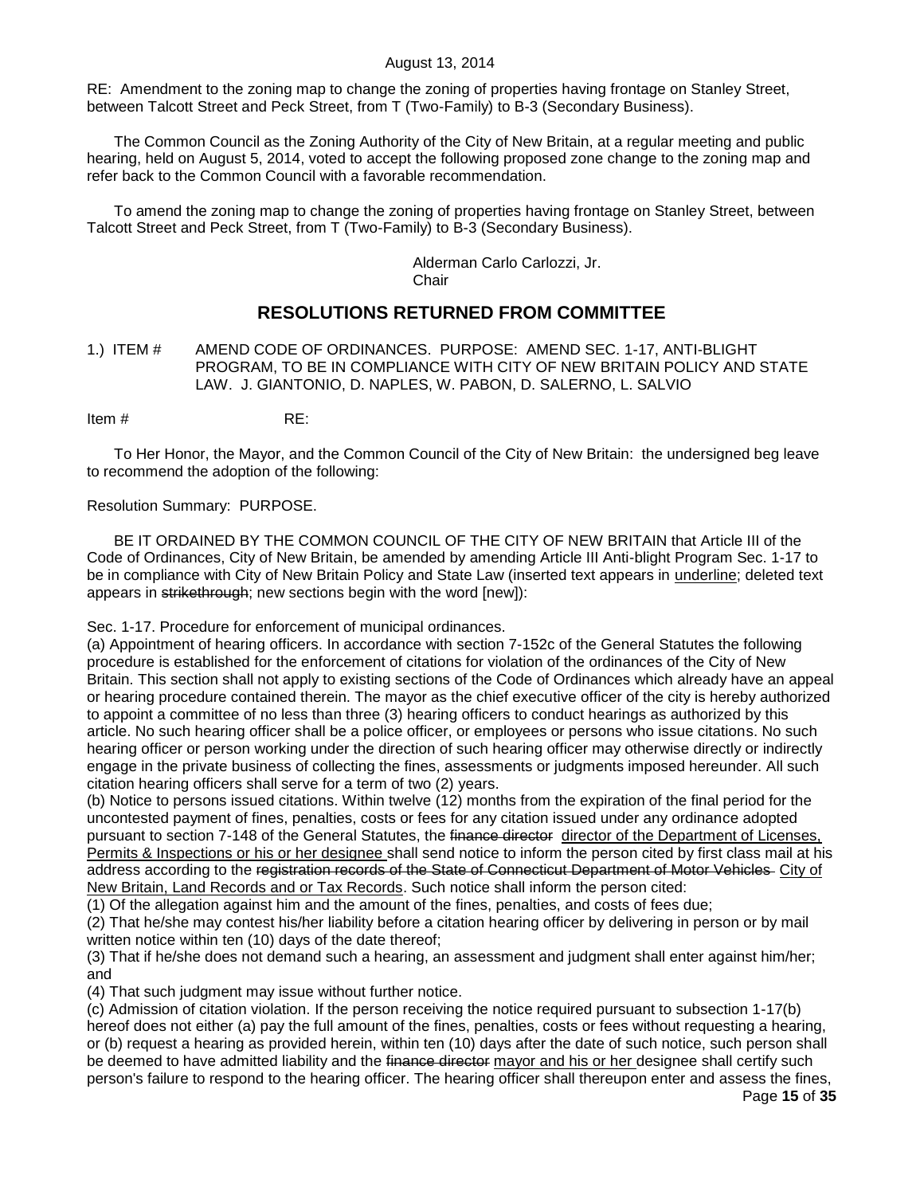RE: Amendment to the zoning map to change the zoning of properties having frontage on Stanley Street, between Talcott Street and Peck Street, from T (Two-Family) to B-3 (Secondary Business).

The Common Council as the Zoning Authority of the City of New Britain, at a regular meeting and public hearing, held on August 5, 2014, voted to accept the following proposed zone change to the zoning map and refer back to the Common Council with a favorable recommendation.

To amend the zoning map to change the zoning of properties having frontage on Stanley Street, between Talcott Street and Peck Street, from T (Two-Family) to B-3 (Secondary Business).

> Alderman Carlo Carlozzi, Jr. Chair

# **RESOLUTIONS RETURNED FROM COMMITTEE**

<span id="page-14-0"></span>1.) ITEM # AMEND CODE OF ORDINANCES. PURPOSE: AMEND SEC. 1-17, ANTI-BLIGHT PROGRAM, TO BE IN COMPLIANCE WITH CITY OF NEW BRITAIN POLICY AND STATE LAW. J. GIANTONIO, D. NAPLES, W. PABON, D. SALERNO, L. SALVIO

Item # RE:

To Her Honor, the Mayor, and the Common Council of the City of New Britain: the undersigned beg leave to recommend the adoption of the following:

### Resolution Summary: PURPOSE.

BE IT ORDAINED BY THE COMMON COUNCIL OF THE CITY OF NEW BRITAIN that Article III of the Code of Ordinances, City of New Britain, be amended by amending Article III Anti-blight Program Sec. 1-17 to be in compliance with City of New Britain Policy and State Law (inserted text appears in underline; deleted text appears in strikethrough; new sections begin with the word [new]):

Sec. 1-17. Procedure for enforcement of municipal ordinances.

(a) Appointment of hearing officers. In accordance with section 7-152c of the General Statutes the following procedure is established for the enforcement of citations for violation of the ordinances of the City of New Britain. This section shall not apply to existing sections of the Code of Ordinances which already have an appeal or hearing procedure contained therein. The mayor as the chief executive officer of the city is hereby authorized to appoint a committee of no less than three (3) hearing officers to conduct hearings as authorized by this article. No such hearing officer shall be a police officer, or employees or persons who issue citations. No such hearing officer or person working under the direction of such hearing officer may otherwise directly or indirectly engage in the private business of collecting the fines, assessments or judgments imposed hereunder. All such citation hearing officers shall serve for a term of two (2) years.

(b) Notice to persons issued citations. Within twelve (12) months from the expiration of the final period for the uncontested payment of fines, penalties, costs or fees for any citation issued under any ordinance adopted pursuant to section 7-148 of the General Statutes, the finance director director of the Department of Licenses, Permits & Inspections or his or her designee shall send notice to inform the person cited by first class mail at his address according to the registration records of the State of Connecticut Department of Motor Vehicles City of New Britain, Land Records and or Tax Records. Such notice shall inform the person cited:

(1) Of the allegation against him and the amount of the fines, penalties, and costs of fees due;

(2) That he/she may contest his/her liability before a citation hearing officer by delivering in person or by mail written notice within ten (10) days of the date thereof;

(3) That if he/she does not demand such a hearing, an assessment and judgment shall enter against him/her; and

(4) That such judgment may issue without further notice.

(c) Admission of citation violation. If the person receiving the notice required pursuant to subsection 1-17(b) hereof does not either (a) pay the full amount of the fines, penalties, costs or fees without requesting a hearing, or (b) request a hearing as provided herein, within ten (10) days after the date of such notice, such person shall be deemed to have admitted liability and the finance director mayor and his or her designee shall certify such person's failure to respond to the hearing officer. The hearing officer shall thereupon enter and assess the fines,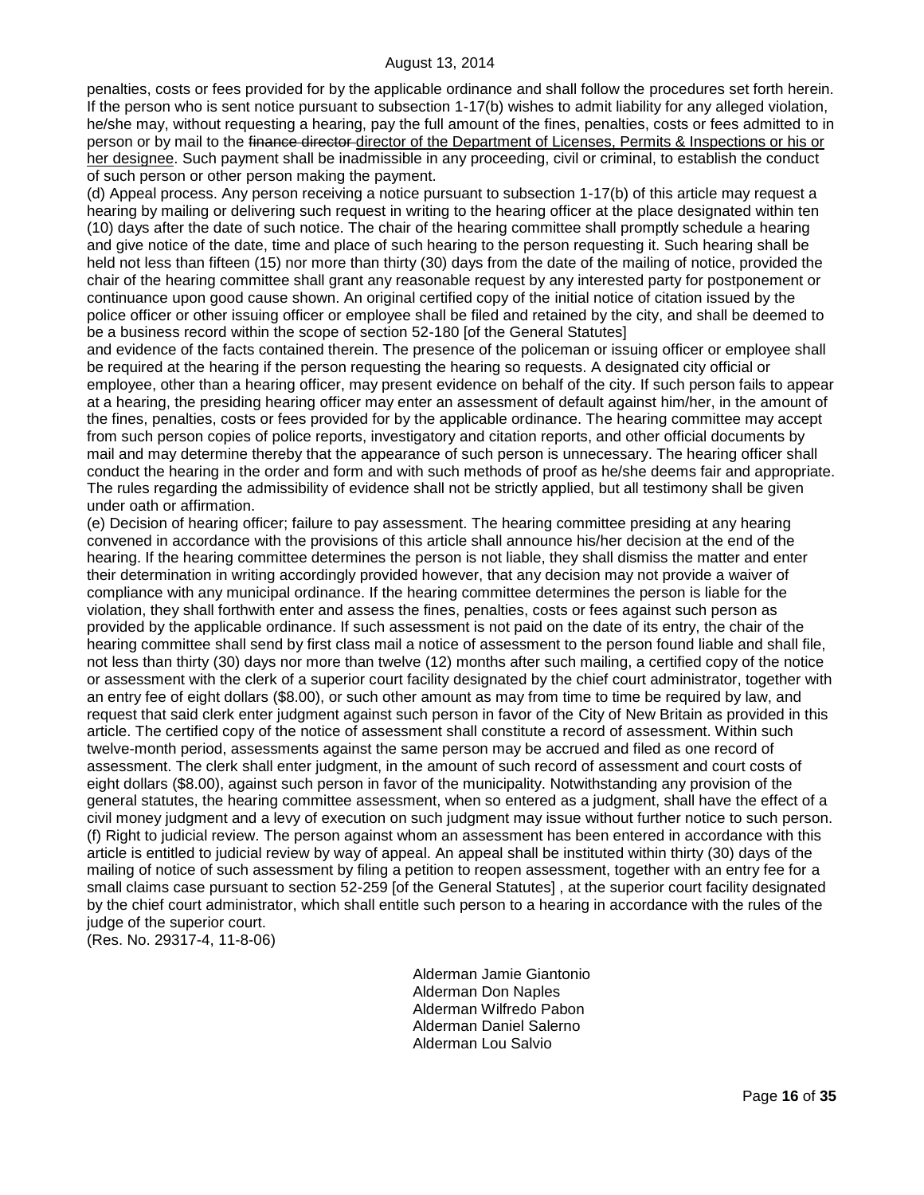penalties, costs or fees provided for by the applicable ordinance and shall follow the procedures set forth herein. If the person who is sent notice pursuant to subsection 1-17(b) wishes to admit liability for any alleged violation, he/she may, without requesting a hearing, pay the full amount of the fines, penalties, costs or fees admitted to in person or by mail to the finance director director of the Department of Licenses, Permits & Inspections or his or her designee. Such payment shall be inadmissible in any proceeding, civil or criminal, to establish the conduct of such person or other person making the payment.

(d) Appeal process. Any person receiving a notice pursuant to subsection 1-17(b) of this article may request a hearing by mailing or delivering such request in writing to the hearing officer at the place designated within ten (10) days after the date of such notice. The chair of the hearing committee shall promptly schedule a hearing and give notice of the date, time and place of such hearing to the person requesting it. Such hearing shall be held not less than fifteen (15) nor more than thirty (30) days from the date of the mailing of notice, provided the chair of the hearing committee shall grant any reasonable request by any interested party for postponement or continuance upon good cause shown. An original certified copy of the initial notice of citation issued by the police officer or other issuing officer or employee shall be filed and retained by the city, and shall be deemed to be a business record within the scope of section 52-180 [of the General Statutes]

and evidence of the facts contained therein. The presence of the policeman or issuing officer or employee shall be required at the hearing if the person requesting the hearing so requests. A designated city official or employee, other than a hearing officer, may present evidence on behalf of the city. If such person fails to appear at a hearing, the presiding hearing officer may enter an assessment of default against him/her, in the amount of the fines, penalties, costs or fees provided for by the applicable ordinance. The hearing committee may accept from such person copies of police reports, investigatory and citation reports, and other official documents by mail and may determine thereby that the appearance of such person is unnecessary. The hearing officer shall conduct the hearing in the order and form and with such methods of proof as he/she deems fair and appropriate. The rules regarding the admissibility of evidence shall not be strictly applied, but all testimony shall be given under oath or affirmation.

(e) Decision of hearing officer; failure to pay assessment. The hearing committee presiding at any hearing convened in accordance with the provisions of this article shall announce his/her decision at the end of the hearing. If the hearing committee determines the person is not liable, they shall dismiss the matter and enter their determination in writing accordingly provided however, that any decision may not provide a waiver of compliance with any municipal ordinance. If the hearing committee determines the person is liable for the violation, they shall forthwith enter and assess the fines, penalties, costs or fees against such person as provided by the applicable ordinance. If such assessment is not paid on the date of its entry, the chair of the hearing committee shall send by first class mail a notice of assessment to the person found liable and shall file, not less than thirty (30) days nor more than twelve (12) months after such mailing, a certified copy of the notice or assessment with the clerk of a superior court facility designated by the chief court administrator, together with an entry fee of eight dollars (\$8.00), or such other amount as may from time to time be required by law, and request that said clerk enter judgment against such person in favor of the City of New Britain as provided in this article. The certified copy of the notice of assessment shall constitute a record of assessment. Within such twelve-month period, assessments against the same person may be accrued and filed as one record of assessment. The clerk shall enter judgment, in the amount of such record of assessment and court costs of eight dollars (\$8.00), against such person in favor of the municipality. Notwithstanding any provision of the general statutes, the hearing committee assessment, when so entered as a judgment, shall have the effect of a civil money judgment and a levy of execution on such judgment may issue without further notice to such person. (f) Right to judicial review. The person against whom an assessment has been entered in accordance with this article is entitled to judicial review by way of appeal. An appeal shall be instituted within thirty (30) days of the mailing of notice of such assessment by filing a petition to reopen assessment, together with an entry fee for a small claims case pursuant to section 52-259 [of the General Statutes] , at the superior court facility designated by the chief court administrator, which shall entitle such person to a hearing in accordance with the rules of the judge of the superior court.

(Res. No. 29317-4, 11-8-06)

Alderman Jamie Giantonio Alderman Don Naples Alderman Wilfredo Pabon Alderman Daniel Salerno Alderman Lou Salvio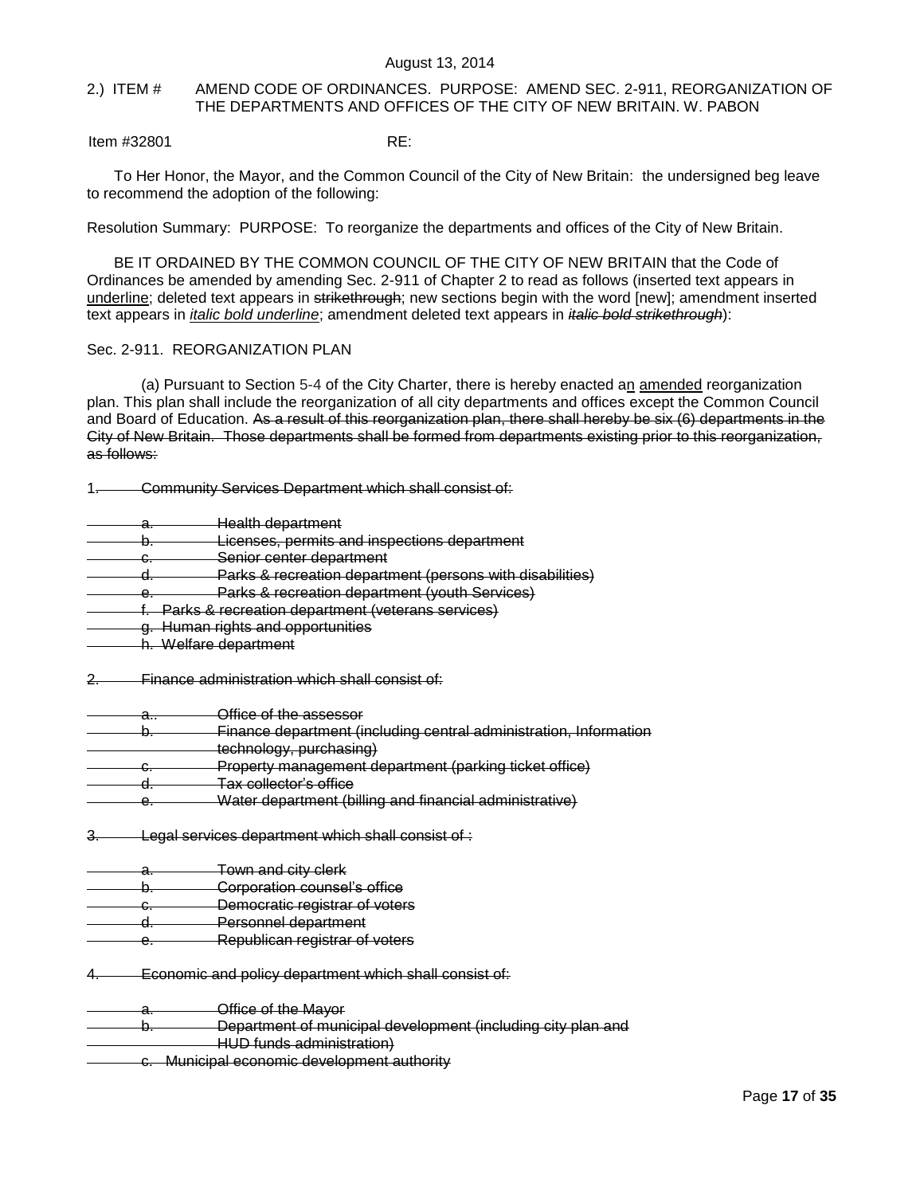## <span id="page-16-0"></span>2.) ITEM # AMEND CODE OF ORDINANCES. PURPOSE: AMEND SEC. 2-911, REORGANIZATION OF THE DEPARTMENTS AND OFFICES OF THE CITY OF NEW BRITAIN. W. PABON

Item #32801 RE:

To Her Honor, the Mayor, and the Common Council of the City of New Britain: the undersigned beg leave to recommend the adoption of the following:

Resolution Summary: PURPOSE: To reorganize the departments and offices of the City of New Britain.

BE IT ORDAINED BY THE COMMON COUNCIL OF THE CITY OF NEW BRITAIN that the Code of Ordinances be amended by amending Sec. 2-911 of Chapter 2 to read as follows (inserted text appears in underline; deleted text appears in strikethrough; new sections begin with the word [new]; amendment inserted text appears in *italic bold underline*; amendment deleted text appears in *italic bold strikethrough*):

## Sec. 2-911. REORGANIZATION PLAN

(a) Pursuant to Section 5-4 of the City Charter, there is hereby enacted an amended reorganization plan. This plan shall include the reorganization of all city departments and offices except the Common Council and Board of Education. As a result of this reorganization plan, there shall hereby be six (6) departments in the City of New Britain. Those departments shall be formed from departments existing prior to this reorganization, as follows:

1. Community Services Department which shall consist of:

- a. Health department
- b. Licenses, permits and inspections department
- c. Senior center department
- d. Parks & recreation department (persons with disabilities)
- e. Parks & recreation department (youth Services)
- f. Parks & recreation department (veterans services)
- g. Human rights and opportunities
- <del>g.</del> www.sareg.com<br>h. Welfare department
- 2. Finance administration which shall consist of:
- a.. Office of the assessor
- b. Finance department (including central administration, Information
- technology, purchasing)
- c. Property management department (parking ticket office)
- d. Tax collector's office
- e. Water department (billing and financial administrative)
- 3. Legal services department which shall consist of :
- a. Town and city clerk
- b. **Corporation counsel's office**
- c. Democratic registrar of voters
- d. Personnel department
- e. Republican registrar of voters
- 4. Economic and policy department which shall consist of:
- **Office of the Mayor**
- b. Department of municipal development (including city plan and
	- <del>exaged with the boydration</del><br>HUD funds administration)
- c. Municipal economic development authority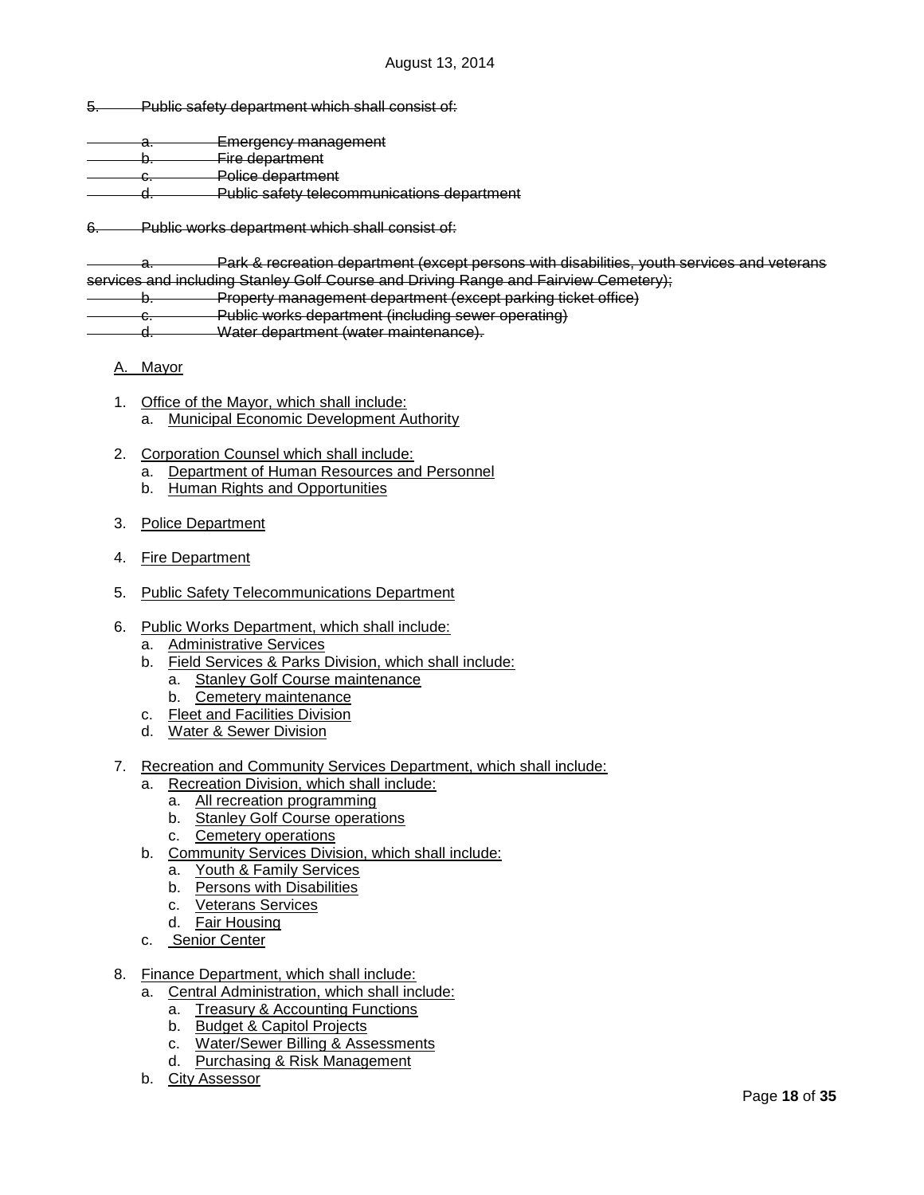5. Public safety department which shall consist of:

- a. Emergency management b. Fire department
- c. Police department
- d. Public safety telecommunications department

6. Public works department which shall consist of:

a. Park & recreation department (except persons with disabilities, youth services and veterans services and including Stanley Golf Course and Driving Range and Fairview Cemetery);

b. Property management department (except parking ticket office)

c. Public works department (including sewer operating)

d. Water department (water maintenance).

- A. Mayor
- 1. Office of the Mayor, which shall include: a. Municipal Economic Development Authority
- 2. Corporation Counsel which shall include:
	- a. Department of Human Resources and Personnel
	- b. Human Rights and Opportunities
- 3. Police Department
- 4. Fire Department
- 5. Public Safety Telecommunications Department
- 6. Public Works Department, which shall include:
	- a. Administrative Services
	- b. Field Services & Parks Division, which shall include:
		- a. Stanley Golf Course maintenance
	- b. Cemetery maintenance
	- c. Fleet and Facilities Division
	- d. Water & Sewer Division
- 7. Recreation and Community Services Department, which shall include:
	- a. Recreation Division, which shall include:
		- a. All recreation programming
		- b. Stanley Golf Course operations
		- c. Cemetery operations
	- b. Community Services Division, which shall include:
		- a. Youth & Family Services
		- b. Persons with Disabilities
		- c. Veterans Services
		- d. Fair Housing
	- c. Senior Center
- 8. Finance Department, which shall include:
	- a. Central Administration, which shall include:
		- a. Treasury & Accounting Functions
		- b. Budget & Capitol Projects
		- c. Water/Sewer Billing & Assessments
		- d. Purchasing & Risk Management
	- b. City Assessor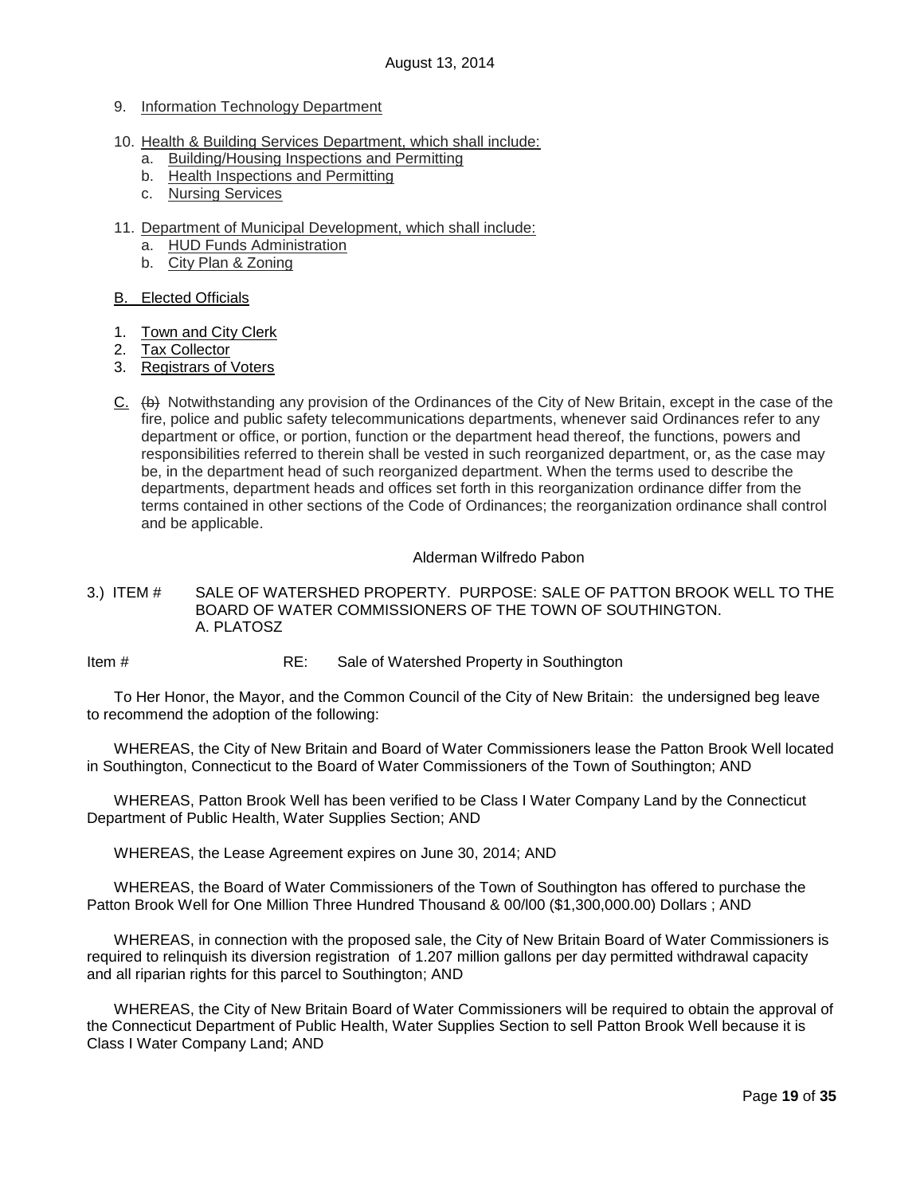- 9. Information Technology Department
- 10. Health & Building Services Department, which shall include:
	- a. Building/Housing Inspections and Permitting
	- b. Health Inspections and Permitting
	- c. Nursing Services
- 11. Department of Municipal Development, which shall include:
	- a. HUD Funds Administration
	- b. City Plan & Zoning

## B. Elected Officials

- 1. Town and City Clerk
- 2. Tax Collector
- 3. Registrars of Voters
- C. (b) Notwithstanding any provision of the Ordinances of the City of New Britain, except in the case of the fire, police and public safety telecommunications departments, whenever said Ordinances refer to any department or office, or portion, function or the department head thereof, the functions, powers and responsibilities referred to therein shall be vested in such reorganized department, or, as the case may be, in the department head of such reorganized department. When the terms used to describe the departments, department heads and offices set forth in this reorganization ordinance differ from the terms contained in other sections of the Code of Ordinances; the reorganization ordinance shall control and be applicable.

## Alderman Wilfredo Pabon

<span id="page-18-0"></span>3.) ITEM # SALE OF WATERSHED PROPERTY. PURPOSE: SALE OF PATTON BROOK WELL TO THE BOARD OF WATER COMMISSIONERS OF THE TOWN OF SOUTHINGTON. A. PLATOSZ

Item # RE: Sale of Watershed Property in Southington

To Her Honor, the Mayor, and the Common Council of the City of New Britain: the undersigned beg leave to recommend the adoption of the following:

WHEREAS, the City of New Britain and Board of Water Commissioners lease the Patton Brook Well located in Southington, Connecticut to the Board of Water Commissioners of the Town of Southington; AND

WHEREAS, Patton Brook Well has been verified to be Class I Water Company Land by the Connecticut Department of Public Health, Water Supplies Section; AND

WHEREAS, the Lease Agreement expires on June 30, 2014; AND

WHEREAS, the Board of Water Commissioners of the Town of Southington has offered to purchase the Patton Brook Well for One Million Three Hundred Thousand & 00/l00 (\$1,300,000.00) Dollars ; AND

WHEREAS, in connection with the proposed sale, the City of New Britain Board of Water Commissioners is required to relinquish its diversion registration of 1.207 million gallons per day permitted withdrawal capacity and all riparian rights for this parcel to Southington; AND

WHEREAS, the City of New Britain Board of Water Commissioners will be required to obtain the approval of the Connecticut Department of Public Health, Water Supplies Section to sell Patton Brook Well because it is Class I Water Company Land; AND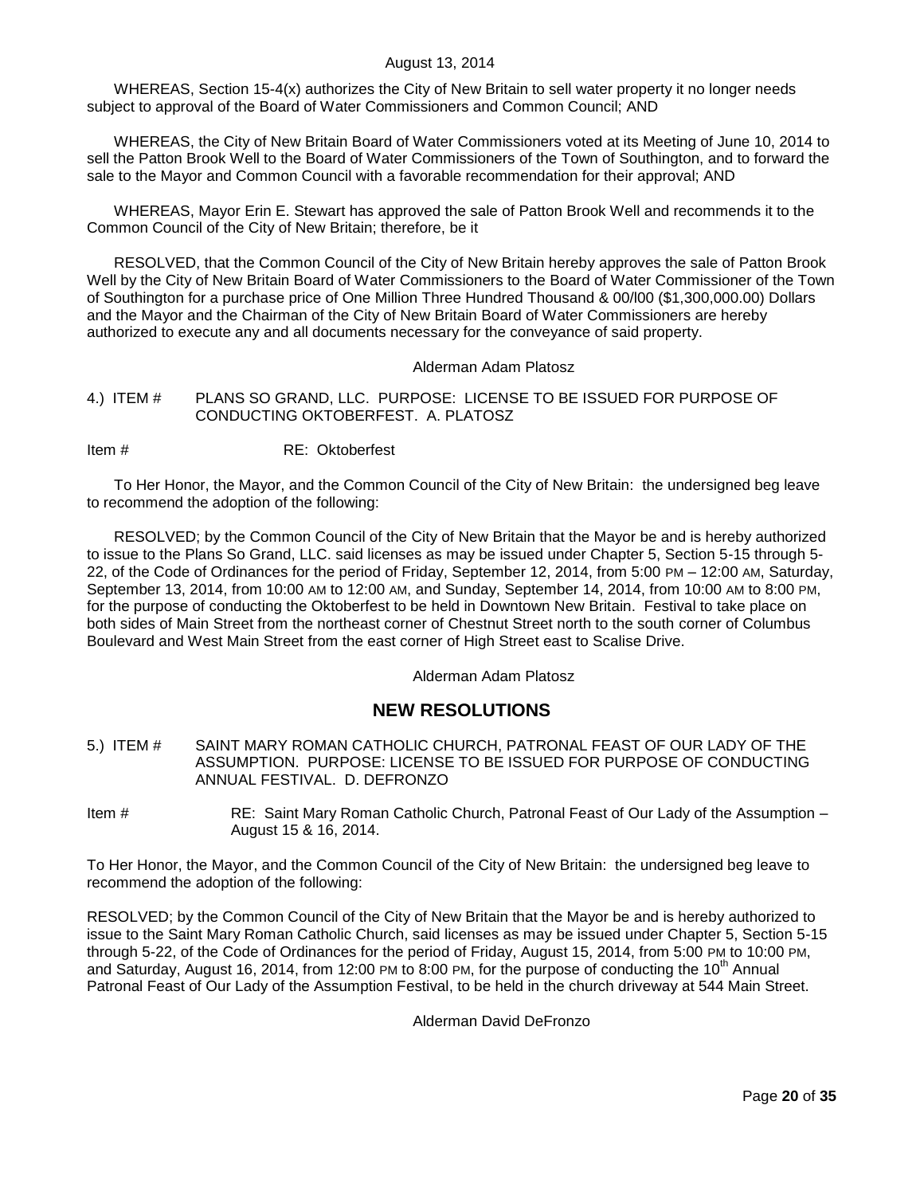WHEREAS, Section 15-4(x) authorizes the City of New Britain to sell water property it no longer needs subject to approval of the Board of Water Commissioners and Common Council; AND

WHEREAS, the City of New Britain Board of Water Commissioners voted at its Meeting of June 10, 2014 to sell the Patton Brook Well to the Board of Water Commissioners of the Town of Southington, and to forward the sale to the Mayor and Common Council with a favorable recommendation for their approval; AND

WHEREAS, Mayor Erin E. Stewart has approved the sale of Patton Brook Well and recommends it to the Common Council of the City of New Britain; therefore, be it

RESOLVED, that the Common Council of the City of New Britain hereby approves the sale of Patton Brook Well by the City of New Britain Board of Water Commissioners to the Board of Water Commissioner of the Town of Southington for a purchase price of One Million Three Hundred Thousand & 00/l00 (\$1,300,000.00) Dollars and the Mayor and the Chairman of the City of New Britain Board of Water Commissioners are hereby authorized to execute any and all documents necessary for the conveyance of said property.

#### Alderman Adam Platosz

<span id="page-19-0"></span>4.) ITEM # PLANS SO GRAND, LLC. PURPOSE: LICENSE TO BE ISSUED FOR PURPOSE OF CONDUCTING OKTOBERFEST. A. PLATOSZ

Item # RE: Oktoberfest

To Her Honor, the Mayor, and the Common Council of the City of New Britain: the undersigned beg leave to recommend the adoption of the following:

RESOLVED; by the Common Council of the City of New Britain that the Mayor be and is hereby authorized to issue to the Plans So Grand, LLC. said licenses as may be issued under Chapter 5, Section 5-15 through 5- 22, of the Code of Ordinances for the period of Friday, September 12, 2014, from 5:00 PM – 12:00 AM, Saturday, September 13, 2014, from 10:00 AM to 12:00 AM, and Sunday, September 14, 2014, from 10:00 AM to 8:00 PM, for the purpose of conducting the Oktoberfest to be held in Downtown New Britain. Festival to take place on both sides of Main Street from the northeast corner of Chestnut Street north to the south corner of Columbus Boulevard and West Main Street from the east corner of High Street east to Scalise Drive.

Alderman Adam Platosz

# **NEW RESOLUTIONS**

- <span id="page-19-1"></span>5.) ITEM # SAINT MARY ROMAN CATHOLIC CHURCH, PATRONAL FEAST OF OUR LADY OF THE ASSUMPTION. PURPOSE: LICENSE TO BE ISSUED FOR PURPOSE OF CONDUCTING ANNUAL FESTIVAL. D. DEFRONZO
- Item # RE: Saint Mary Roman Catholic Church, Patronal Feast of Our Lady of the Assumption August 15 & 16, 2014.

To Her Honor, the Mayor, and the Common Council of the City of New Britain: the undersigned beg leave to recommend the adoption of the following:

RESOLVED; by the Common Council of the City of New Britain that the Mayor be and is hereby authorized to issue to the Saint Mary Roman Catholic Church, said licenses as may be issued under Chapter 5, Section 5-15 through 5-22, of the Code of Ordinances for the period of Friday, August 15, 2014, from 5:00 PM to 10:00 PM, and Saturday, August 16, 2014, from 12:00 PM to 8:00 PM, for the purpose of conducting the 10<sup>th</sup> Annual Patronal Feast of Our Lady of the Assumption Festival, to be held in the church driveway at 544 Main Street.

Alderman David DeFronzo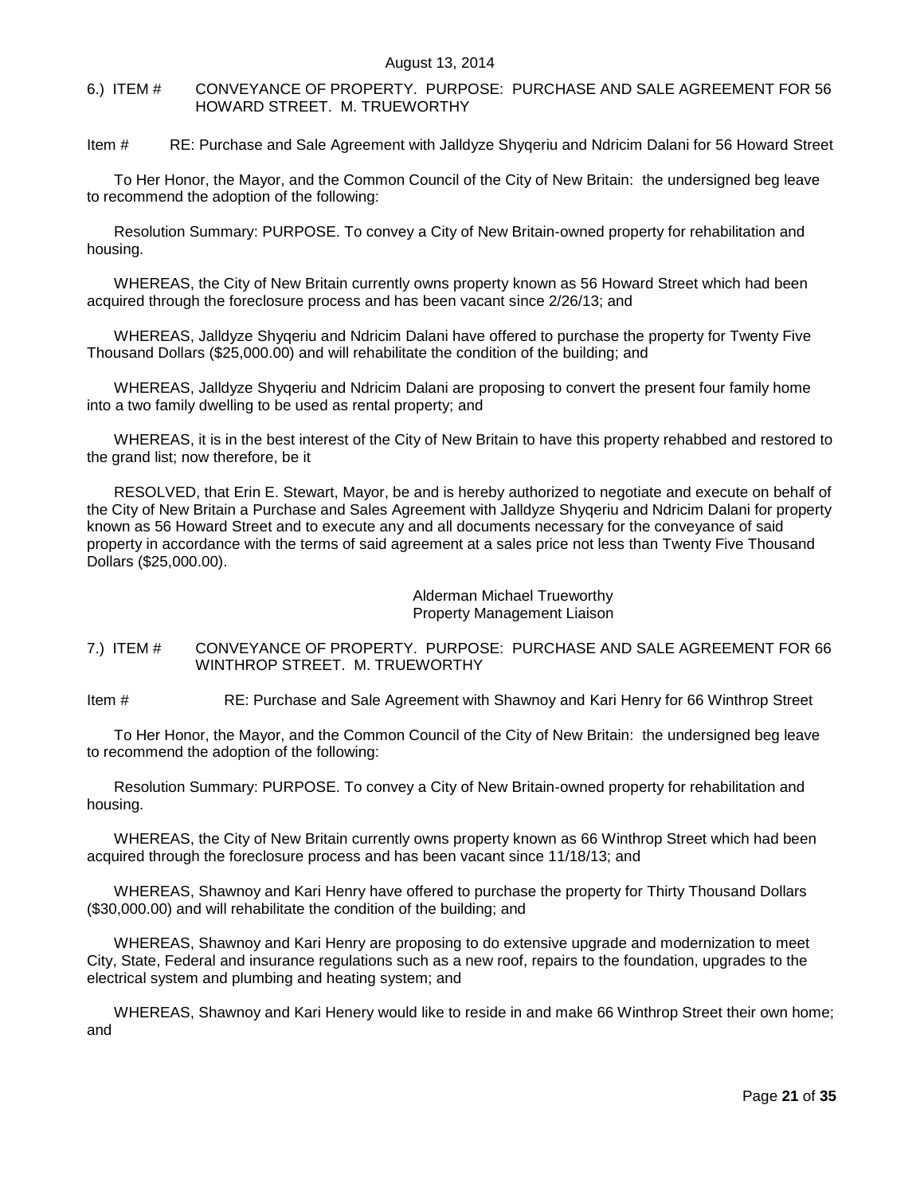<span id="page-20-0"></span>6.) ITEM # CONVEYANCE OF PROPERTY. PURPOSE: PURCHASE AND SALE AGREEMENT FOR 56 HOWARD STREET. M. TRUEWORTHY

Item # RE: Purchase and Sale Agreement with Jalldyze Shyqeriu and Ndricim Dalani for 56 Howard Street

To Her Honor, the Mayor, and the Common Council of the City of New Britain: the undersigned beg leave to recommend the adoption of the following:

Resolution Summary: PURPOSE. To convey a City of New Britain-owned property for rehabilitation and housing.

WHEREAS, the City of New Britain currently owns property known as 56 Howard Street which had been acquired through the foreclosure process and has been vacant since 2/26/13; and

WHEREAS, Jalldyze Shyqeriu and Ndricim Dalani have offered to purchase the property for Twenty Five Thousand Dollars (\$25,000.00) and will rehabilitate the condition of the building; and

WHEREAS, Jalldyze Shyqeriu and Ndricim Dalani are proposing to convert the present four family home into a two family dwelling to be used as rental property; and

WHEREAS, it is in the best interest of the City of New Britain to have this property rehabbed and restored to the grand list; now therefore, be it

RESOLVED, that Erin E. Stewart, Mayor, be and is hereby authorized to negotiate and execute on behalf of the City of New Britain a Purchase and Sales Agreement with Jalldyze Shyqeriu and Ndricim Dalani for property known as 56 Howard Street and to execute any and all documents necessary for the conveyance of said property in accordance with the terms of said agreement at a sales price not less than Twenty Five Thousand Dollars (\$25,000.00).

## Alderman Michael Trueworthy Property Management Liaison

## <span id="page-20-1"></span>7.) ITEM # CONVEYANCE OF PROPERTY. PURPOSE: PURCHASE AND SALE AGREEMENT FOR 66 WINTHROP STREET. M. TRUEWORTHY

Item # RE: Purchase and Sale Agreement with Shawnoy and Kari Henry for 66 Winthrop Street

To Her Honor, the Mayor, and the Common Council of the City of New Britain: the undersigned beg leave to recommend the adoption of the following:

Resolution Summary: PURPOSE. To convey a City of New Britain-owned property for rehabilitation and housing.

WHEREAS, the City of New Britain currently owns property known as 66 Winthrop Street which had been acquired through the foreclosure process and has been vacant since 11/18/13; and

WHEREAS, Shawnoy and Kari Henry have offered to purchase the property for Thirty Thousand Dollars (\$30,000.00) and will rehabilitate the condition of the building; and

WHEREAS, Shawnoy and Kari Henry are proposing to do extensive upgrade and modernization to meet City, State, Federal and insurance regulations such as a new roof, repairs to the foundation, upgrades to the electrical system and plumbing and heating system; and

WHEREAS, Shawnoy and Kari Henery would like to reside in and make 66 Winthrop Street their own home; and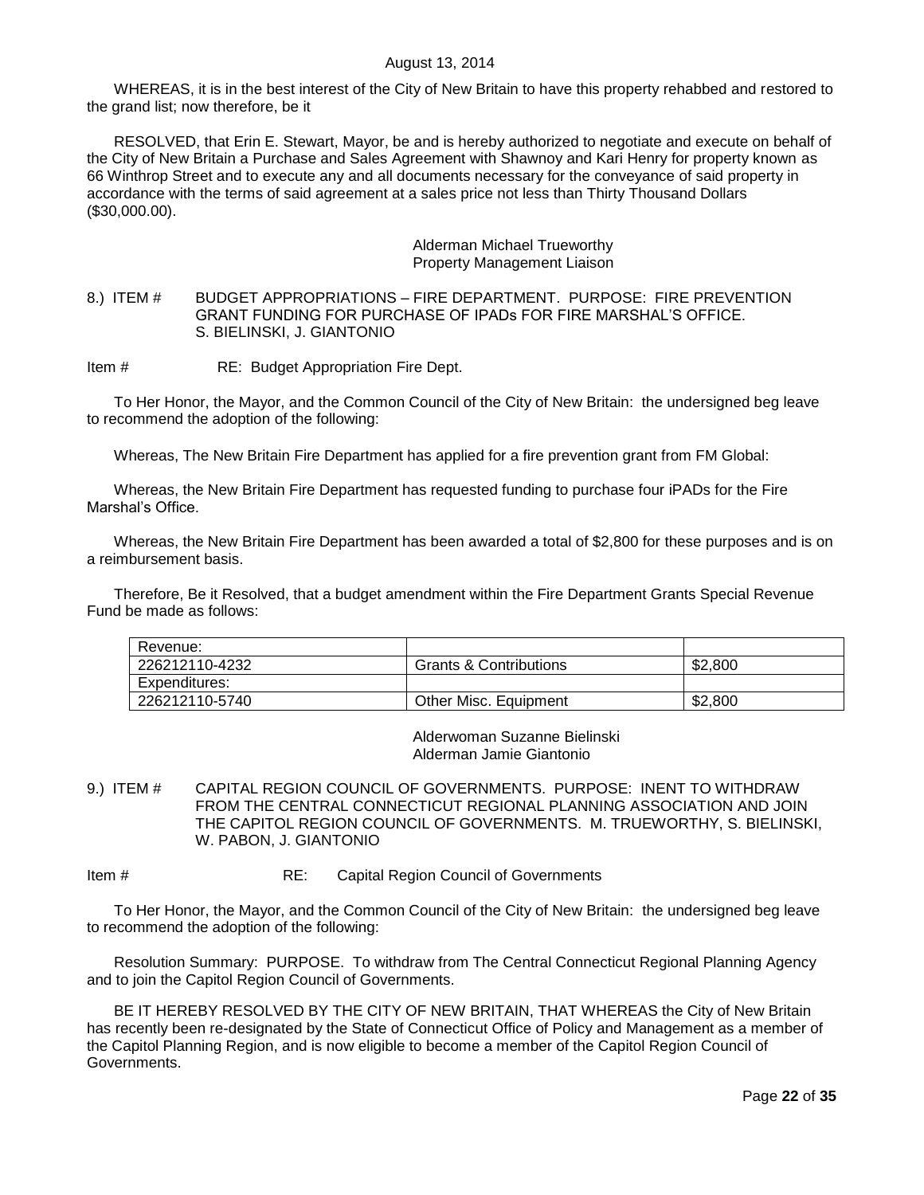WHEREAS, it is in the best interest of the City of New Britain to have this property rehabbed and restored to the grand list; now therefore, be it

RESOLVED, that Erin E. Stewart, Mayor, be and is hereby authorized to negotiate and execute on behalf of the City of New Britain a Purchase and Sales Agreement with Shawnoy and Kari Henry for property known as 66 Winthrop Street and to execute any and all documents necessary for the conveyance of said property in accordance with the terms of said agreement at a sales price not less than Thirty Thousand Dollars (\$30,000.00).

#### Alderman Michael Trueworthy Property Management Liaison

<span id="page-21-0"></span>8.) ITEM # BUDGET APPROPRIATIONS – FIRE DEPARTMENT. PURPOSE: FIRE PREVENTION GRANT FUNDING FOR PURCHASE OF IPADs FOR FIRE MARSHAL"S OFFICE. S. BIELINSKI, J. GIANTONIO

Item # RE: Budget Appropriation Fire Dept.

To Her Honor, the Mayor, and the Common Council of the City of New Britain: the undersigned beg leave to recommend the adoption of the following:

Whereas, The New Britain Fire Department has applied for a fire prevention grant from FM Global:

Whereas, the New Britain Fire Department has requested funding to purchase four iPADs for the Fire Marshal"s Office.

Whereas, the New Britain Fire Department has been awarded a total of \$2,800 for these purposes and is on a reimbursement basis.

Therefore, Be it Resolved, that a budget amendment within the Fire Department Grants Special Revenue Fund be made as follows:

| Revenue:       |                                   |         |
|----------------|-----------------------------------|---------|
| 226212110-4232 | <b>Grants &amp; Contributions</b> | \$2.800 |
| Expenditures:  |                                   |         |
| 226212110-5740 | <b>Other Misc. Equipment</b>      | \$2,800 |

Alderwoman Suzanne Bielinski Alderman Jamie Giantonio

<span id="page-21-1"></span>9.) ITEM # CAPITAL REGION COUNCIL OF GOVERNMENTS. PURPOSE: INENT TO WITHDRAW FROM THE CENTRAL CONNECTICUT REGIONAL PLANNING ASSOCIATION AND JOIN THE CAPITOL REGION COUNCIL OF GOVERNMENTS. M. TRUEWORTHY, S. BIELINSKI, W. PABON, J. GIANTONIO

Item # RE: Capital Region Council of Governments

To Her Honor, the Mayor, and the Common Council of the City of New Britain: the undersigned beg leave to recommend the adoption of the following:

Resolution Summary: PURPOSE. To withdraw from The Central Connecticut Regional Planning Agency and to join the Capitol Region Council of Governments.

BE IT HEREBY RESOLVED BY THE CITY OF NEW BRITAIN, THAT WHEREAS the City of New Britain has recently been re-designated by the State of Connecticut Office of Policy and Management as a member of the Capitol Planning Region, and is now eligible to become a member of the Capitol Region Council of Governments.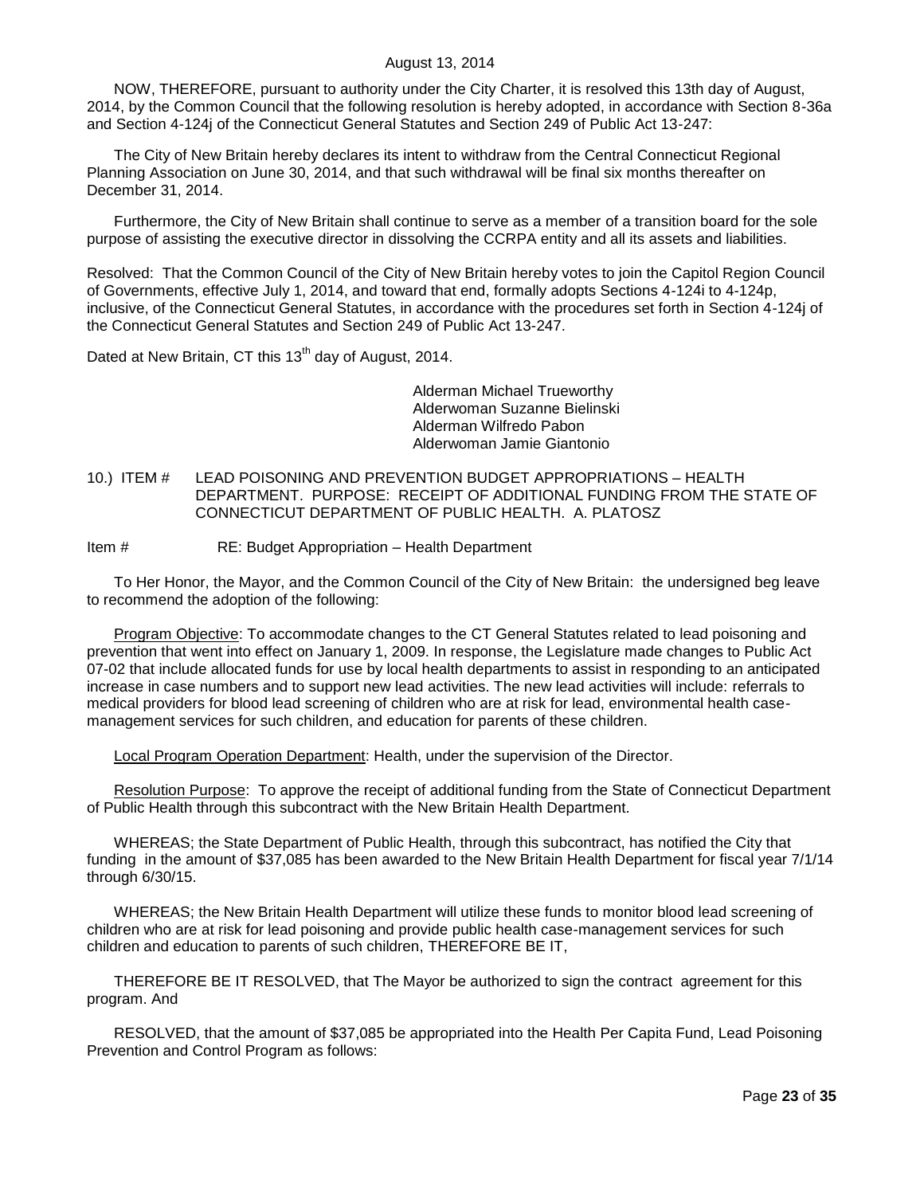NOW, THEREFORE, pursuant to authority under the City Charter, it is resolved this 13th day of August, 2014, by the Common Council that the following resolution is hereby adopted, in accordance with Section 8-36a and Section 4-124j of the Connecticut General Statutes and Section 249 of Public Act 13-247:

The City of New Britain hereby declares its intent to withdraw from the Central Connecticut Regional Planning Association on June 30, 2014, and that such withdrawal will be final six months thereafter on December 31, 2014.

Furthermore, the City of New Britain shall continue to serve as a member of a transition board for the sole purpose of assisting the executive director in dissolving the CCRPA entity and all its assets and liabilities.

Resolved: That the Common Council of the City of New Britain hereby votes to join the Capitol Region Council of Governments, effective July 1, 2014, and toward that end, formally adopts Sections 4-124i to 4-124p, inclusive, of the Connecticut General Statutes, in accordance with the procedures set forth in Section 4-124j of the Connecticut General Statutes and Section 249 of Public Act 13-247.

Dated at New Britain, CT this 13<sup>th</sup> day of August, 2014.

Alderman Michael Trueworthy Alderwoman Suzanne Bielinski Alderman Wilfredo Pabon Alderwoman Jamie Giantonio

- <span id="page-22-0"></span>10.) ITEM # LEAD POISONING AND PREVENTION BUDGET APPROPRIATIONS – HEALTH DEPARTMENT. PURPOSE: RECEIPT OF ADDITIONAL FUNDING FROM THE STATE OF CONNECTICUT DEPARTMENT OF PUBLIC HEALTH. A. PLATOSZ
- Item # RE: Budget Appropriation Health Department

To Her Honor, the Mayor, and the Common Council of the City of New Britain: the undersigned beg leave to recommend the adoption of the following:

Program Objective: To accommodate changes to the CT General Statutes related to lead poisoning and prevention that went into effect on January 1, 2009. In response, the Legislature made changes to Public Act 07-02 that include allocated funds for use by local health departments to assist in responding to an anticipated increase in case numbers and to support new lead activities. The new lead activities will include: referrals to medical providers for blood lead screening of children who are at risk for lead, environmental health casemanagement services for such children, and education for parents of these children.

Local Program Operation Department: Health, under the supervision of the Director.

Resolution Purpose: To approve the receipt of additional funding from the State of Connecticut Department of Public Health through this subcontract with the New Britain Health Department.

WHEREAS; the State Department of Public Health, through this subcontract, has notified the City that funding in the amount of \$37,085 has been awarded to the New Britain Health Department for fiscal year 7/1/14 through 6/30/15.

WHEREAS; the New Britain Health Department will utilize these funds to monitor blood lead screening of children who are at risk for lead poisoning and provide public health case-management services for such children and education to parents of such children, THEREFORE BE IT,

THEREFORE BE IT RESOLVED, that The Mayor be authorized to sign the contract agreement for this program. And

RESOLVED, that the amount of \$37,085 be appropriated into the Health Per Capita Fund, Lead Poisoning Prevention and Control Program as follows: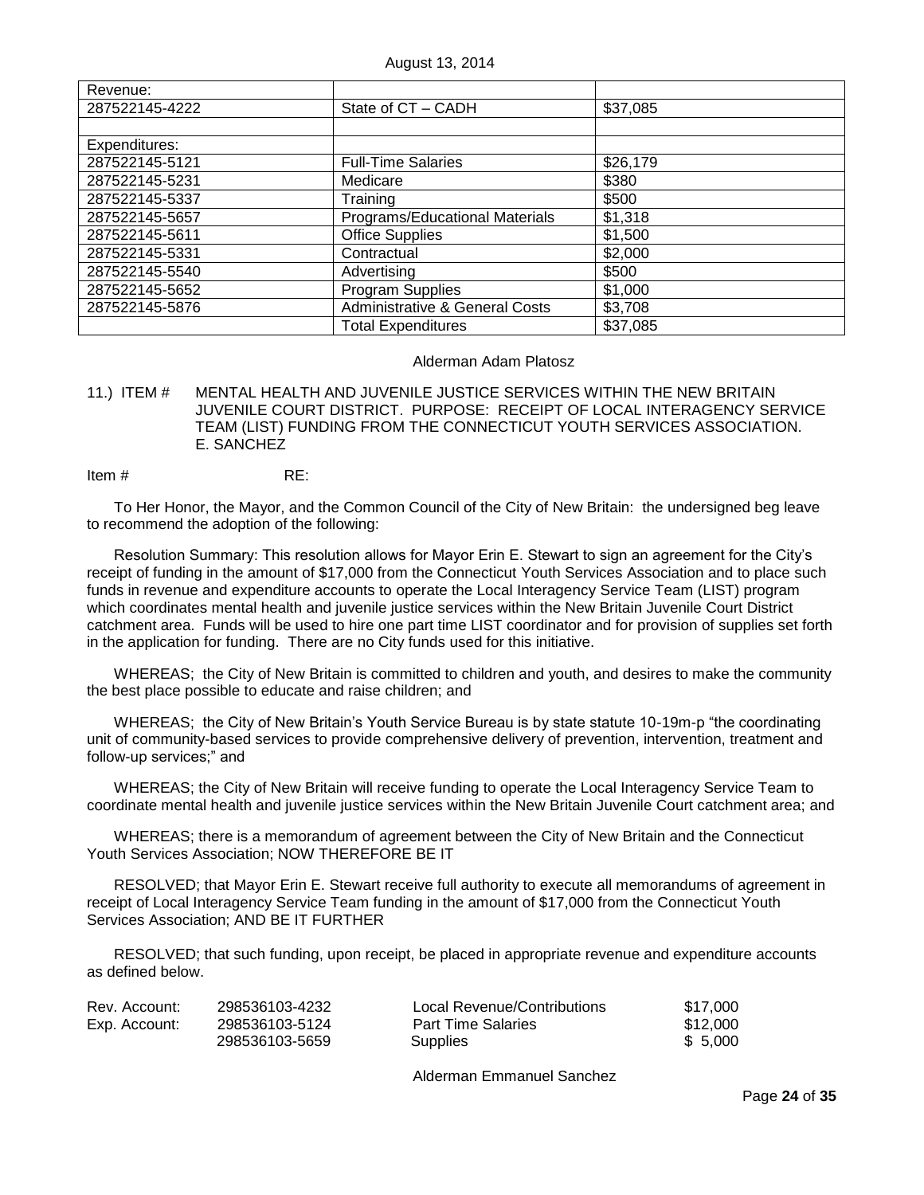| Revenue:       |                                           |          |
|----------------|-------------------------------------------|----------|
| 287522145-4222 | State of CT - CADH                        | \$37,085 |
|                |                                           |          |
| Expenditures:  |                                           |          |
| 287522145-5121 | <b>Full-Time Salaries</b>                 | \$26,179 |
| 287522145-5231 | Medicare                                  | \$380    |
| 287522145-5337 | Training                                  | \$500    |
| 287522145-5657 | Programs/Educational Materials            | \$1,318  |
| 287522145-5611 | <b>Office Supplies</b>                    | \$1,500  |
| 287522145-5331 | Contractual                               | \$2,000  |
| 287522145-5540 | Advertising                               | \$500    |
| 287522145-5652 | Program Supplies                          | \$1,000  |
| 287522145-5876 | <b>Administrative &amp; General Costs</b> | \$3,708  |
|                | <b>Total Expenditures</b>                 | \$37,085 |

### Alderman Adam Platosz

<span id="page-23-0"></span>11.) ITEM # MENTAL HEALTH AND JUVENILE JUSTICE SERVICES WITHIN THE NEW BRITAIN JUVENILE COURT DISTRICT. PURPOSE: RECEIPT OF LOCAL INTERAGENCY SERVICE TEAM (LIST) FUNDING FROM THE CONNECTICUT YOUTH SERVICES ASSOCIATION. E. SANCHEZ

Item # RE:

To Her Honor, the Mayor, and the Common Council of the City of New Britain: the undersigned beg leave to recommend the adoption of the following:

Resolution Summary: This resolution allows for Mayor Erin E. Stewart to sign an agreement for the City"s receipt of funding in the amount of \$17,000 from the Connecticut Youth Services Association and to place such funds in revenue and expenditure accounts to operate the Local Interagency Service Team (LIST) program which coordinates mental health and juvenile justice services within the New Britain Juvenile Court District catchment area. Funds will be used to hire one part time LIST coordinator and for provision of supplies set forth in the application for funding. There are no City funds used for this initiative.

WHEREAS; the City of New Britain is committed to children and youth, and desires to make the community the best place possible to educate and raise children; and

WHEREAS; the City of New Britain"s Youth Service Bureau is by state statute 10-19m-p "the coordinating unit of community-based services to provide comprehensive delivery of prevention, intervention, treatment and follow-up services;" and

WHEREAS; the City of New Britain will receive funding to operate the Local Interagency Service Team to coordinate mental health and juvenile justice services within the New Britain Juvenile Court catchment area; and

WHEREAS; there is a memorandum of agreement between the City of New Britain and the Connecticut Youth Services Association; NOW THEREFORE BE IT

RESOLVED; that Mayor Erin E. Stewart receive full authority to execute all memorandums of agreement in receipt of Local Interagency Service Team funding in the amount of \$17,000 from the Connecticut Youth Services Association; AND BE IT FURTHER

RESOLVED; that such funding, upon receipt, be placed in appropriate revenue and expenditure accounts as defined below.

| Rev. Account: | 298536103-4232 | Local Revenue/Contributions | \$17.000 |
|---------------|----------------|-----------------------------|----------|
| Exp. Account: | 298536103-5124 | <b>Part Time Salaries</b>   | \$12.000 |
|               | 298536103-5659 | <b>Supplies</b>             | \$ 5.000 |

Alderman Emmanuel Sanchez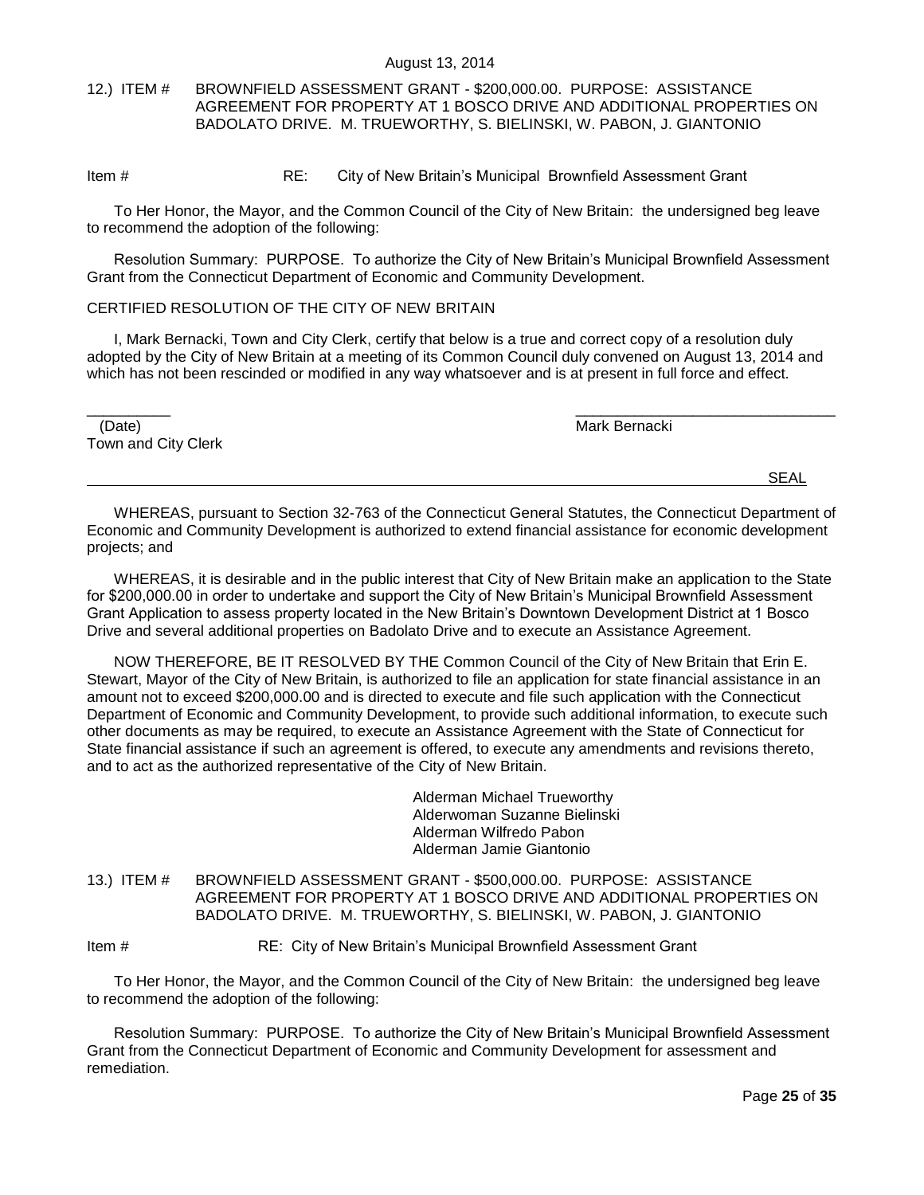## <span id="page-24-0"></span>12.) ITEM # BROWNFIELD ASSESSMENT GRANT - \$200,000.00. PURPOSE: ASSISTANCE AGREEMENT FOR PROPERTY AT 1 BOSCO DRIVE AND ADDITIONAL PROPERTIES ON BADOLATO DRIVE. M. TRUEWORTHY, S. BIELINSKI, W. PABON, J. GIANTONIO

### Item # RE: City of New Britain"s Municipal Brownfield Assessment Grant

To Her Honor, the Mayor, and the Common Council of the City of New Britain: the undersigned beg leave to recommend the adoption of the following:

Resolution Summary: PURPOSE. To authorize the City of New Britain"s Municipal Brownfield Assessment Grant from the Connecticut Department of Economic and Community Development.

## CERTIFIED RESOLUTION OF THE CITY OF NEW BRITAIN

I, Mark Bernacki, Town and City Clerk, certify that below is a true and correct copy of a resolution duly adopted by the City of New Britain at a meeting of its Common Council duly convened on August 13, 2014 and which has not been rescinded or modified in any way whatsoever and is at present in full force and effect.

| (Date)              | Mark Bernacki |
|---------------------|---------------|
| Town and City Clerk |               |
|                     |               |

WHEREAS, pursuant to Section 32-763 of the Connecticut General Statutes, the Connecticut Department of Economic and Community Development is authorized to extend financial assistance for economic development projects; and

WHEREAS, it is desirable and in the public interest that City of New Britain make an application to the State for \$200,000.00 in order to undertake and support the City of New Britain"s Municipal Brownfield Assessment Grant Application to assess property located in the New Britain"s Downtown Development District at 1 Bosco Drive and several additional properties on Badolato Drive and to execute an Assistance Agreement.

NOW THEREFORE, BE IT RESOLVED BY THE Common Council of the City of New Britain that Erin E. Stewart, Mayor of the City of New Britain, is authorized to file an application for state financial assistance in an amount not to exceed \$200,000.00 and is directed to execute and file such application with the Connecticut Department of Economic and Community Development, to provide such additional information, to execute such other documents as may be required, to execute an Assistance Agreement with the State of Connecticut for State financial assistance if such an agreement is offered, to execute any amendments and revisions thereto, and to act as the authorized representative of the City of New Britain.

> Alderman Michael Trueworthy Alderwoman Suzanne Bielinski Alderman Wilfredo Pabon Alderman Jamie Giantonio

<span id="page-24-1"></span>13.) ITEM # BROWNFIELD ASSESSMENT GRANT - \$500,000.00. PURPOSE: ASSISTANCE AGREEMENT FOR PROPERTY AT 1 BOSCO DRIVE AND ADDITIONAL PROPERTIES ON BADOLATO DRIVE. M. TRUEWORTHY, S. BIELINSKI, W. PABON, J. GIANTONIO

Item # RE: City of New Britain"s Municipal Brownfield Assessment Grant

To Her Honor, the Mayor, and the Common Council of the City of New Britain: the undersigned beg leave to recommend the adoption of the following:

Resolution Summary: PURPOSE. To authorize the City of New Britain"s Municipal Brownfield Assessment Grant from the Connecticut Department of Economic and Community Development for assessment and remediation.

SEAL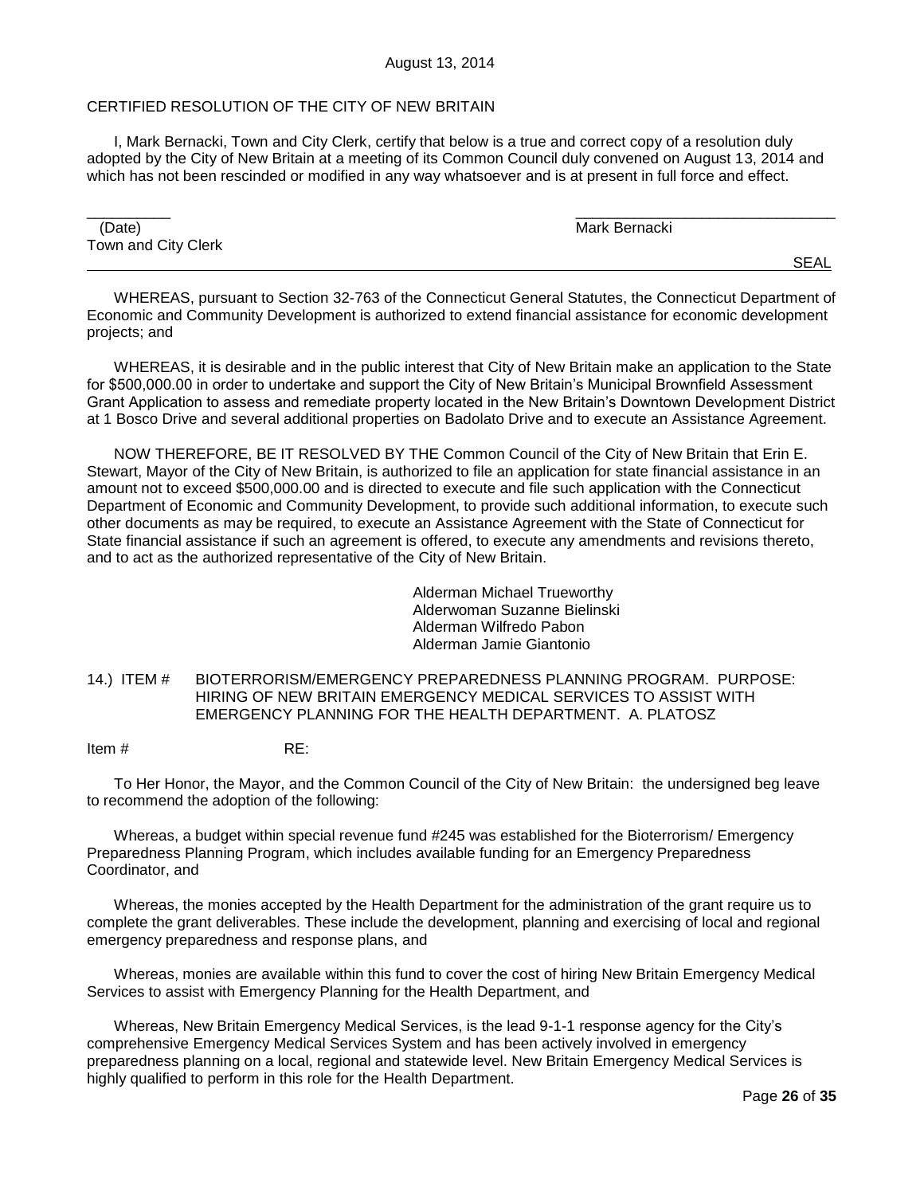### CERTIFIED RESOLUTION OF THE CITY OF NEW BRITAIN

I, Mark Bernacki, Town and City Clerk, certify that below is a true and correct copy of a resolution duly adopted by the City of New Britain at a meeting of its Common Council duly convened on August 13, 2014 and which has not been rescinded or modified in any way whatsoever and is at present in full force and effect.

| (Date)              | Mark Bernacki |
|---------------------|---------------|
| Town and City Clerk |               |
|                     | <b>SEAL</b>   |

WHEREAS, pursuant to Section 32-763 of the Connecticut General Statutes, the Connecticut Department of Economic and Community Development is authorized to extend financial assistance for economic development projects; and

WHEREAS, it is desirable and in the public interest that City of New Britain make an application to the State for \$500,000.00 in order to undertake and support the City of New Britain"s Municipal Brownfield Assessment Grant Application to assess and remediate property located in the New Britain"s Downtown Development District at 1 Bosco Drive and several additional properties on Badolato Drive and to execute an Assistance Agreement.

NOW THEREFORE, BE IT RESOLVED BY THE Common Council of the City of New Britain that Erin E. Stewart, Mayor of the City of New Britain, is authorized to file an application for state financial assistance in an amount not to exceed \$500,000.00 and is directed to execute and file such application with the Connecticut Department of Economic and Community Development, to provide such additional information, to execute such other documents as may be required, to execute an Assistance Agreement with the State of Connecticut for State financial assistance if such an agreement is offered, to execute any amendments and revisions thereto, and to act as the authorized representative of the City of New Britain.

> Alderman Michael Trueworthy Alderwoman Suzanne Bielinski Alderman Wilfredo Pabon Alderman Jamie Giantonio

<span id="page-25-0"></span>14.) ITEM # BIOTERRORISM/EMERGENCY PREPAREDNESS PLANNING PROGRAM. PURPOSE: HIRING OF NEW BRITAIN EMERGENCY MEDICAL SERVICES TO ASSIST WITH EMERGENCY PLANNING FOR THE HEALTH DEPARTMENT. A. PLATOSZ

Item # RE:

To Her Honor, the Mayor, and the Common Council of the City of New Britain: the undersigned beg leave to recommend the adoption of the following:

Whereas, a budget within special revenue fund #245 was established for the Bioterrorism/ Emergency Preparedness Planning Program, which includes available funding for an Emergency Preparedness Coordinator, and

Whereas, the monies accepted by the Health Department for the administration of the grant require us to complete the grant deliverables. These include the development, planning and exercising of local and regional emergency preparedness and response plans, and

Whereas, monies are available within this fund to cover the cost of hiring New Britain Emergency Medical Services to assist with Emergency Planning for the Health Department, and

Whereas, New Britain Emergency Medical Services, is the lead 9-1-1 response agency for the City"s comprehensive Emergency Medical Services System and has been actively involved in emergency preparedness planning on a local, regional and statewide level. New Britain Emergency Medical Services is highly qualified to perform in this role for the Health Department.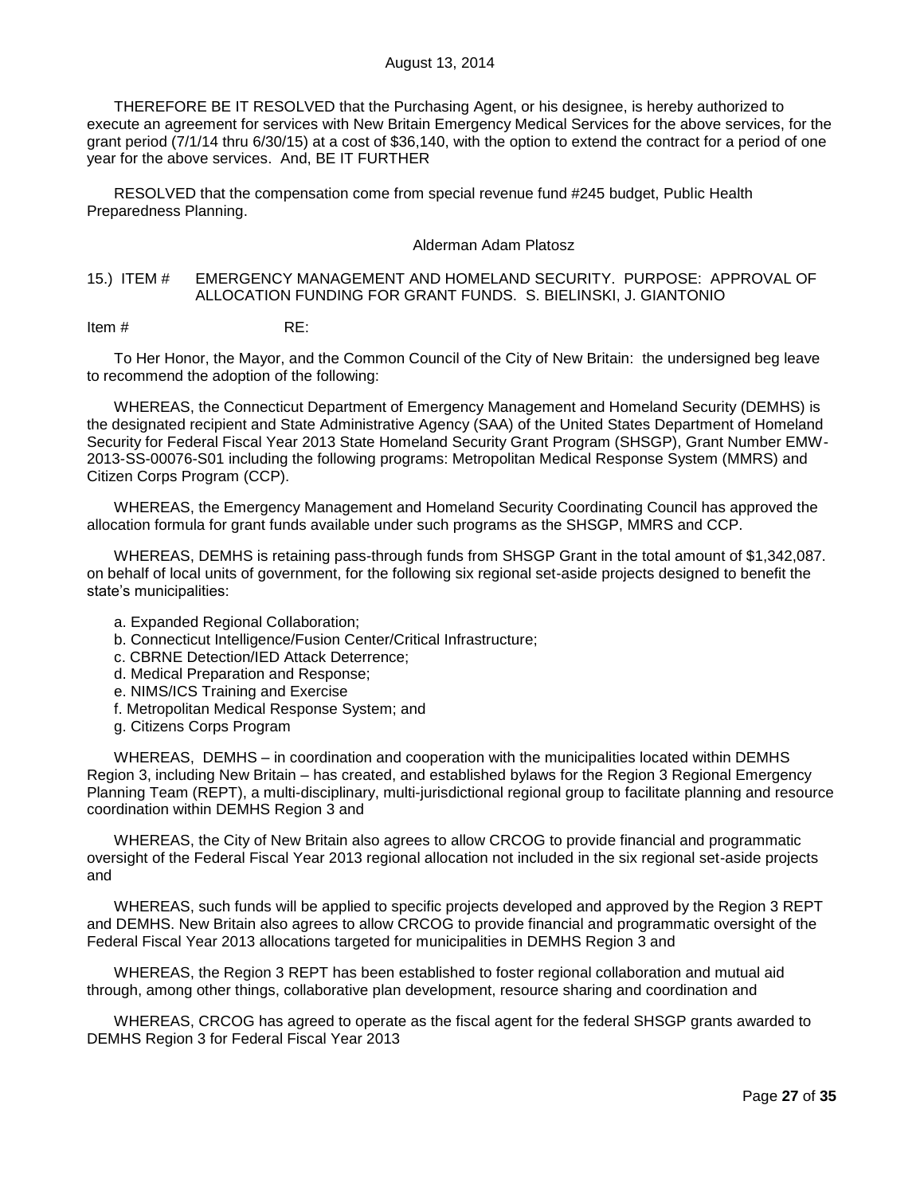THEREFORE BE IT RESOLVED that the Purchasing Agent, or his designee, is hereby authorized to execute an agreement for services with New Britain Emergency Medical Services for the above services, for the grant period (7/1/14 thru 6/30/15) at a cost of \$36,140, with the option to extend the contract for a period of one year for the above services. And, BE IT FURTHER

RESOLVED that the compensation come from special revenue fund #245 budget, Public Health Preparedness Planning.

### Alderman Adam Platosz

### <span id="page-26-0"></span>15.) ITEM # EMERGENCY MANAGEMENT AND HOMELAND SECURITY. PURPOSE: APPROVAL OF ALLOCATION FUNDING FOR GRANT FUNDS. S. BIELINSKI, J. GIANTONIO

Item # RE:

To Her Honor, the Mayor, and the Common Council of the City of New Britain: the undersigned beg leave to recommend the adoption of the following:

WHEREAS, the Connecticut Department of Emergency Management and Homeland Security (DEMHS) is the designated recipient and State Administrative Agency (SAA) of the United States Department of Homeland Security for Federal Fiscal Year 2013 State Homeland Security Grant Program (SHSGP), Grant Number EMW-2013-SS-00076-S01 including the following programs: Metropolitan Medical Response System (MMRS) and Citizen Corps Program (CCP).

WHEREAS, the Emergency Management and Homeland Security Coordinating Council has approved the allocation formula for grant funds available under such programs as the SHSGP, MMRS and CCP.

WHEREAS, DEMHS is retaining pass-through funds from SHSGP Grant in the total amount of \$1,342,087. on behalf of local units of government, for the following six regional set-aside projects designed to benefit the state's municipalities:

- a. Expanded Regional Collaboration;
- b. Connecticut Intelligence/Fusion Center/Critical Infrastructure;
- c. CBRNE Detection/IED Attack Deterrence;
- d. Medical Preparation and Response;
- e. NIMS/ICS Training and Exercise
- f. Metropolitan Medical Response System; and
- g. Citizens Corps Program

WHEREAS, DEMHS – in coordination and cooperation with the municipalities located within DEMHS Region 3, including New Britain – has created, and established bylaws for the Region 3 Regional Emergency Planning Team (REPT), a multi-disciplinary, multi-jurisdictional regional group to facilitate planning and resource coordination within DEMHS Region 3 and

WHEREAS, the City of New Britain also agrees to allow CRCOG to provide financial and programmatic oversight of the Federal Fiscal Year 2013 regional allocation not included in the six regional set-aside projects and

WHEREAS, such funds will be applied to specific projects developed and approved by the Region 3 REPT and DEMHS. New Britain also agrees to allow CRCOG to provide financial and programmatic oversight of the Federal Fiscal Year 2013 allocations targeted for municipalities in DEMHS Region 3 and

WHEREAS, the Region 3 REPT has been established to foster regional collaboration and mutual aid through, among other things, collaborative plan development, resource sharing and coordination and

WHEREAS, CRCOG has agreed to operate as the fiscal agent for the federal SHSGP grants awarded to DEMHS Region 3 for Federal Fiscal Year 2013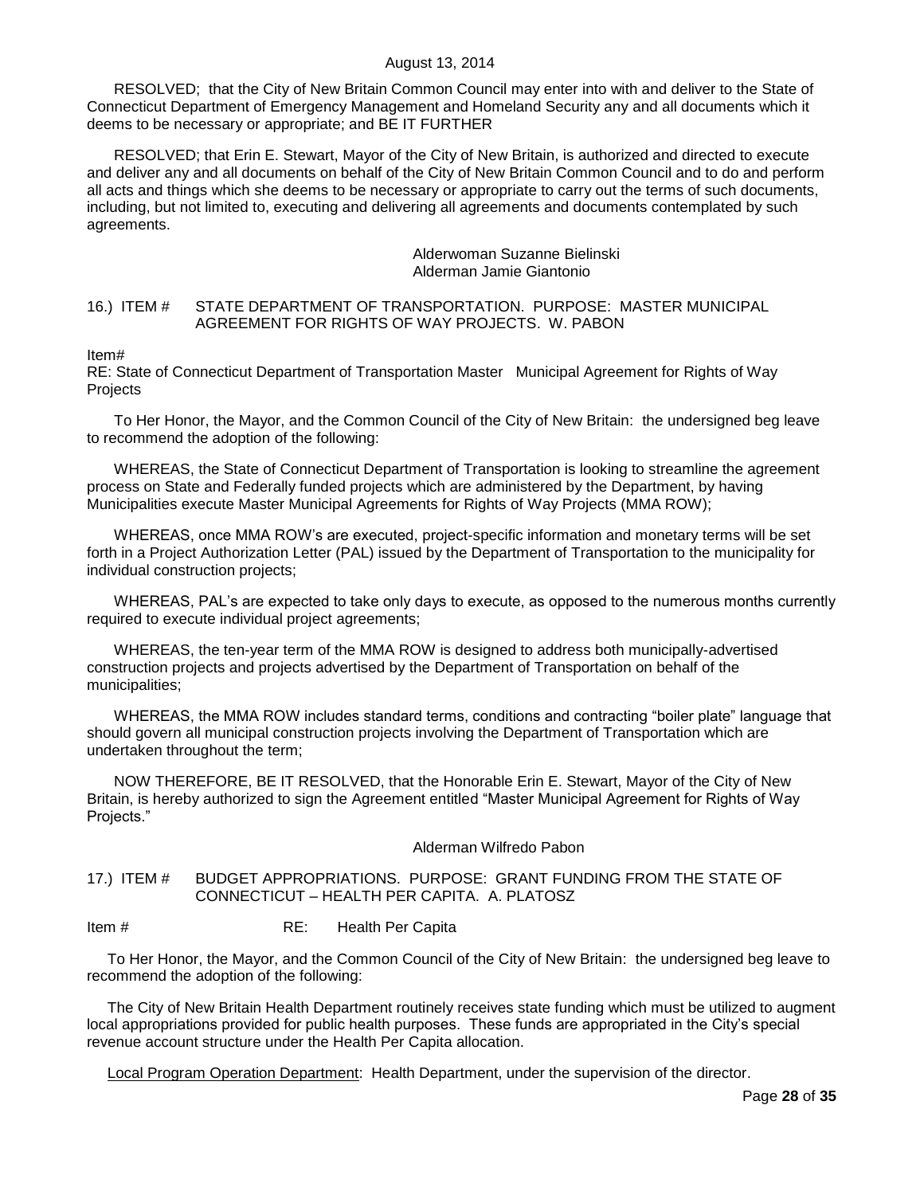RESOLVED; that the City of New Britain Common Council may enter into with and deliver to the State of Connecticut Department of Emergency Management and Homeland Security any and all documents which it deems to be necessary or appropriate; and BE IT FURTHER

RESOLVED; that Erin E. Stewart, Mayor of the City of New Britain, is authorized and directed to execute and deliver any and all documents on behalf of the City of New Britain Common Council and to do and perform all acts and things which she deems to be necessary or appropriate to carry out the terms of such documents, including, but not limited to, executing and delivering all agreements and documents contemplated by such agreements.

### Alderwoman Suzanne Bielinski Alderman Jamie Giantonio

## <span id="page-27-0"></span>16.) ITEM # STATE DEPARTMENT OF TRANSPORTATION. PURPOSE: MASTER MUNICIPAL AGREEMENT FOR RIGHTS OF WAY PROJECTS. W. PABON

Item#

RE: State of Connecticut Department of Transportation Master Municipal Agreement for Rights of Way Projects

To Her Honor, the Mayor, and the Common Council of the City of New Britain: the undersigned beg leave to recommend the adoption of the following:

WHEREAS, the State of Connecticut Department of Transportation is looking to streamline the agreement process on State and Federally funded projects which are administered by the Department, by having Municipalities execute Master Municipal Agreements for Rights of Way Projects (MMA ROW);

WHEREAS, once MMA ROW"s are executed, project-specific information and monetary terms will be set forth in a Project Authorization Letter (PAL) issued by the Department of Transportation to the municipality for individual construction projects;

WHEREAS, PAL's are expected to take only days to execute, as opposed to the numerous months currently required to execute individual project agreements;

WHEREAS, the ten-year term of the MMA ROW is designed to address both municipally-advertised construction projects and projects advertised by the Department of Transportation on behalf of the municipalities;

WHEREAS, the MMA ROW includes standard terms, conditions and contracting "boiler plate" language that should govern all municipal construction projects involving the Department of Transportation which are undertaken throughout the term;

NOW THEREFORE, BE IT RESOLVED, that the Honorable Erin E. Stewart, Mayor of the City of New Britain, is hereby authorized to sign the Agreement entitled "Master Municipal Agreement for Rights of Way Projects."

## Alderman Wilfredo Pabon

## <span id="page-27-1"></span>17.) ITEM # BUDGET APPROPRIATIONS. PURPOSE: GRANT FUNDING FROM THE STATE OF CONNECTICUT – HEALTH PER CAPITA. A. PLATOSZ

## Item # RE: Health Per Capita

To Her Honor, the Mayor, and the Common Council of the City of New Britain: the undersigned beg leave to recommend the adoption of the following:

The City of New Britain Health Department routinely receives state funding which must be utilized to augment local appropriations provided for public health purposes. These funds are appropriated in the City"s special revenue account structure under the Health Per Capita allocation.

Local Program Operation Department: Health Department, under the supervision of the director.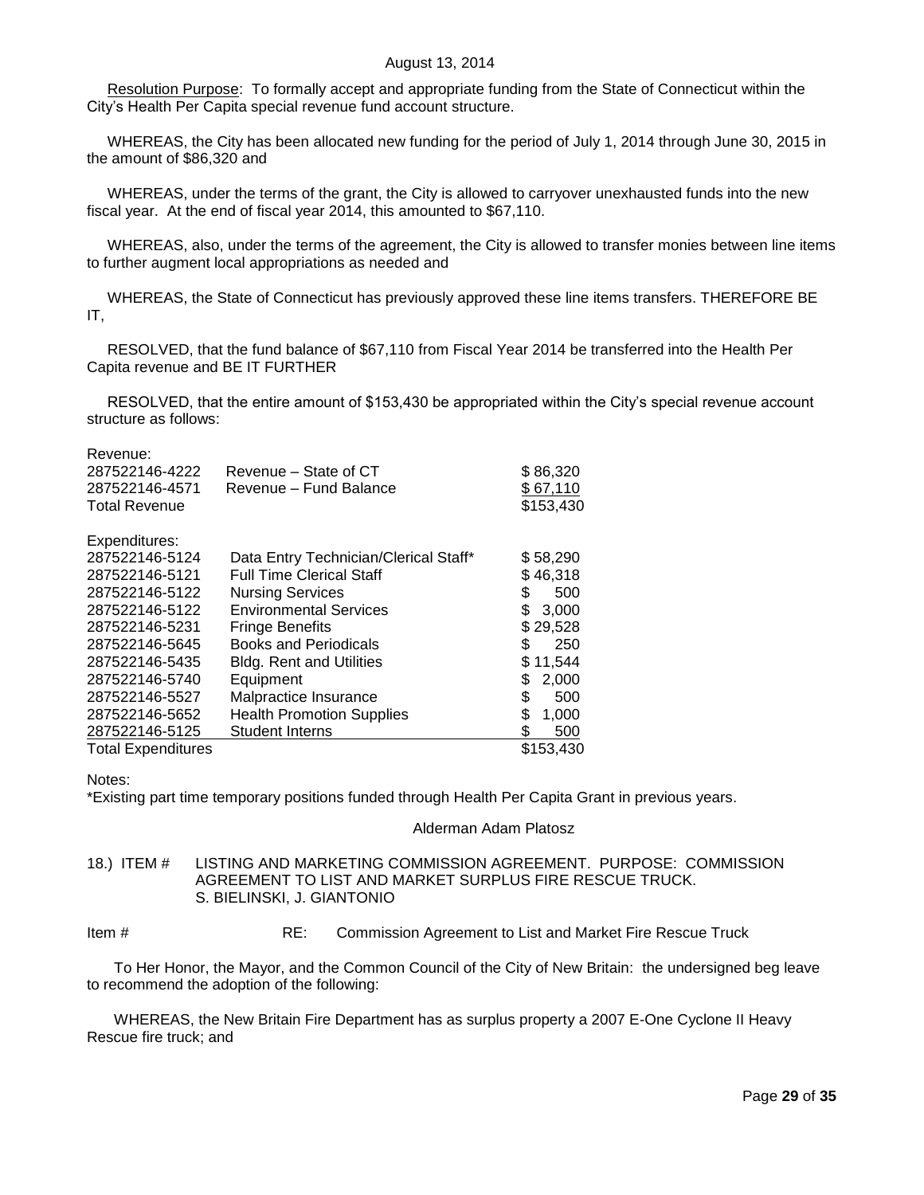Resolution Purpose: To formally accept and appropriate funding from the State of Connecticut within the City"s Health Per Capita special revenue fund account structure.

WHEREAS, the City has been allocated new funding for the period of July 1, 2014 through June 30, 2015 in the amount of \$86,320 and

WHEREAS, under the terms of the grant, the City is allowed to carryover unexhausted funds into the new fiscal year. At the end of fiscal year 2014, this amounted to \$67,110.

WHEREAS, also, under the terms of the agreement, the City is allowed to transfer monies between line items to further augment local appropriations as needed and

WHEREAS, the State of Connecticut has previously approved these line items transfers. THEREFORE BE IT,

RESOLVED, that the fund balance of \$67,110 from Fiscal Year 2014 be transferred into the Health Per Capita revenue and BE IT FURTHER

RESOLVED, that the entire amount of \$153,430 be appropriated within the City's special revenue account structure as follows:

Revenue:

| 287522146-4222<br>287522146-4571 | Revenue - State of CT<br>Revenue - Fund Balance | \$86,320<br>\$67,110 |
|----------------------------------|-------------------------------------------------|----------------------|
| <b>Total Revenue</b>             |                                                 | \$153,430            |
| Expenditures:                    |                                                 |                      |
| 287522146-5124                   | Data Entry Technician/Clerical Staff*           | \$58,290             |
| 287522146-5121                   | <b>Full Time Clerical Staff</b>                 | \$46,318             |
| 287522146-5122                   | <b>Nursing Services</b>                         | \$<br>500            |
| 287522146-5122                   | <b>Environmental Services</b>                   | \$<br>3,000          |
| 287522146-5231                   | <b>Fringe Benefits</b>                          | \$29,528             |
| 287522146-5645                   | <b>Books and Periodicals</b>                    | 250<br>S             |
| 287522146-5435                   | <b>Bldg. Rent and Utilities</b>                 | \$11,544             |
| 287522146-5740                   | Equipment                                       | 2,000<br>\$          |
| 287522146-5527                   | Malpractice Insurance                           | \$<br>500            |
| 287522146-5652                   | <b>Health Promotion Supplies</b>                | \$<br>1,000          |
| 287522146-5125                   | <b>Student Interns</b>                          | 500                  |
| <b>Total Expenditures</b>        |                                                 | \$153,430            |

Notes:

\*Existing part time temporary positions funded through Health Per Capita Grant in previous years.

#### Alderman Adam Platosz

<span id="page-28-0"></span>18.) ITEM # LISTING AND MARKETING COMMISSION AGREEMENT. PURPOSE: COMMISSION AGREEMENT TO LIST AND MARKET SURPLUS FIRE RESCUE TRUCK. S. BIELINSKI, J. GIANTONIO

Item # RE: Commission Agreement to List and Market Fire Rescue Truck

To Her Honor, the Mayor, and the Common Council of the City of New Britain: the undersigned beg leave to recommend the adoption of the following:

WHEREAS, the New Britain Fire Department has as surplus property a 2007 E-One Cyclone II Heavy Rescue fire truck; and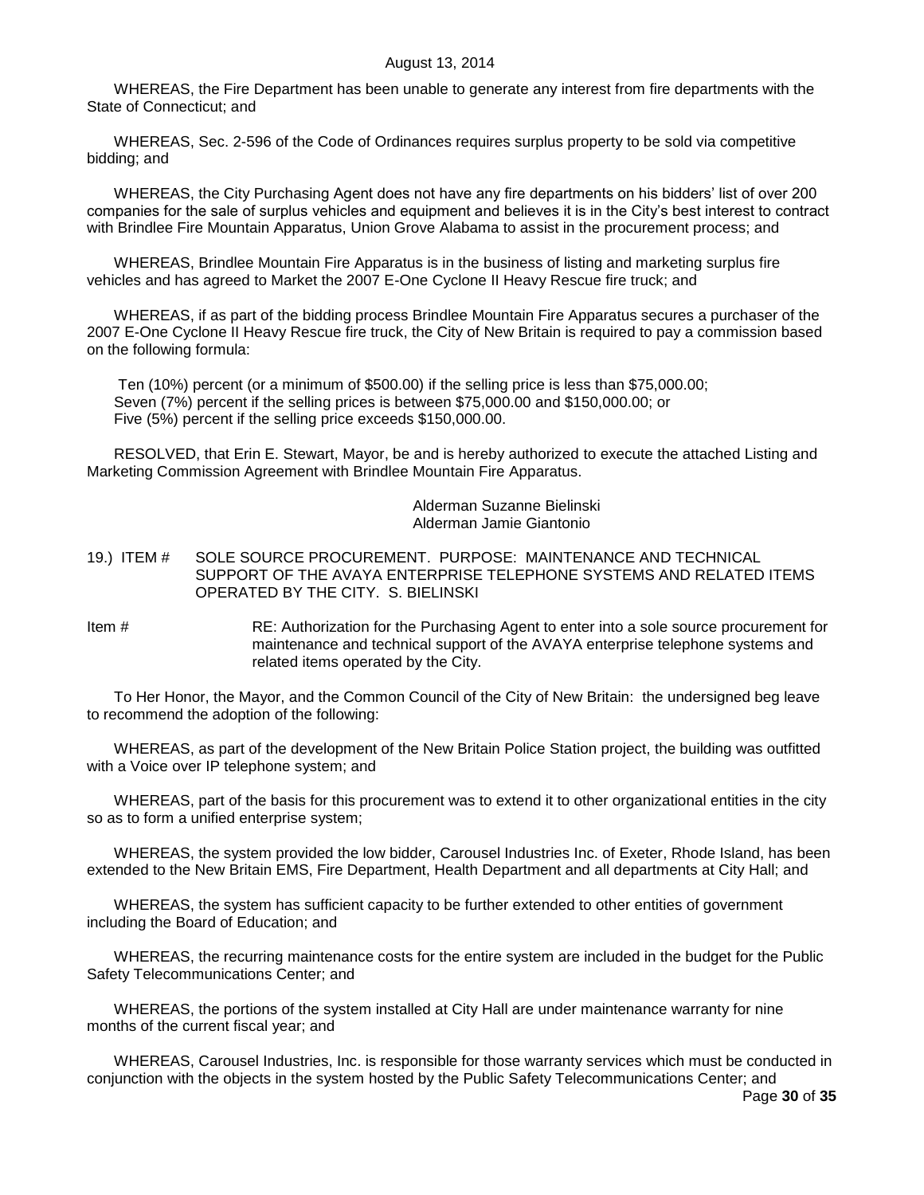WHEREAS, the Fire Department has been unable to generate any interest from fire departments with the State of Connecticut; and

WHEREAS, Sec. 2-596 of the Code of Ordinances requires surplus property to be sold via competitive bidding; and

WHEREAS, the City Purchasing Agent does not have any fire departments on his bidders' list of over 200 companies for the sale of surplus vehicles and equipment and believes it is in the City"s best interest to contract with Brindlee Fire Mountain Apparatus, Union Grove Alabama to assist in the procurement process; and

WHEREAS, Brindlee Mountain Fire Apparatus is in the business of listing and marketing surplus fire vehicles and has agreed to Market the 2007 E-One Cyclone II Heavy Rescue fire truck; and

WHEREAS, if as part of the bidding process Brindlee Mountain Fire Apparatus secures a purchaser of the 2007 E-One Cyclone II Heavy Rescue fire truck, the City of New Britain is required to pay a commission based on the following formula:

Ten (10%) percent (or a minimum of \$500.00) if the selling price is less than \$75,000.00; Seven (7%) percent if the selling prices is between \$75,000.00 and \$150,000.00; or Five (5%) percent if the selling price exceeds \$150,000.00.

RESOLVED, that Erin E. Stewart, Mayor, be and is hereby authorized to execute the attached Listing and Marketing Commission Agreement with Brindlee Mountain Fire Apparatus.

### Alderman Suzanne Bielinski Alderman Jamie Giantonio

## <span id="page-29-0"></span>19.) ITEM # SOLE SOURCE PROCUREMENT. PURPOSE: MAINTENANCE AND TECHNICAL SUPPORT OF THE AVAYA ENTERPRISE TELEPHONE SYSTEMS AND RELATED ITEMS OPERATED BY THE CITY. S. BIELINSKI

Item # RE: Authorization for the Purchasing Agent to enter into a sole source procurement for maintenance and technical support of the AVAYA enterprise telephone systems and related items operated by the City.

To Her Honor, the Mayor, and the Common Council of the City of New Britain: the undersigned beg leave to recommend the adoption of the following:

WHEREAS, as part of the development of the New Britain Police Station project, the building was outfitted with a Voice over IP telephone system; and

WHEREAS, part of the basis for this procurement was to extend it to other organizational entities in the city so as to form a unified enterprise system;

WHEREAS, the system provided the low bidder, Carousel Industries Inc. of Exeter, Rhode Island, has been extended to the New Britain EMS, Fire Department, Health Department and all departments at City Hall; and

WHEREAS, the system has sufficient capacity to be further extended to other entities of government including the Board of Education; and

WHEREAS, the recurring maintenance costs for the entire system are included in the budget for the Public Safety Telecommunications Center; and

WHEREAS, the portions of the system installed at City Hall are under maintenance warranty for nine months of the current fiscal year; and

WHEREAS, Carousel Industries, Inc. is responsible for those warranty services which must be conducted in conjunction with the objects in the system hosted by the Public Safety Telecommunications Center; and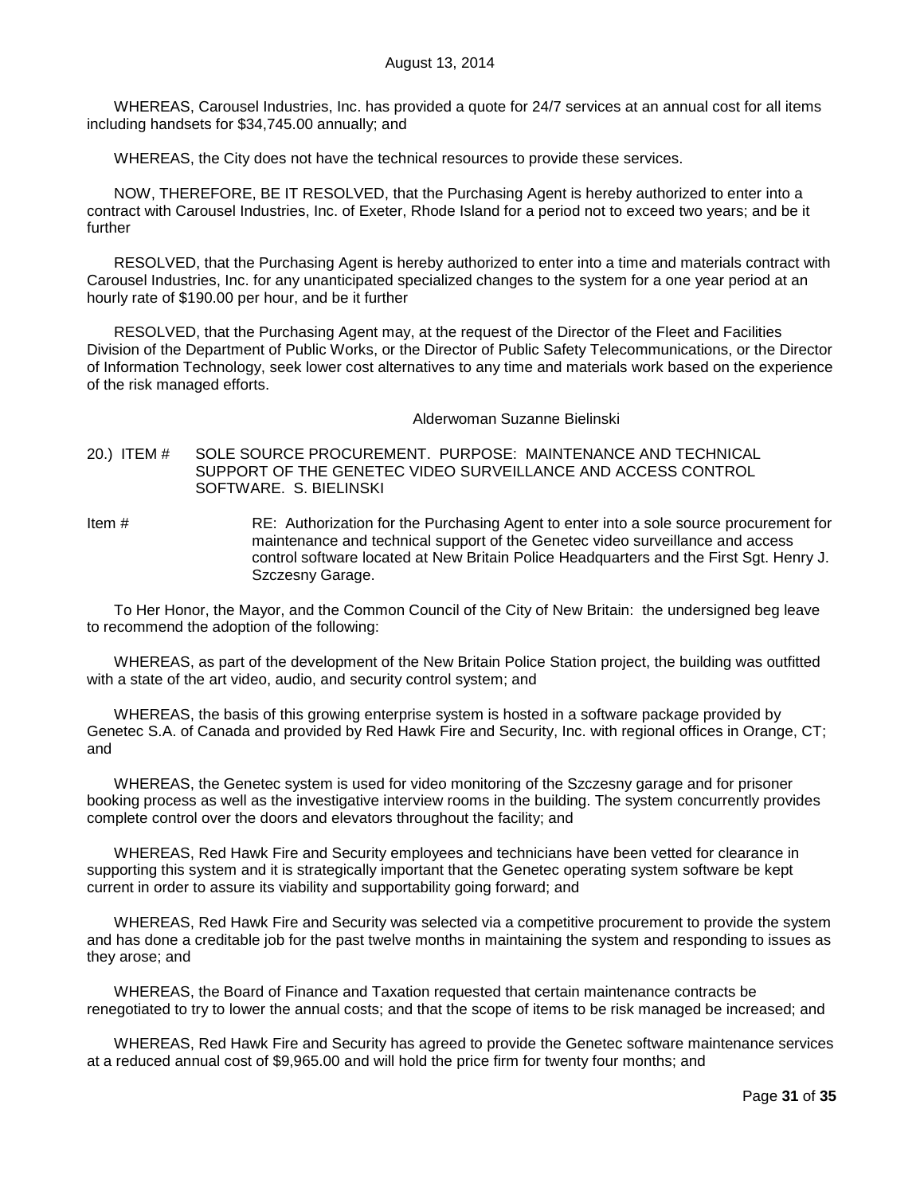WHEREAS, Carousel Industries, Inc. has provided a quote for 24/7 services at an annual cost for all items including handsets for \$34,745.00 annually; and

WHEREAS, the City does not have the technical resources to provide these services.

NOW, THEREFORE, BE IT RESOLVED, that the Purchasing Agent is hereby authorized to enter into a contract with Carousel Industries, Inc. of Exeter, Rhode Island for a period not to exceed two years; and be it further

RESOLVED, that the Purchasing Agent is hereby authorized to enter into a time and materials contract with Carousel Industries, Inc. for any unanticipated specialized changes to the system for a one year period at an hourly rate of \$190.00 per hour, and be it further

RESOLVED, that the Purchasing Agent may, at the request of the Director of the Fleet and Facilities Division of the Department of Public Works, or the Director of Public Safety Telecommunications, or the Director of Information Technology, seek lower cost alternatives to any time and materials work based on the experience of the risk managed efforts.

#### Alderwoman Suzanne Bielinski

<span id="page-30-0"></span>20.) ITEM # SOLE SOURCE PROCUREMENT. PURPOSE: MAINTENANCE AND TECHNICAL SUPPORT OF THE GENETEC VIDEO SURVEILLANCE AND ACCESS CONTROL SOFTWARE. S. BIELINSKI

Item # RE: Authorization for the Purchasing Agent to enter into a sole source procurement for maintenance and technical support of the Genetec video surveillance and access control software located at New Britain Police Headquarters and the First Sgt. Henry J. Szczesny Garage.

To Her Honor, the Mayor, and the Common Council of the City of New Britain: the undersigned beg leave to recommend the adoption of the following:

WHEREAS, as part of the development of the New Britain Police Station project, the building was outfitted with a state of the art video, audio, and security control system; and

WHEREAS, the basis of this growing enterprise system is hosted in a software package provided by Genetec S.A. of Canada and provided by Red Hawk Fire and Security, Inc. with regional offices in Orange, CT; and

WHEREAS, the Genetec system is used for video monitoring of the Szczesny garage and for prisoner booking process as well as the investigative interview rooms in the building. The system concurrently provides complete control over the doors and elevators throughout the facility; and

WHEREAS, Red Hawk Fire and Security employees and technicians have been vetted for clearance in supporting this system and it is strategically important that the Genetec operating system software be kept current in order to assure its viability and supportability going forward; and

WHEREAS, Red Hawk Fire and Security was selected via a competitive procurement to provide the system and has done a creditable job for the past twelve months in maintaining the system and responding to issues as they arose; and

WHEREAS, the Board of Finance and Taxation requested that certain maintenance contracts be renegotiated to try to lower the annual costs; and that the scope of items to be risk managed be increased; and

WHEREAS, Red Hawk Fire and Security has agreed to provide the Genetec software maintenance services at a reduced annual cost of \$9,965.00 and will hold the price firm for twenty four months; and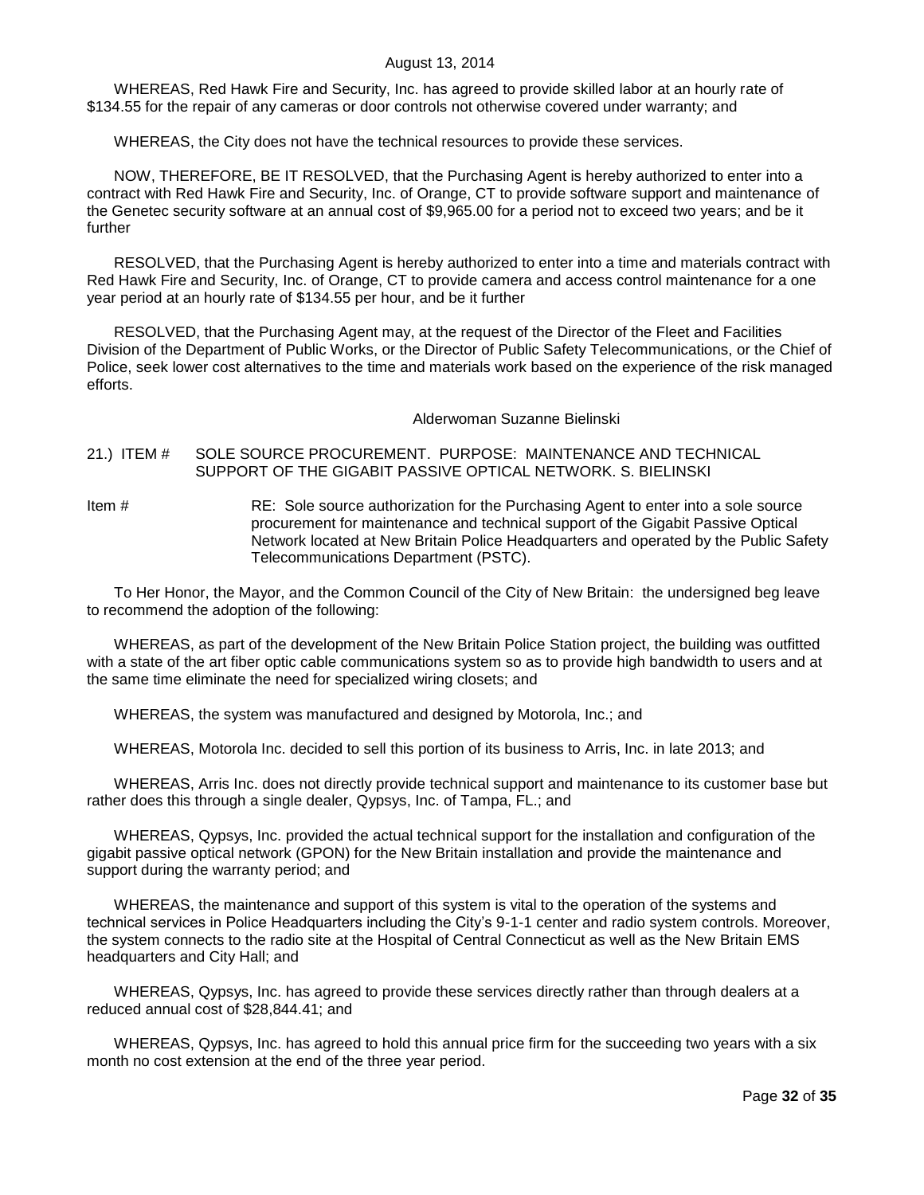WHEREAS, Red Hawk Fire and Security, Inc. has agreed to provide skilled labor at an hourly rate of \$134.55 for the repair of any cameras or door controls not otherwise covered under warranty; and

WHEREAS, the City does not have the technical resources to provide these services.

NOW, THEREFORE, BE IT RESOLVED, that the Purchasing Agent is hereby authorized to enter into a contract with Red Hawk Fire and Security, Inc. of Orange, CT to provide software support and maintenance of the Genetec security software at an annual cost of \$9,965.00 for a period not to exceed two years; and be it further

RESOLVED, that the Purchasing Agent is hereby authorized to enter into a time and materials contract with Red Hawk Fire and Security, Inc. of Orange, CT to provide camera and access control maintenance for a one year period at an hourly rate of \$134.55 per hour, and be it further

RESOLVED, that the Purchasing Agent may, at the request of the Director of the Fleet and Facilities Division of the Department of Public Works, or the Director of Public Safety Telecommunications, or the Chief of Police, seek lower cost alternatives to the time and materials work based on the experience of the risk managed efforts.

Alderwoman Suzanne Bielinski

### <span id="page-31-0"></span>21.) ITEM # SOLE SOURCE PROCUREMENT. PURPOSE: MAINTENANCE AND TECHNICAL SUPPORT OF THE GIGABIT PASSIVE OPTICAL NETWORK. S. BIELINSKI

Item # RE: Sole source authorization for the Purchasing Agent to enter into a sole source procurement for maintenance and technical support of the Gigabit Passive Optical Network located at New Britain Police Headquarters and operated by the Public Safety Telecommunications Department (PSTC).

To Her Honor, the Mayor, and the Common Council of the City of New Britain: the undersigned beg leave to recommend the adoption of the following:

WHEREAS, as part of the development of the New Britain Police Station project, the building was outfitted with a state of the art fiber optic cable communications system so as to provide high bandwidth to users and at the same time eliminate the need for specialized wiring closets; and

WHEREAS, the system was manufactured and designed by Motorola, Inc.; and

WHEREAS, Motorola Inc. decided to sell this portion of its business to Arris, Inc. in late 2013; and

WHEREAS, Arris Inc. does not directly provide technical support and maintenance to its customer base but rather does this through a single dealer, Qypsys, Inc. of Tampa, FL.; and

WHEREAS, Qypsys, Inc. provided the actual technical support for the installation and configuration of the gigabit passive optical network (GPON) for the New Britain installation and provide the maintenance and support during the warranty period; and

WHEREAS, the maintenance and support of this system is vital to the operation of the systems and technical services in Police Headquarters including the City"s 9-1-1 center and radio system controls. Moreover, the system connects to the radio site at the Hospital of Central Connecticut as well as the New Britain EMS headquarters and City Hall; and

WHEREAS, Qypsys, Inc. has agreed to provide these services directly rather than through dealers at a reduced annual cost of \$28,844.41; and

WHEREAS, Qypsys, Inc. has agreed to hold this annual price firm for the succeeding two years with a six month no cost extension at the end of the three year period.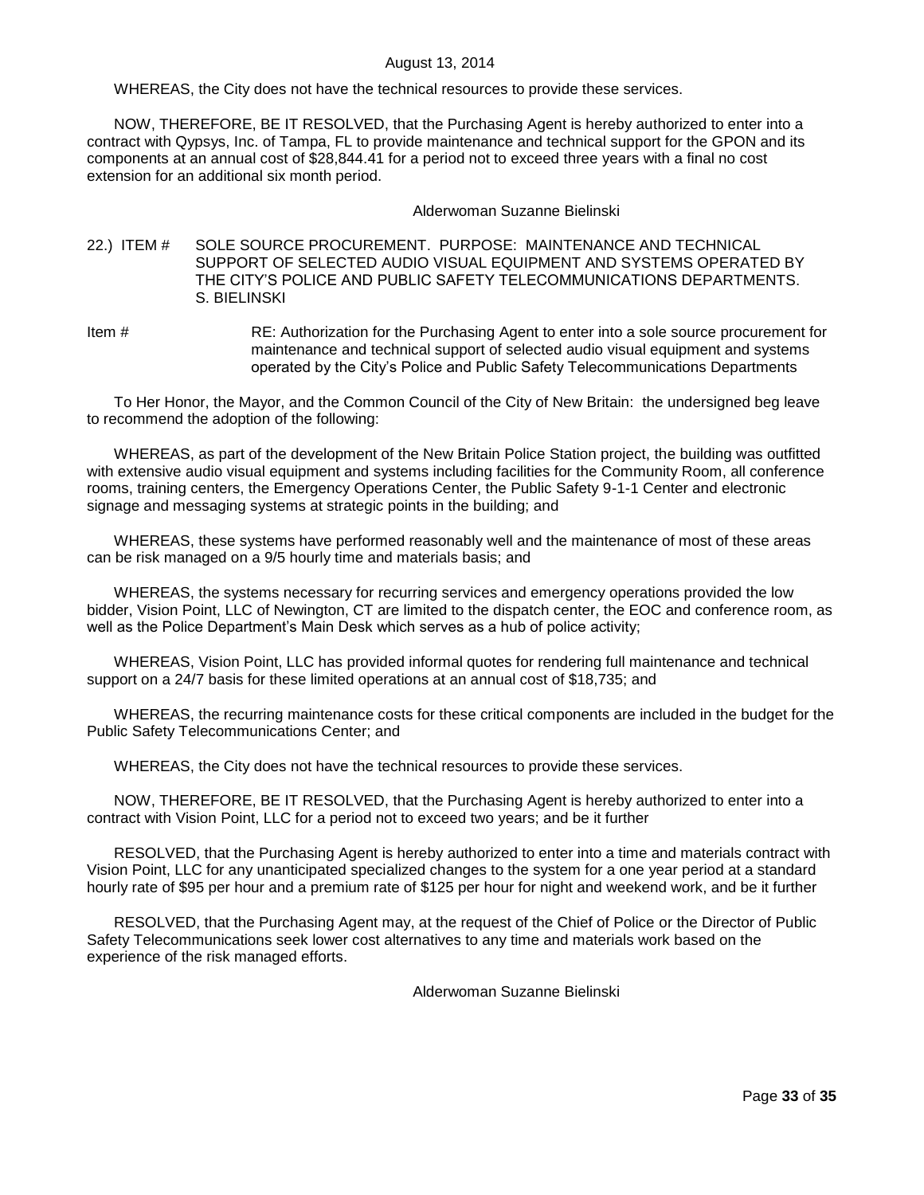WHEREAS, the City does not have the technical resources to provide these services.

NOW, THEREFORE, BE IT RESOLVED, that the Purchasing Agent is hereby authorized to enter into a contract with Qypsys, Inc. of Tampa, FL to provide maintenance and technical support for the GPON and its components at an annual cost of \$28,844.41 for a period not to exceed three years with a final no cost extension for an additional six month period.

### Alderwoman Suzanne Bielinski

### <span id="page-32-0"></span>22.) ITEM # SOLE SOURCE PROCUREMENT. PURPOSE: MAINTENANCE AND TECHNICAL SUPPORT OF SELECTED AUDIO VISUAL EQUIPMENT AND SYSTEMS OPERATED BY THE CITY"S POLICE AND PUBLIC SAFETY TELECOMMUNICATIONS DEPARTMENTS. S. BIELINSKI

Item # RE: Authorization for the Purchasing Agent to enter into a sole source procurement for maintenance and technical support of selected audio visual equipment and systems operated by the City"s Police and Public Safety Telecommunications Departments

To Her Honor, the Mayor, and the Common Council of the City of New Britain: the undersigned beg leave to recommend the adoption of the following:

WHEREAS, as part of the development of the New Britain Police Station project, the building was outfitted with extensive audio visual equipment and systems including facilities for the Community Room, all conference rooms, training centers, the Emergency Operations Center, the Public Safety 9-1-1 Center and electronic signage and messaging systems at strategic points in the building; and

WHEREAS, these systems have performed reasonably well and the maintenance of most of these areas can be risk managed on a 9/5 hourly time and materials basis; and

WHEREAS, the systems necessary for recurring services and emergency operations provided the low bidder, Vision Point, LLC of Newington, CT are limited to the dispatch center, the EOC and conference room, as well as the Police Department's Main Desk which serves as a hub of police activity;

WHEREAS, Vision Point, LLC has provided informal quotes for rendering full maintenance and technical support on a 24/7 basis for these limited operations at an annual cost of \$18,735; and

WHEREAS, the recurring maintenance costs for these critical components are included in the budget for the Public Safety Telecommunications Center; and

WHEREAS, the City does not have the technical resources to provide these services.

NOW, THEREFORE, BE IT RESOLVED, that the Purchasing Agent is hereby authorized to enter into a contract with Vision Point, LLC for a period not to exceed two years; and be it further

RESOLVED, that the Purchasing Agent is hereby authorized to enter into a time and materials contract with Vision Point, LLC for any unanticipated specialized changes to the system for a one year period at a standard hourly rate of \$95 per hour and a premium rate of \$125 per hour for night and weekend work, and be it further

RESOLVED, that the Purchasing Agent may, at the request of the Chief of Police or the Director of Public Safety Telecommunications seek lower cost alternatives to any time and materials work based on the experience of the risk managed efforts.

Alderwoman Suzanne Bielinski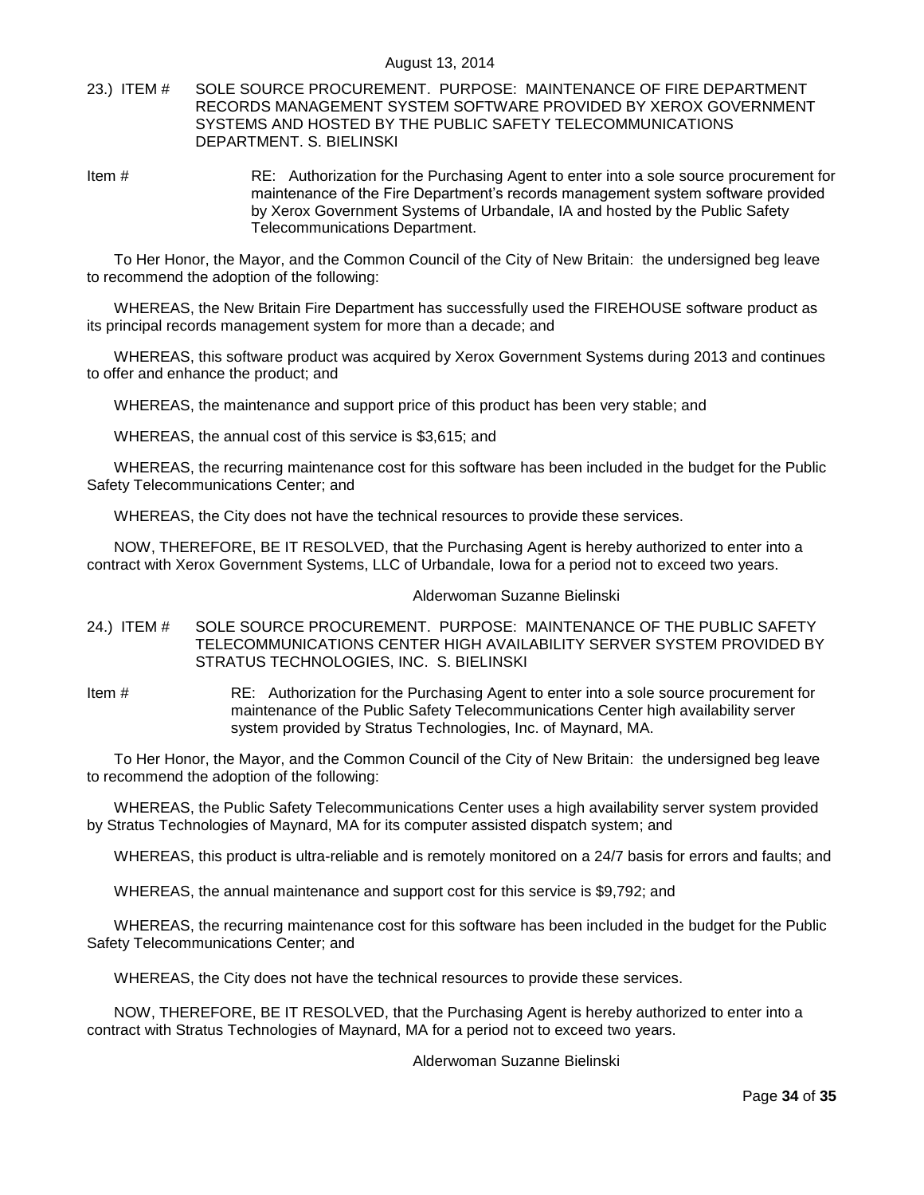## <span id="page-33-0"></span>23.) ITEM # SOLE SOURCE PROCUREMENT. PURPOSE: MAINTENANCE OF FIRE DEPARTMENT RECORDS MANAGEMENT SYSTEM SOFTWARE PROVIDED BY XEROX GOVERNMENT SYSTEMS AND HOSTED BY THE PUBLIC SAFETY TELECOMMUNICATIONS DEPARTMENT. S. BIELINSKI

Item # RE: Authorization for the Purchasing Agent to enter into a sole source procurement for maintenance of the Fire Department"s records management system software provided by Xerox Government Systems of Urbandale, IA and hosted by the Public Safety Telecommunications Department.

To Her Honor, the Mayor, and the Common Council of the City of New Britain: the undersigned beg leave to recommend the adoption of the following:

WHEREAS, the New Britain Fire Department has successfully used the FIREHOUSE software product as its principal records management system for more than a decade; and

WHEREAS, this software product was acquired by Xerox Government Systems during 2013 and continues to offer and enhance the product; and

WHEREAS, the maintenance and support price of this product has been very stable; and

WHEREAS, the annual cost of this service is \$3,615; and

WHEREAS, the recurring maintenance cost for this software has been included in the budget for the Public Safety Telecommunications Center; and

WHEREAS, the City does not have the technical resources to provide these services.

NOW, THEREFORE, BE IT RESOLVED, that the Purchasing Agent is hereby authorized to enter into a contract with Xerox Government Systems, LLC of Urbandale, Iowa for a period not to exceed two years.

#### Alderwoman Suzanne Bielinski

- <span id="page-33-1"></span>24.) ITEM # SOLE SOURCE PROCUREMENT. PURPOSE: MAINTENANCE OF THE PUBLIC SAFETY TELECOMMUNICATIONS CENTER HIGH AVAILABILITY SERVER SYSTEM PROVIDED BY STRATUS TECHNOLOGIES, INC. S. BIELINSKI
- Item # RE: Authorization for the Purchasing Agent to enter into a sole source procurement for maintenance of the Public Safety Telecommunications Center high availability server system provided by Stratus Technologies, Inc. of Maynard, MA.

To Her Honor, the Mayor, and the Common Council of the City of New Britain: the undersigned beg leave to recommend the adoption of the following:

WHEREAS, the Public Safety Telecommunications Center uses a high availability server system provided by Stratus Technologies of Maynard, MA for its computer assisted dispatch system; and

WHEREAS, this product is ultra-reliable and is remotely monitored on a 24/7 basis for errors and faults; and

WHEREAS, the annual maintenance and support cost for this service is \$9,792; and

WHEREAS, the recurring maintenance cost for this software has been included in the budget for the Public Safety Telecommunications Center; and

WHEREAS, the City does not have the technical resources to provide these services.

NOW, THEREFORE, BE IT RESOLVED, that the Purchasing Agent is hereby authorized to enter into a contract with Stratus Technologies of Maynard, MA for a period not to exceed two years.

Alderwoman Suzanne Bielinski